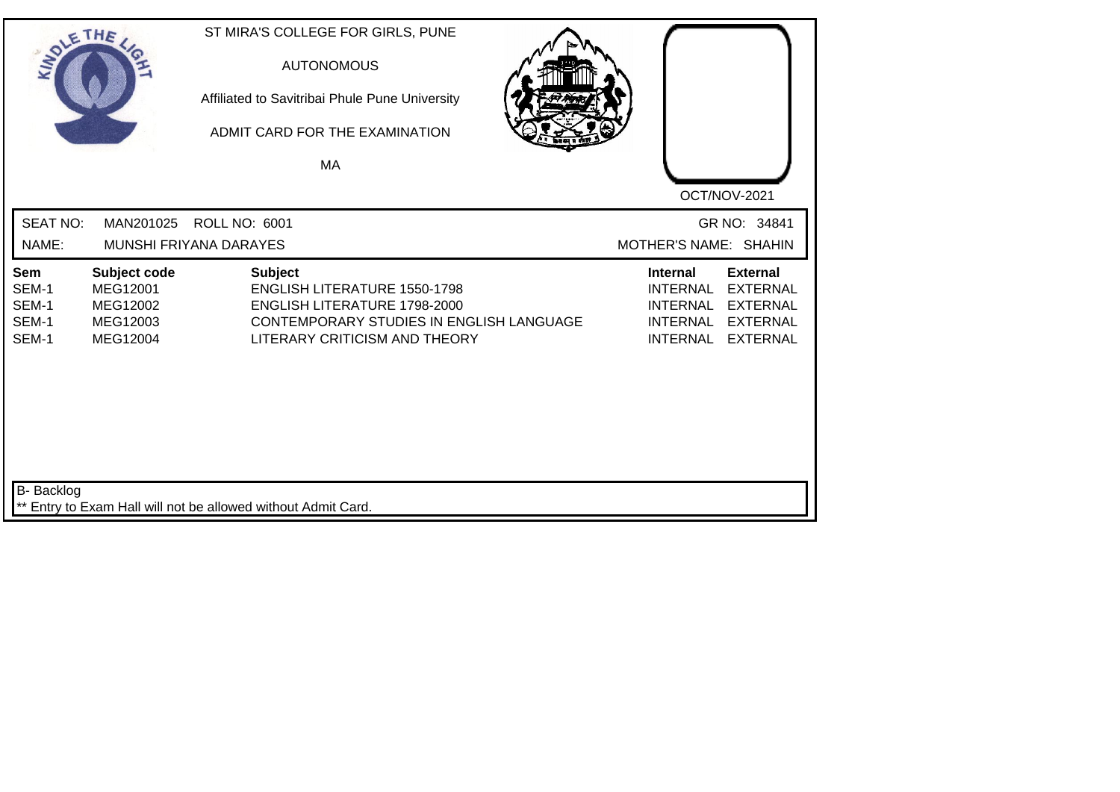|                                         | THE                                                          | ST MIRA'S COLLEGE FOR GIRLS, PUNE<br><b>AUTONOMOUS</b><br>Affiliated to Savitribai Phule Pune University<br>ADMIT CARD FOR THE EXAMINATION<br>MA                   |                                                                                                                                                                                            |
|-----------------------------------------|--------------------------------------------------------------|--------------------------------------------------------------------------------------------------------------------------------------------------------------------|--------------------------------------------------------------------------------------------------------------------------------------------------------------------------------------------|
| <b>SEAT NO:</b><br>NAME:                | MAN201025                                                    | <b>ROLL NO: 6001</b><br>MUNSHI FRIYANA DARAYES                                                                                                                     | OCT/NOV-2021<br>GR NO: 34841<br>MOTHER'S NAME: SHAHIN                                                                                                                                      |
| Sem<br>SEM-1<br>SEM-1<br>SEM-1<br>SEM-1 | Subject code<br>MEG12001<br>MEG12002<br>MEG12003<br>MEG12004 | <b>Subject</b><br><b>ENGLISH LITERATURE 1550-1798</b><br>ENGLISH LITERATURE 1798-2000<br>CONTEMPORARY STUDIES IN ENGLISH LANGUAGE<br>LITERARY CRITICISM AND THEORY | <b>External</b><br><b>Internal</b><br><b>INTERNAL</b><br><b>EXTERNAL</b><br><b>INTERNAL</b><br><b>EXTERNAL</b><br><b>INTERNAL</b><br><b>EXTERNAL</b><br><b>INTERNAL</b><br><b>EXTERNAL</b> |
| <b>B-</b> Backlog                       |                                                              | ** Entry to Exam Hall will not be allowed without Admit Card.                                                                                                      |                                                                                                                                                                                            |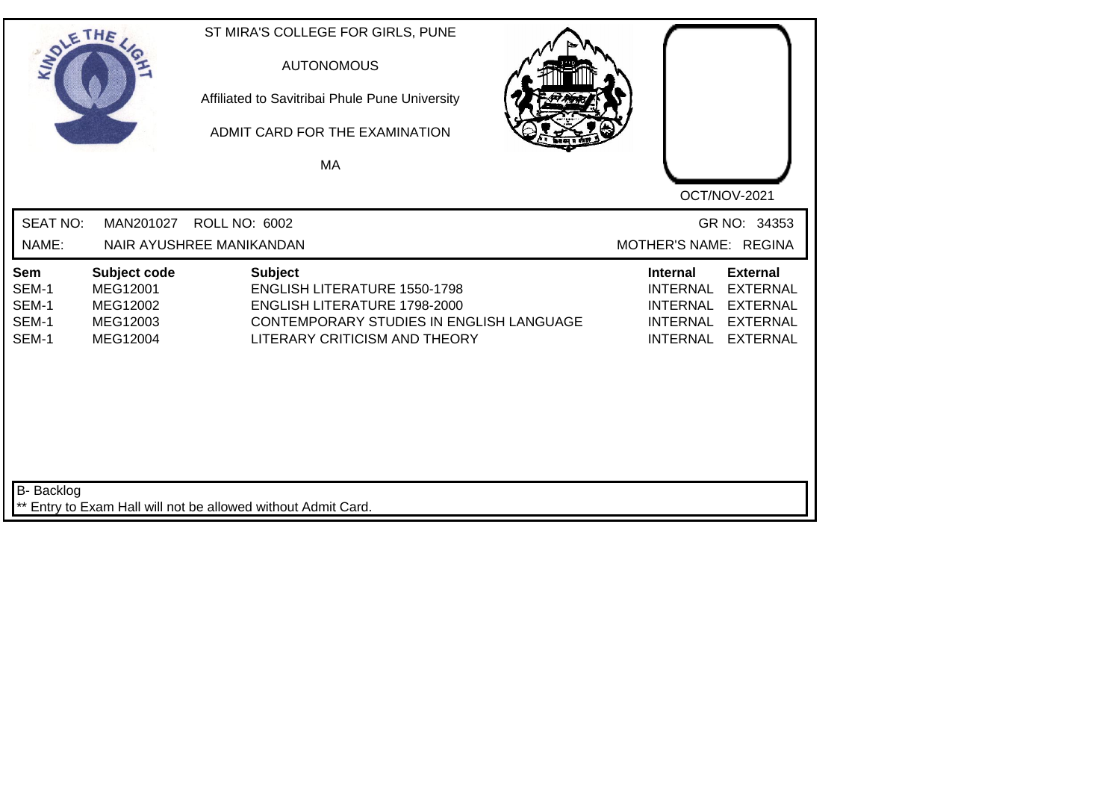| SOLETHE .                               |                                                              | ST MIRA'S COLLEGE FOR GIRLS, PUNE<br><b>AUTONOMOUS</b><br>Affiliated to Savitribai Phule Pune University<br>ADMIT CARD FOR THE EXAMINATION<br><b>MA</b>            |                                                                                                                                                                                            |
|-----------------------------------------|--------------------------------------------------------------|--------------------------------------------------------------------------------------------------------------------------------------------------------------------|--------------------------------------------------------------------------------------------------------------------------------------------------------------------------------------------|
| <b>SEAT NO:</b><br>NAME:                | MAN201027                                                    | <b>ROLL NO: 6002</b><br>NAIR AYUSHREE MANIKANDAN                                                                                                                   | OCT/NOV-2021<br>GR NO: 34353<br>MOTHER'S NAME: REGINA                                                                                                                                      |
| Sem<br>SEM-1<br>SEM-1<br>SEM-1<br>SEM-1 | Subject code<br>MEG12001<br>MEG12002<br>MEG12003<br>MEG12004 | <b>Subject</b><br><b>ENGLISH LITERATURE 1550-1798</b><br>ENGLISH LITERATURE 1798-2000<br>CONTEMPORARY STUDIES IN ENGLISH LANGUAGE<br>LITERARY CRITICISM AND THEORY | <b>External</b><br><b>Internal</b><br><b>INTERNAL</b><br><b>EXTERNAL</b><br><b>INTERNAL</b><br><b>EXTERNAL</b><br><b>INTERNAL</b><br><b>EXTERNAL</b><br><b>INTERNAL</b><br><b>EXTERNAL</b> |
| <b>B-</b> Backlog                       |                                                              | ** Entry to Exam Hall will not be allowed without Admit Card.                                                                                                      |                                                                                                                                                                                            |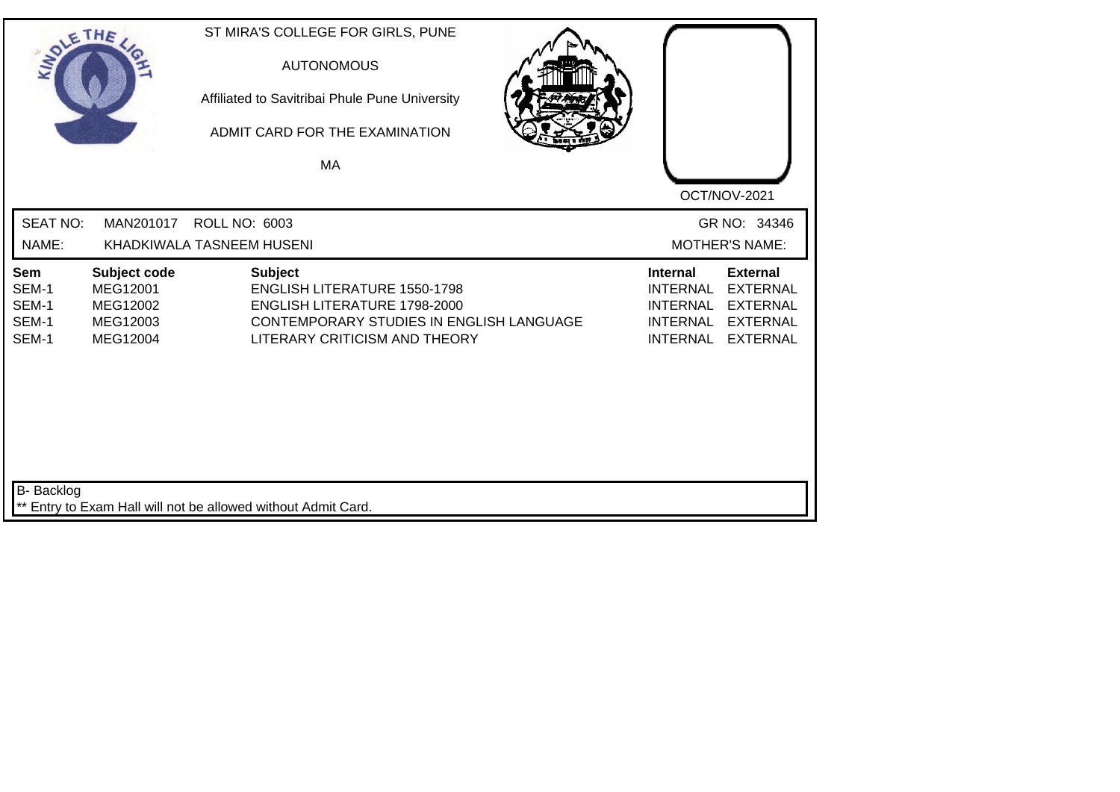| SOLE THE                                |                                                              | ST MIRA'S COLLEGE FOR GIRLS, PUNE<br><b>AUTONOMOUS</b><br>Affiliated to Savitribai Phule Pune University<br>ADMIT CARD FOR THE EXAMINATION<br>MA |                                                                                                                                                                |                                                                                             | OCT/NOV-2021                                                                                |
|-----------------------------------------|--------------------------------------------------------------|--------------------------------------------------------------------------------------------------------------------------------------------------|----------------------------------------------------------------------------------------------------------------------------------------------------------------|---------------------------------------------------------------------------------------------|---------------------------------------------------------------------------------------------|
| <b>SEAT NO:</b><br>NAME:                | MAN201017                                                    | <b>ROLL NO: 6003</b><br>KHADKIWALA TASNEEM HUSENI                                                                                                |                                                                                                                                                                |                                                                                             | GR NO: 34346<br><b>MOTHER'S NAME:</b>                                                       |
| Sem<br>SEM-1<br>SEM-1<br>SEM-1<br>SEM-1 | Subject code<br>MEG12001<br>MEG12002<br>MEG12003<br>MEG12004 | <b>Subject</b>                                                                                                                                   | <b>ENGLISH LITERATURE 1550-1798</b><br><b>ENGLISH LITERATURE 1798-2000</b><br><b>CONTEMPORARY STUDIES IN ENGLISH LANGUAGE</b><br>LITERARY CRITICISM AND THEORY | <b>Internal</b><br><b>INTERNAL</b><br><b>INTERNAL</b><br><b>INTERNAL</b><br><b>INTERNAL</b> | <b>External</b><br><b>EXTERNAL</b><br><b>EXTERNAL</b><br><b>EXTERNAL</b><br><b>EXTERNAL</b> |
| B- Backlog                              |                                                              | ** Entry to Exam Hall will not be allowed without Admit Card.                                                                                    |                                                                                                                                                                |                                                                                             |                                                                                             |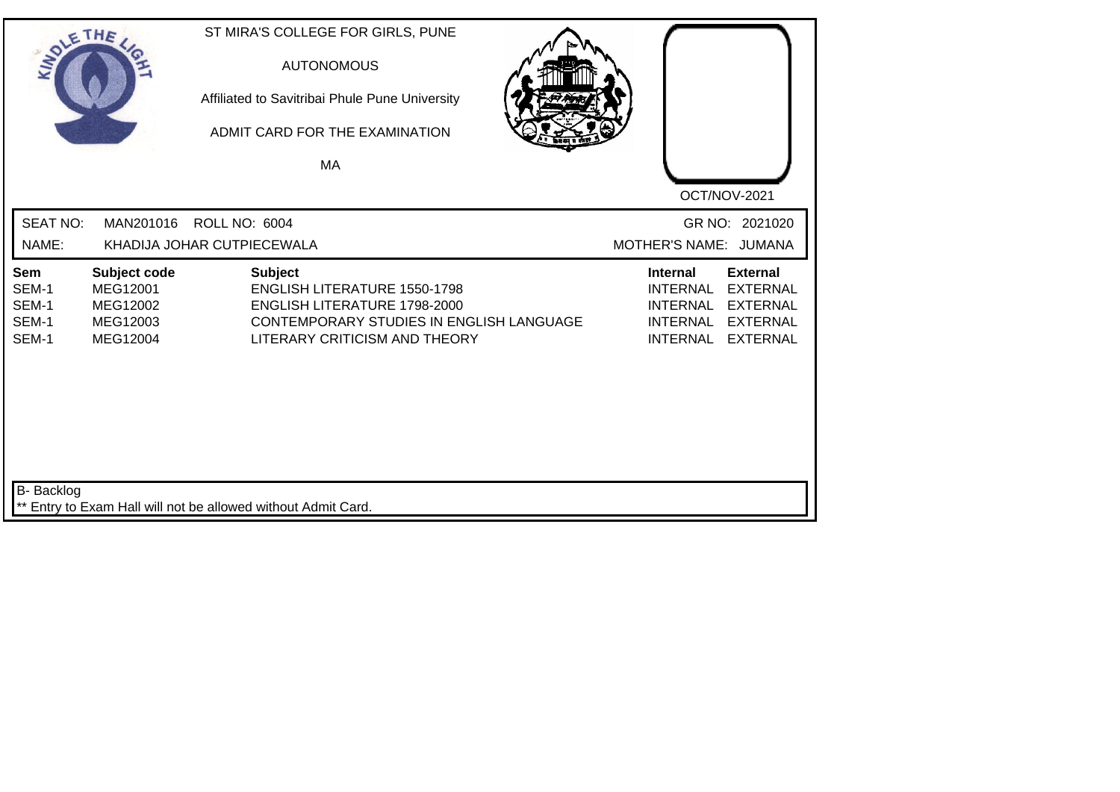| SOLE THE                                |                                                              | ST MIRA'S COLLEGE FOR GIRLS, PUNE<br><b>AUTONOMOUS</b><br>Affiliated to Savitribai Phule Pune University<br>ADMIT CARD FOR THE EXAMINATION<br>MA                          | OCT/NOV-2021                                                                                                                                                                               |
|-----------------------------------------|--------------------------------------------------------------|---------------------------------------------------------------------------------------------------------------------------------------------------------------------------|--------------------------------------------------------------------------------------------------------------------------------------------------------------------------------------------|
| <b>SEAT NO:</b><br>NAME:                | MAN201016                                                    | <b>ROLL NO: 6004</b><br>KHADIJA JOHAR CUTPIECEWALA                                                                                                                        | GR NO: 2021020<br>MOTHER'S NAME: JUMANA                                                                                                                                                    |
| Sem<br>SEM-1<br>SEM-1<br>SEM-1<br>SEM-1 | Subject code<br>MEG12001<br>MEG12002<br>MEG12003<br>MEG12004 | <b>Subject</b><br><b>ENGLISH LITERATURE 1550-1798</b><br><b>ENGLISH LITERATURE 1798-2000</b><br>CONTEMPORARY STUDIES IN ENGLISH LANGUAGE<br>LITERARY CRITICISM AND THEORY | <b>Internal</b><br><b>External</b><br><b>INTERNAL</b><br><b>EXTERNAL</b><br><b>EXTERNAL</b><br><b>INTERNAL</b><br><b>EXTERNAL</b><br><b>INTERNAL</b><br><b>INTERNAL</b><br><b>EXTERNAL</b> |
| B- Backlog                              |                                                              | ** Entry to Exam Hall will not be allowed without Admit Card.                                                                                                             |                                                                                                                                                                                            |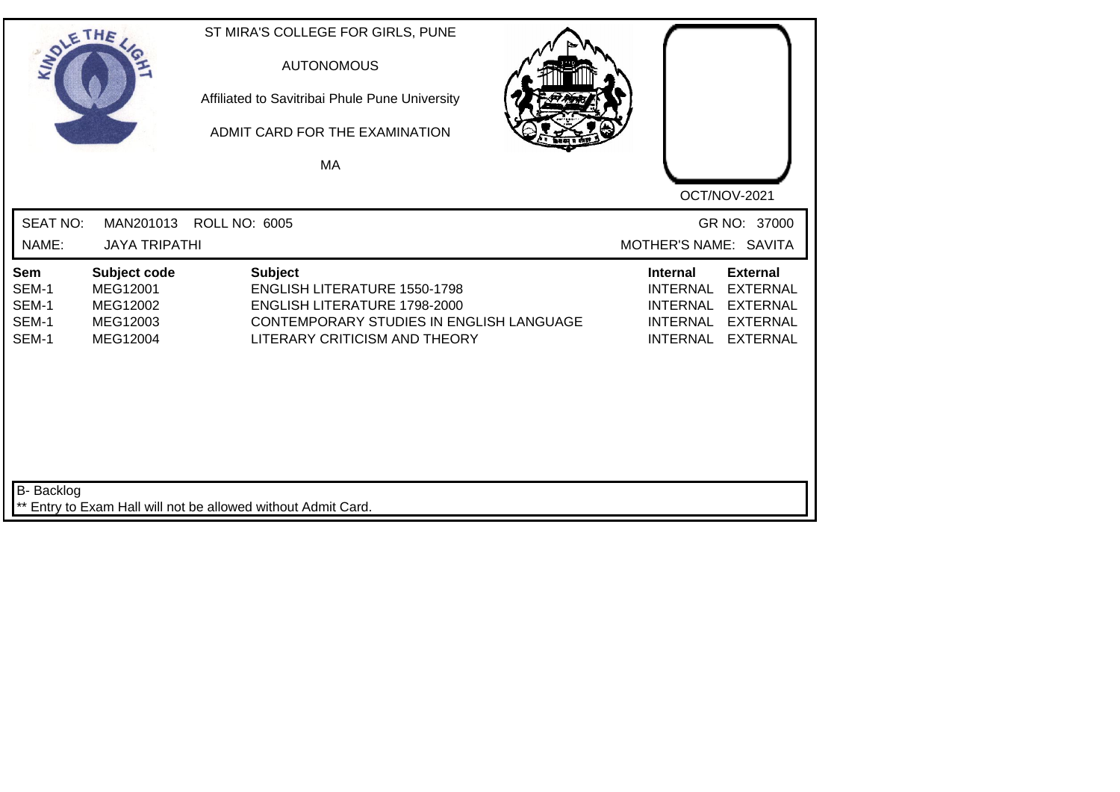| SOLE THE                                |                                                              | ST MIRA'S COLLEGE FOR GIRLS, PUNE<br><b>AUTONOMOUS</b><br>Affiliated to Savitribai Phule Pune University<br>ADMIT CARD FOR THE EXAMINATION<br>MA                          |                                                                                                                                                                                            |
|-----------------------------------------|--------------------------------------------------------------|---------------------------------------------------------------------------------------------------------------------------------------------------------------------------|--------------------------------------------------------------------------------------------------------------------------------------------------------------------------------------------|
| <b>SEAT NO:</b><br>NAME:                | <b>JAYA TRIPATHI</b>                                         | MAN201013 ROLL NO: 6005                                                                                                                                                   | OCT/NOV-2021<br>GR NO: 37000<br>MOTHER'S NAME: SAVITA                                                                                                                                      |
| Sem<br>SEM-1<br>SEM-1<br>SEM-1<br>SEM-1 | Subject code<br>MEG12001<br>MEG12002<br>MEG12003<br>MEG12004 | <b>Subject</b><br><b>ENGLISH LITERATURE 1550-1798</b><br><b>ENGLISH LITERATURE 1798-2000</b><br>CONTEMPORARY STUDIES IN ENGLISH LANGUAGE<br>LITERARY CRITICISM AND THEORY | <b>Internal</b><br><b>External</b><br><b>INTERNAL</b><br><b>EXTERNAL</b><br><b>EXTERNAL</b><br><b>INTERNAL</b><br><b>INTERNAL</b><br><b>EXTERNAL</b><br><b>INTERNAL</b><br><b>EXTERNAL</b> |
| B- Backlog                              |                                                              | Entry to Exam Hall will not be allowed without Admit Card.                                                                                                                |                                                                                                                                                                                            |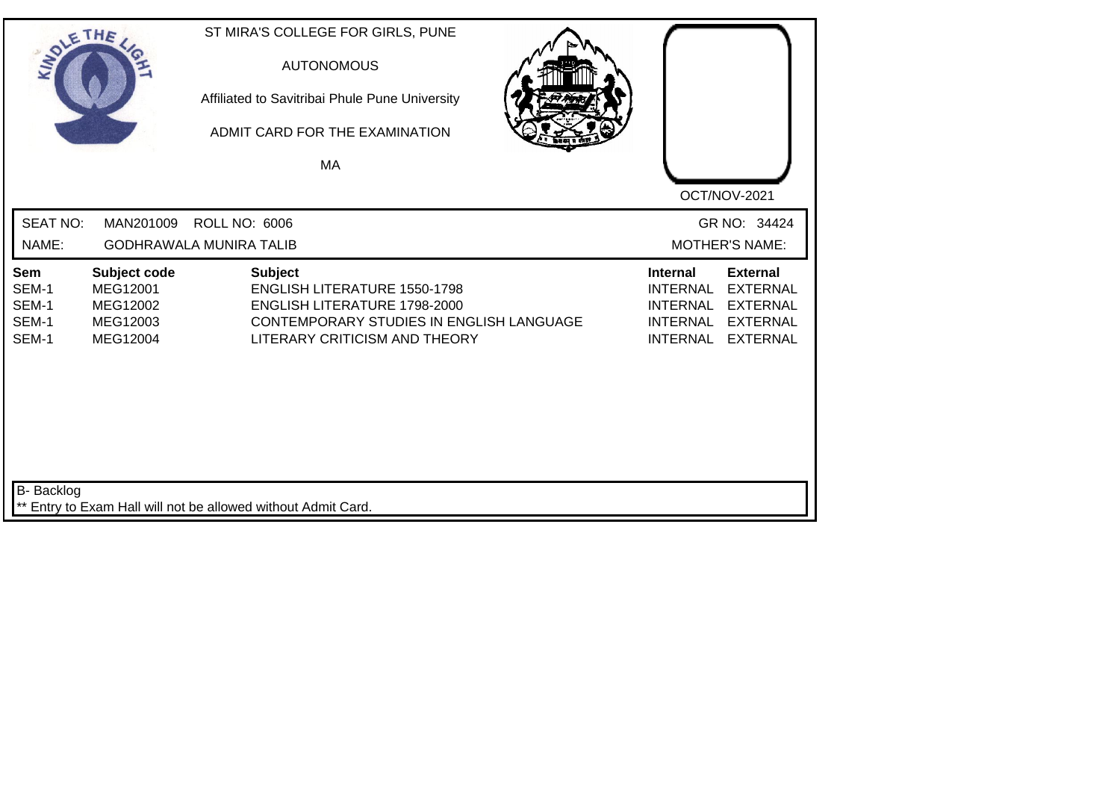| SOLETHE .                               |                                                              | ST MIRA'S COLLEGE FOR GIRLS, PUNE<br><b>AUTONOMOUS</b><br>Affiliated to Savitribai Phule Pune University<br>ADMIT CARD FOR THE EXAMINATION<br><b>MA</b>            |                                                                                             | OCT/NOV-2021                                                                                |
|-----------------------------------------|--------------------------------------------------------------|--------------------------------------------------------------------------------------------------------------------------------------------------------------------|---------------------------------------------------------------------------------------------|---------------------------------------------------------------------------------------------|
| <b>SEAT NO:</b><br>NAME:                | MAN201009                                                    | <b>ROLL NO: 6006</b><br><b>GODHRAWALA MUNIRA TALIB</b>                                                                                                             |                                                                                             | GR NO: 34424<br><b>MOTHER'S NAME:</b>                                                       |
| Sem<br>SEM-1<br>SEM-1<br>SEM-1<br>SEM-1 | Subject code<br>MEG12001<br>MEG12002<br>MEG12003<br>MEG12004 | <b>Subject</b><br><b>ENGLISH LITERATURE 1550-1798</b><br>ENGLISH LITERATURE 1798-2000<br>CONTEMPORARY STUDIES IN ENGLISH LANGUAGE<br>LITERARY CRITICISM AND THEORY | <b>Internal</b><br><b>INTERNAL</b><br><b>INTERNAL</b><br><b>INTERNAL</b><br><b>INTERNAL</b> | <b>External</b><br><b>EXTERNAL</b><br><b>EXTERNAL</b><br><b>EXTERNAL</b><br><b>EXTERNAL</b> |
| <b>B-</b> Backlog                       |                                                              | ** Entry to Exam Hall will not be allowed without Admit Card.                                                                                                      |                                                                                             |                                                                                             |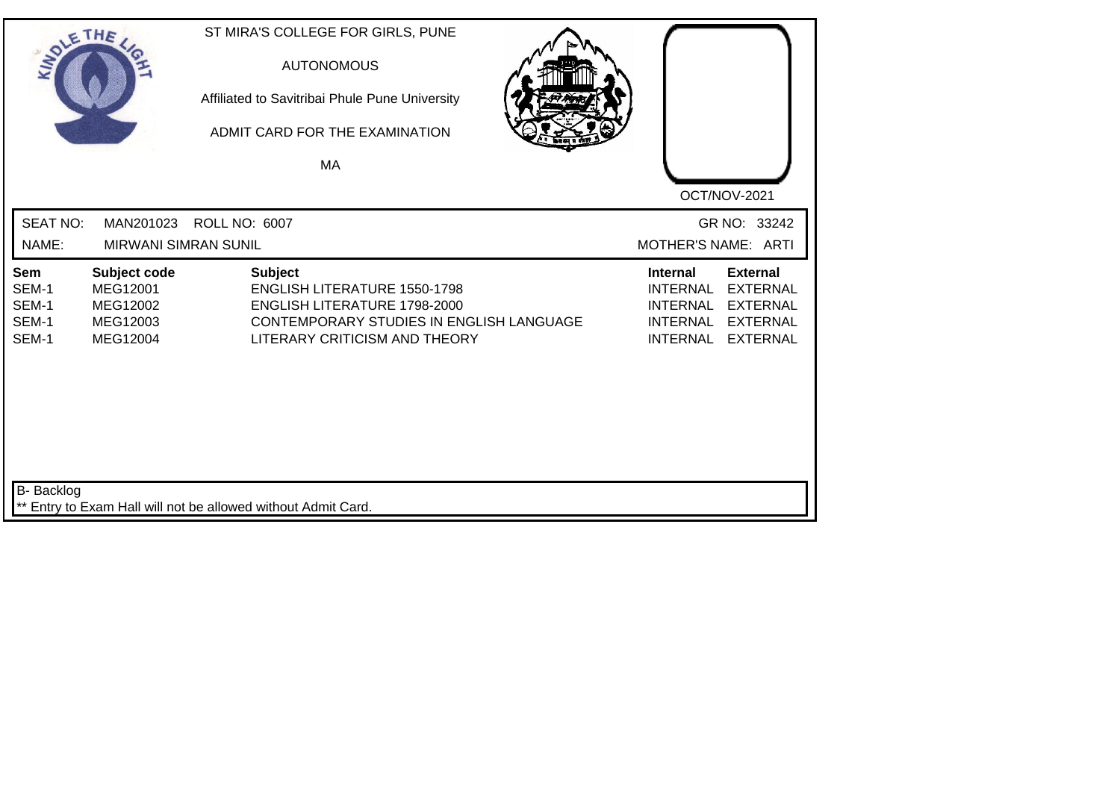| SOLE THE                                |                                                              | ST MIRA'S COLLEGE FOR GIRLS, PUNE<br><b>AUTONOMOUS</b><br>Affiliated to Savitribai Phule Pune University<br>ADMIT CARD FOR THE EXAMINATION<br>MA                          |                                                                                             |                                                                                             |
|-----------------------------------------|--------------------------------------------------------------|---------------------------------------------------------------------------------------------------------------------------------------------------------------------------|---------------------------------------------------------------------------------------------|---------------------------------------------------------------------------------------------|
| <b>SEAT NO:</b><br>NAME:                | MAN201023<br><b>MIRWANI SIMRAN SUNIL</b>                     | <b>ROLL NO: 6007</b>                                                                                                                                                      | MOTHER'S NAME: ARTI                                                                         | OCT/NOV-2021<br>GR NO: 33242                                                                |
| Sem<br>SEM-1<br>SEM-1<br>SEM-1<br>SEM-1 | Subject code<br>MEG12001<br>MEG12002<br>MEG12003<br>MEG12004 | <b>Subject</b><br><b>ENGLISH LITERATURE 1550-1798</b><br><b>ENGLISH LITERATURE 1798-2000</b><br>CONTEMPORARY STUDIES IN ENGLISH LANGUAGE<br>LITERARY CRITICISM AND THEORY | <b>Internal</b><br><b>INTERNAL</b><br><b>INTERNAL</b><br><b>INTERNAL</b><br><b>INTERNAL</b> | <b>External</b><br><b>EXTERNAL</b><br><b>EXTERNAL</b><br><b>EXTERNAL</b><br><b>EXTERNAL</b> |
| <b>B-</b> Backlog                       |                                                              | ** Entry to Exam Hall will not be allowed without Admit Card.                                                                                                             |                                                                                             |                                                                                             |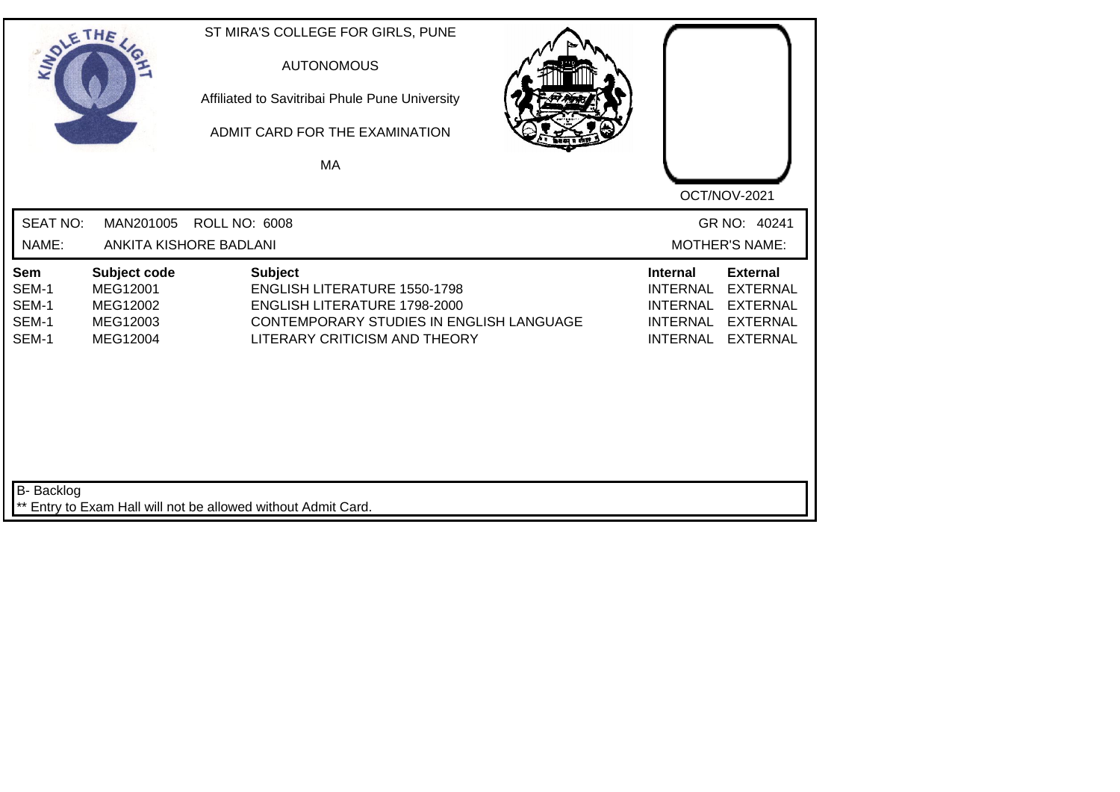| SOLETHE .                               |                                                              | ST MIRA'S COLLEGE FOR GIRLS, PUNE<br><b>AUTONOMOUS</b><br>Affiliated to Savitribai Phule Pune University<br>ADMIT CARD FOR THE EXAMINATION<br><b>MA</b> |                                                                                                                                                  |                                                                                             | OCT/NOV-2021                                                                                |
|-----------------------------------------|--------------------------------------------------------------|---------------------------------------------------------------------------------------------------------------------------------------------------------|--------------------------------------------------------------------------------------------------------------------------------------------------|---------------------------------------------------------------------------------------------|---------------------------------------------------------------------------------------------|
| <b>SEAT NO:</b><br>NAME:                | MAN201005                                                    | <b>ROLL NO: 6008</b><br>ANKITA KISHORE BADLANI                                                                                                          |                                                                                                                                                  |                                                                                             | GR NO: 40241<br><b>MOTHER'S NAME:</b>                                                       |
| Sem<br>SEM-1<br>SEM-1<br>SEM-1<br>SEM-1 | Subject code<br>MEG12001<br>MEG12002<br>MEG12003<br>MEG12004 | <b>Subject</b>                                                                                                                                          | <b>ENGLISH LITERATURE 1550-1798</b><br>ENGLISH LITERATURE 1798-2000<br>CONTEMPORARY STUDIES IN ENGLISH LANGUAGE<br>LITERARY CRITICISM AND THEORY | <b>Internal</b><br><b>INTERNAL</b><br><b>INTERNAL</b><br><b>INTERNAL</b><br><b>INTERNAL</b> | <b>External</b><br><b>EXTERNAL</b><br><b>EXTERNAL</b><br><b>EXTERNAL</b><br><b>EXTERNAL</b> |
| <b>B-</b> Backlog                       |                                                              | ** Entry to Exam Hall will not be allowed without Admit Card.                                                                                           |                                                                                                                                                  |                                                                                             |                                                                                             |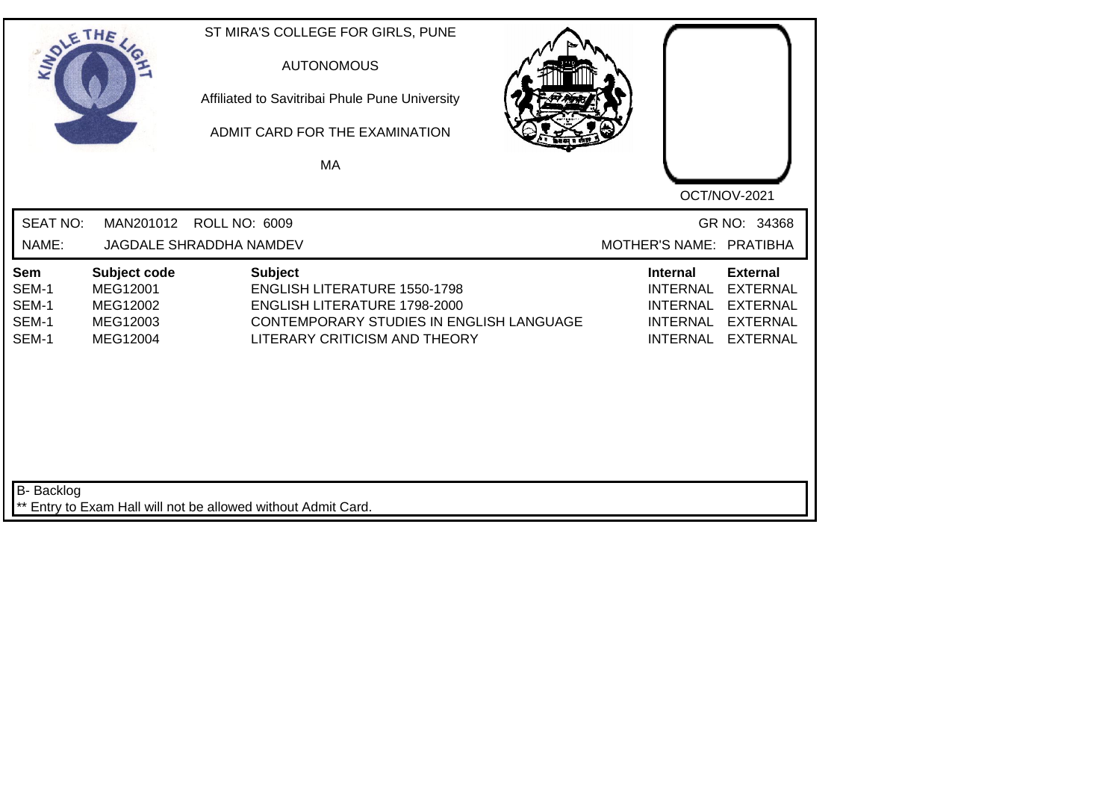| SOLETHE.                                |                                                              | ST MIRA'S COLLEGE FOR GIRLS, PUNE<br><b>AUTONOMOUS</b><br>Affiliated to Savitribai Phule Pune University<br>ADMIT CARD FOR THE EXAMINATION<br>MA |                                                                                                           |                                                                                             | OCT/NOV-2021                                                                                |
|-----------------------------------------|--------------------------------------------------------------|--------------------------------------------------------------------------------------------------------------------------------------------------|-----------------------------------------------------------------------------------------------------------|---------------------------------------------------------------------------------------------|---------------------------------------------------------------------------------------------|
| <b>SEAT NO:</b><br>NAME:                | MAN201012                                                    | <b>ROLL NO: 6009</b><br>JAGDALE SHRADDHA NAMDEV                                                                                                  |                                                                                                           | MOTHER'S NAME: PRATIBHA                                                                     | GR NO: 34368                                                                                |
| Sem<br>SEM-1<br>SEM-1<br>SEM-1<br>SEM-1 | Subject code<br>MEG12001<br>MEG12002<br>MEG12003<br>MEG12004 | <b>Subject</b><br><b>ENGLISH LITERATURE 1550-1798</b>                                                                                            | ENGLISH LITERATURE 1798-2000<br>CONTEMPORARY STUDIES IN ENGLISH LANGUAGE<br>LITERARY CRITICISM AND THEORY | <b>Internal</b><br><b>INTERNAL</b><br><b>INTERNAL</b><br><b>INTERNAL</b><br><b>INTERNAL</b> | <b>External</b><br><b>EXTERNAL</b><br><b>EXTERNAL</b><br><b>EXTERNAL</b><br><b>EXTERNAL</b> |
| <b>B-</b> Backlog                       |                                                              | ** Entry to Exam Hall will not be allowed without Admit Card.                                                                                    |                                                                                                           |                                                                                             |                                                                                             |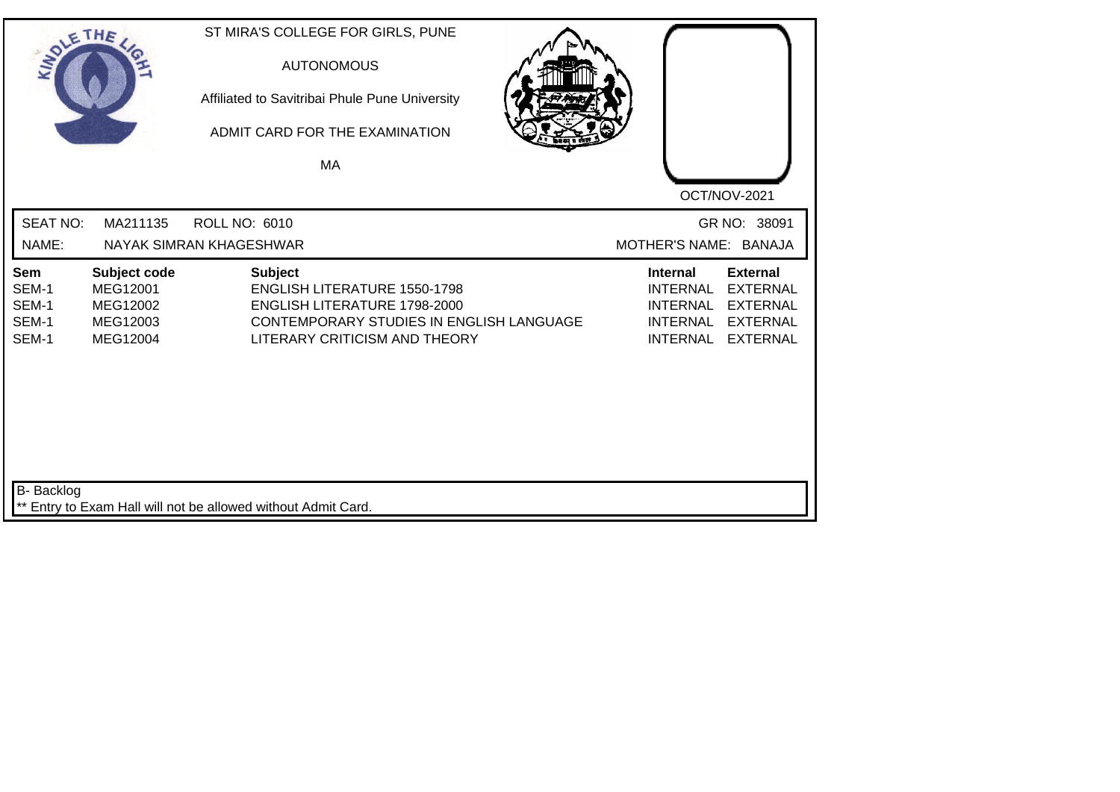|                                         | THE                                                          | ST MIRA'S COLLEGE FOR GIRLS, PUNE<br><b>AUTONOMOUS</b><br>Affiliated to Savitribai Phule Pune University<br>ADMIT CARD FOR THE EXAMINATION<br>MA                   |                                                                                                                                                                                            |
|-----------------------------------------|--------------------------------------------------------------|--------------------------------------------------------------------------------------------------------------------------------------------------------------------|--------------------------------------------------------------------------------------------------------------------------------------------------------------------------------------------|
| <b>SEAT NO:</b><br>NAME:                | MA211135                                                     | <b>ROLL NO: 6010</b><br>NAYAK SIMRAN KHAGESHWAR                                                                                                                    | OCT/NOV-2021<br>GR NO: 38091<br>MOTHER'S NAME: BANAJA                                                                                                                                      |
| Sem<br>SEM-1<br>SEM-1<br>SEM-1<br>SEM-1 | Subject code<br>MEG12001<br>MEG12002<br>MEG12003<br>MEG12004 | <b>Subject</b><br><b>ENGLISH LITERATURE 1550-1798</b><br>ENGLISH LITERATURE 1798-2000<br>CONTEMPORARY STUDIES IN ENGLISH LANGUAGE<br>LITERARY CRITICISM AND THEORY | <b>External</b><br><b>Internal</b><br><b>INTERNAL</b><br><b>EXTERNAL</b><br><b>INTERNAL</b><br><b>EXTERNAL</b><br><b>INTERNAL</b><br><b>EXTERNAL</b><br><b>INTERNAL</b><br><b>EXTERNAL</b> |
| <b>B-</b> Backlog                       |                                                              | ** Entry to Exam Hall will not be allowed without Admit Card.                                                                                                      |                                                                                                                                                                                            |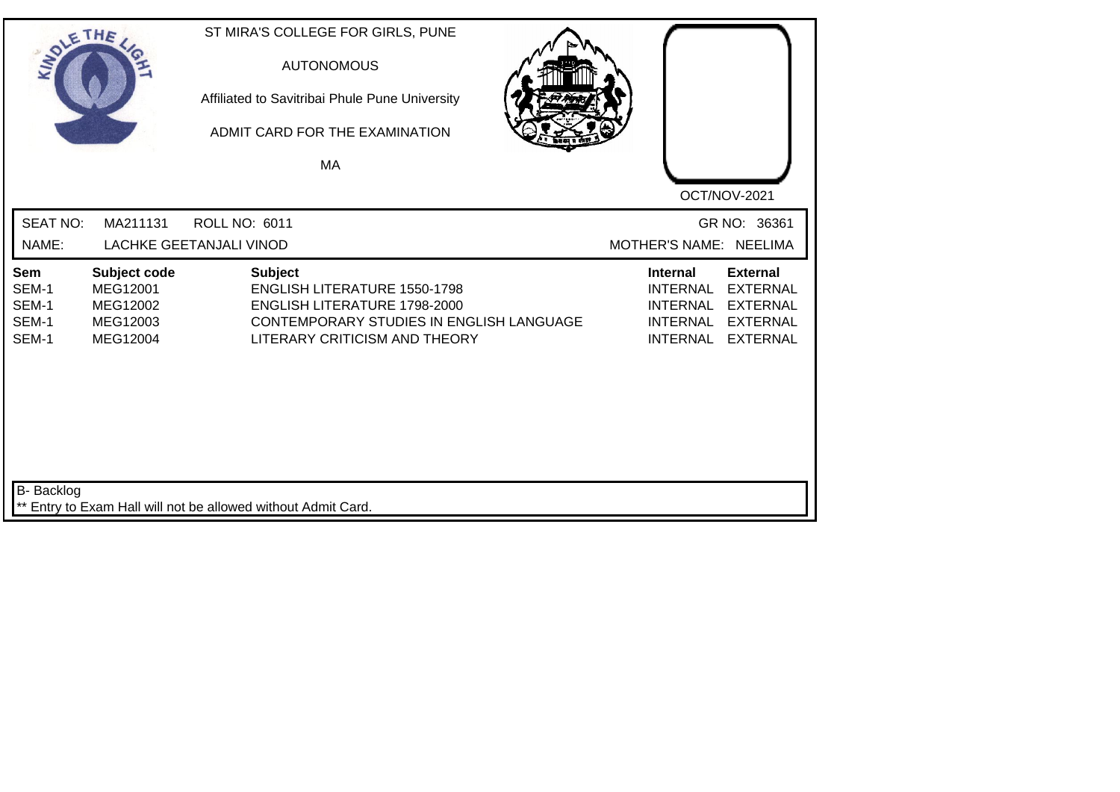| SOLETHE .                               |                                                              | ST MIRA'S COLLEGE FOR GIRLS, PUNE<br><b>AUTONOMOUS</b><br>Affiliated to Savitribai Phule Pune University<br>ADMIT CARD FOR THE EXAMINATION<br>MA                   | OCT/NOV-2021                                                                                                                                                                               |
|-----------------------------------------|--------------------------------------------------------------|--------------------------------------------------------------------------------------------------------------------------------------------------------------------|--------------------------------------------------------------------------------------------------------------------------------------------------------------------------------------------|
| <b>SEAT NO:</b><br>NAME:                | MA211131                                                     | <b>ROLL NO: 6011</b><br><b>LACHKE GEETANJALI VINOD</b>                                                                                                             | GR NO: 36361<br>MOTHER'S NAME: NEELIMA                                                                                                                                                     |
| Sem<br>SEM-1<br>SEM-1<br>SEM-1<br>SEM-1 | Subject code<br>MEG12001<br>MEG12002<br>MEG12003<br>MEG12004 | <b>Subject</b><br><b>ENGLISH LITERATURE 1550-1798</b><br>ENGLISH LITERATURE 1798-2000<br>CONTEMPORARY STUDIES IN ENGLISH LANGUAGE<br>LITERARY CRITICISM AND THEORY | <b>Internal</b><br><b>External</b><br><b>INTERNAL</b><br><b>EXTERNAL</b><br><b>EXTERNAL</b><br><b>INTERNAL</b><br><b>INTERNAL</b><br><b>EXTERNAL</b><br><b>INTERNAL</b><br><b>EXTERNAL</b> |
| <b>B-</b> Backlog                       |                                                              | ** Entry to Exam Hall will not be allowed without Admit Card.                                                                                                      |                                                                                                                                                                                            |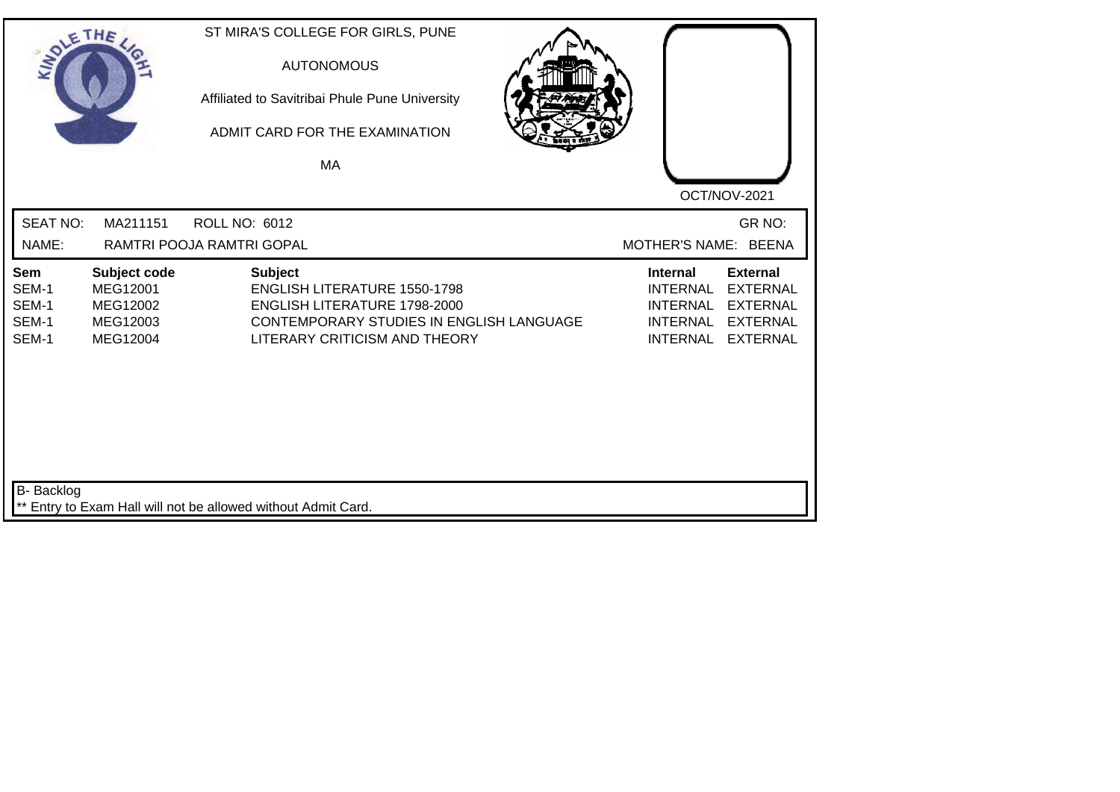| SOLE THE                                |                                                              | ST MIRA'S COLLEGE FOR GIRLS, PUNE<br><b>AUTONOMOUS</b><br>Affiliated to Savitribai Phule Pune University<br>ADMIT CARD FOR THE EXAMINATION<br>MA                          | OCT/NOV-2021                                                                                                                                                                               |
|-----------------------------------------|--------------------------------------------------------------|---------------------------------------------------------------------------------------------------------------------------------------------------------------------------|--------------------------------------------------------------------------------------------------------------------------------------------------------------------------------------------|
| <b>SEAT NO:</b><br>NAME:                | MA211151                                                     | <b>ROLL NO: 6012</b><br>RAMTRI POOJA RAMTRI GOPAL                                                                                                                         | GR NO:<br>MOTHER'S NAME: BEENA                                                                                                                                                             |
| Sem<br>SEM-1<br>SEM-1<br>SEM-1<br>SEM-1 | Subject code<br>MEG12001<br>MEG12002<br>MEG12003<br>MEG12004 | <b>Subject</b><br><b>ENGLISH LITERATURE 1550-1798</b><br><b>ENGLISH LITERATURE 1798-2000</b><br>CONTEMPORARY STUDIES IN ENGLISH LANGUAGE<br>LITERARY CRITICISM AND THEORY | <b>External</b><br><b>Internal</b><br><b>INTERNAL</b><br><b>EXTERNAL</b><br><b>INTERNAL</b><br><b>EXTERNAL</b><br><b>INTERNAL</b><br><b>EXTERNAL</b><br><b>INTERNAL</b><br><b>EXTERNAL</b> |
| <b>B-</b> Backlog                       |                                                              | ** Entry to Exam Hall will not be allowed without Admit Card.                                                                                                             |                                                                                                                                                                                            |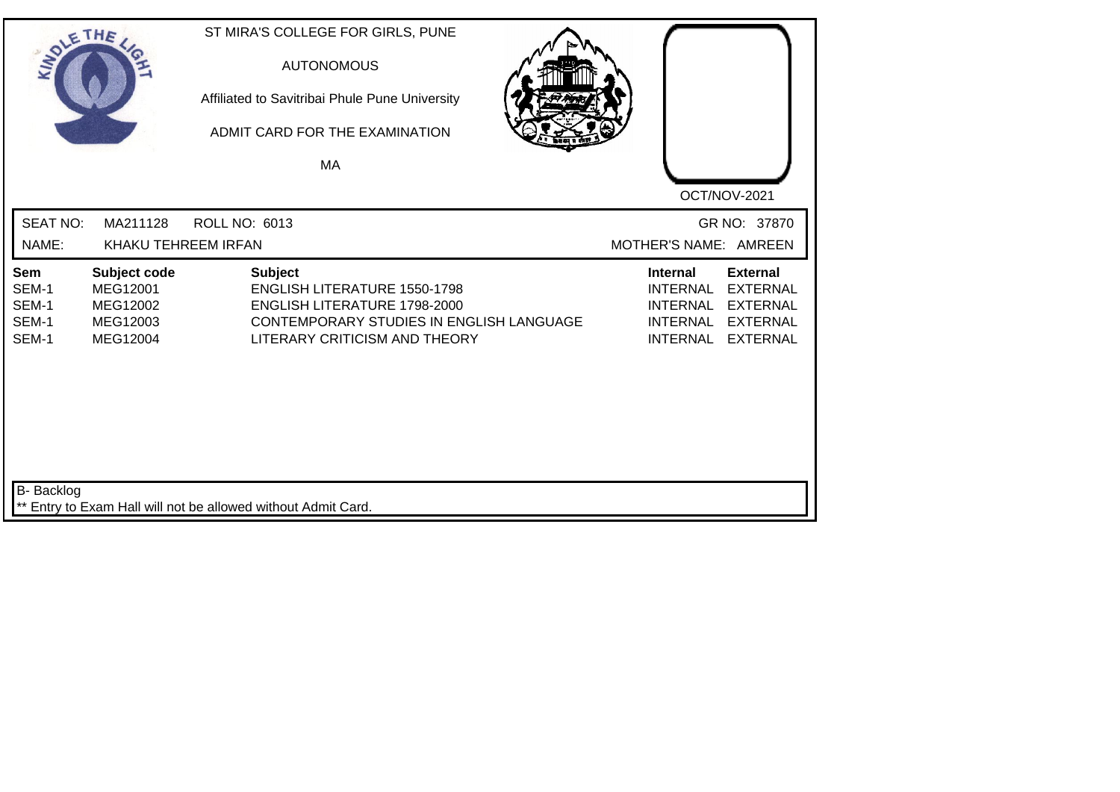| SOLE THE                                |                                                              |                                                               | ST MIRA'S COLLEGE FOR GIRLS, PUNE<br><b>AUTONOMOUS</b><br>Affiliated to Savitribai Phule Pune University<br>ADMIT CARD FOR THE EXAMINATION<br>MA        |                                                                                             |                                                                                             |
|-----------------------------------------|--------------------------------------------------------------|---------------------------------------------------------------|---------------------------------------------------------------------------------------------------------------------------------------------------------|---------------------------------------------------------------------------------------------|---------------------------------------------------------------------------------------------|
| <b>SEAT NO:</b><br>NAME:                | MA211128<br>KHAKU TEHREEM IRFAN                              | <b>ROLL NO: 6013</b>                                          |                                                                                                                                                         | MOTHER'S NAME: AMREEN                                                                       | OCT/NOV-2021<br>GR NO: 37870                                                                |
| Sem<br>SEM-1<br>SEM-1<br>SEM-1<br>SEM-1 | Subject code<br>MEG12001<br>MEG12002<br>MEG12003<br>MEG12004 | <b>Subject</b>                                                | <b>ENGLISH LITERATURE 1550-1798</b><br><b>ENGLISH LITERATURE 1798-2000</b><br>CONTEMPORARY STUDIES IN ENGLISH LANGUAGE<br>LITERARY CRITICISM AND THEORY | <b>Internal</b><br><b>INTERNAL</b><br><b>INTERNAL</b><br><b>INTERNAL</b><br><b>INTERNAL</b> | <b>External</b><br><b>EXTERNAL</b><br><b>EXTERNAL</b><br><b>EXTERNAL</b><br><b>EXTERNAL</b> |
| <b>B-</b> Backlog                       |                                                              | ** Entry to Exam Hall will not be allowed without Admit Card. |                                                                                                                                                         |                                                                                             |                                                                                             |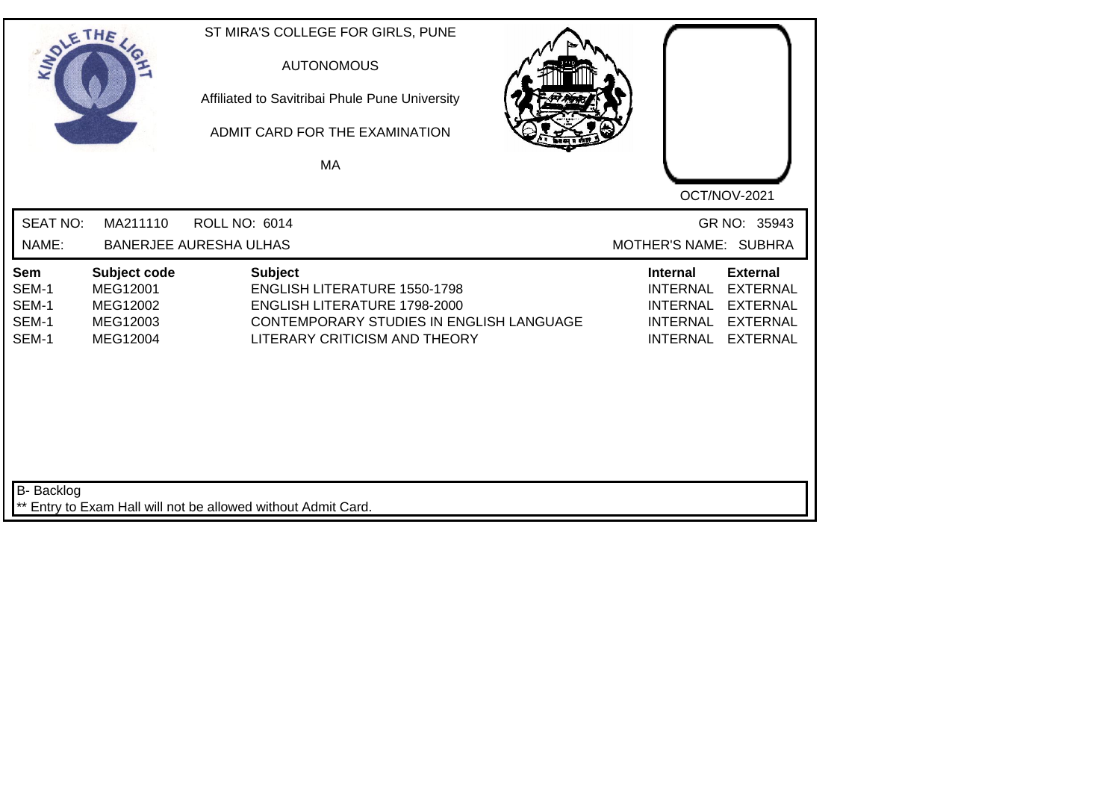| SOLETHE .                               |                                                              | ST MIRA'S COLLEGE FOR GIRLS, PUNE<br><b>AUTONOMOUS</b><br>Affiliated to Savitribai Phule Pune University<br>ADMIT CARD FOR THE EXAMINATION<br>MA                   |                                                                                                                                                                                            |
|-----------------------------------------|--------------------------------------------------------------|--------------------------------------------------------------------------------------------------------------------------------------------------------------------|--------------------------------------------------------------------------------------------------------------------------------------------------------------------------------------------|
| <b>SEAT NO:</b><br>NAME:                | MA211110                                                     | <b>ROLL NO: 6014</b><br><b>BANERJEE AURESHA ULHAS</b>                                                                                                              | OCT/NOV-2021<br>GR NO: 35943<br>MOTHER'S NAME: SUBHRA                                                                                                                                      |
| Sem<br>SEM-1<br>SEM-1<br>SEM-1<br>SEM-1 | Subject code<br>MEG12001<br>MEG12002<br>MEG12003<br>MEG12004 | <b>Subject</b><br><b>ENGLISH LITERATURE 1550-1798</b><br>ENGLISH LITERATURE 1798-2000<br>CONTEMPORARY STUDIES IN ENGLISH LANGUAGE<br>LITERARY CRITICISM AND THEORY | <b>External</b><br><b>Internal</b><br><b>INTERNAL</b><br><b>EXTERNAL</b><br><b>INTERNAL</b><br><b>EXTERNAL</b><br><b>INTERNAL</b><br><b>EXTERNAL</b><br><b>INTERNAL</b><br><b>EXTERNAL</b> |
| <b>B-</b> Backlog                       |                                                              | ** Entry to Exam Hall will not be allowed without Admit Card.                                                                                                      |                                                                                                                                                                                            |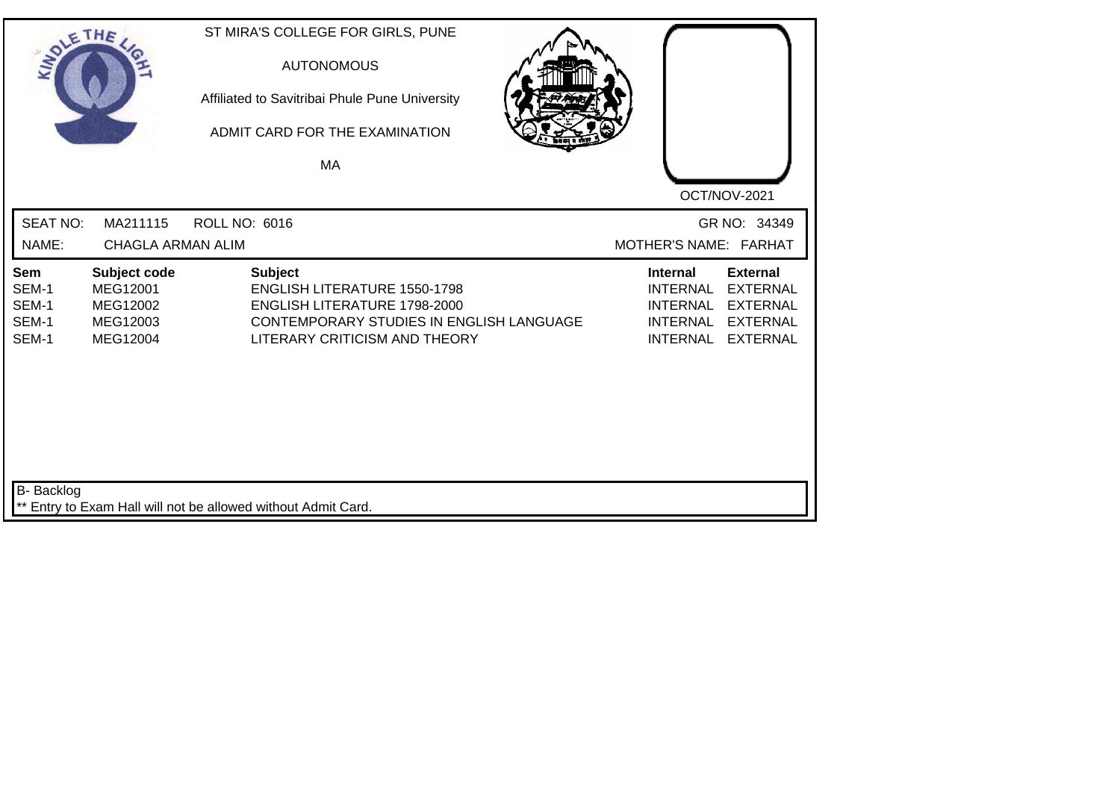| SOLETHE.                                |                                                              |                                                               | ST MIRA'S COLLEGE FOR GIRLS, PUNE<br><b>AUTONOMOUS</b><br>Affiliated to Savitribai Phule Pune University<br>ADMIT CARD FOR THE EXAMINATION<br>MA |                                                                                             |                                                                                             |
|-----------------------------------------|--------------------------------------------------------------|---------------------------------------------------------------|--------------------------------------------------------------------------------------------------------------------------------------------------|---------------------------------------------------------------------------------------------|---------------------------------------------------------------------------------------------|
| <b>SEAT NO:</b><br>NAME:                | MA211115<br><b>CHAGLA ARMAN ALIM</b>                         | <b>ROLL NO: 6016</b>                                          |                                                                                                                                                  | MOTHER'S NAME: FARHAT                                                                       | OCT/NOV-2021<br>GR NO: 34349                                                                |
| Sem<br>SEM-1<br>SEM-1<br>SEM-1<br>SEM-1 | Subject code<br>MEG12001<br>MEG12002<br>MEG12003<br>MEG12004 | <b>Subject</b>                                                | <b>ENGLISH LITERATURE 1550-1798</b><br>ENGLISH LITERATURE 1798-2000<br>CONTEMPORARY STUDIES IN ENGLISH LANGUAGE<br>LITERARY CRITICISM AND THEORY | <b>Internal</b><br><b>INTERNAL</b><br><b>INTERNAL</b><br><b>INTERNAL</b><br><b>INTERNAL</b> | <b>External</b><br><b>EXTERNAL</b><br><b>EXTERNAL</b><br><b>EXTERNAL</b><br><b>EXTERNAL</b> |
| <b>B-</b> Backlog                       |                                                              | ** Entry to Exam Hall will not be allowed without Admit Card. |                                                                                                                                                  |                                                                                             |                                                                                             |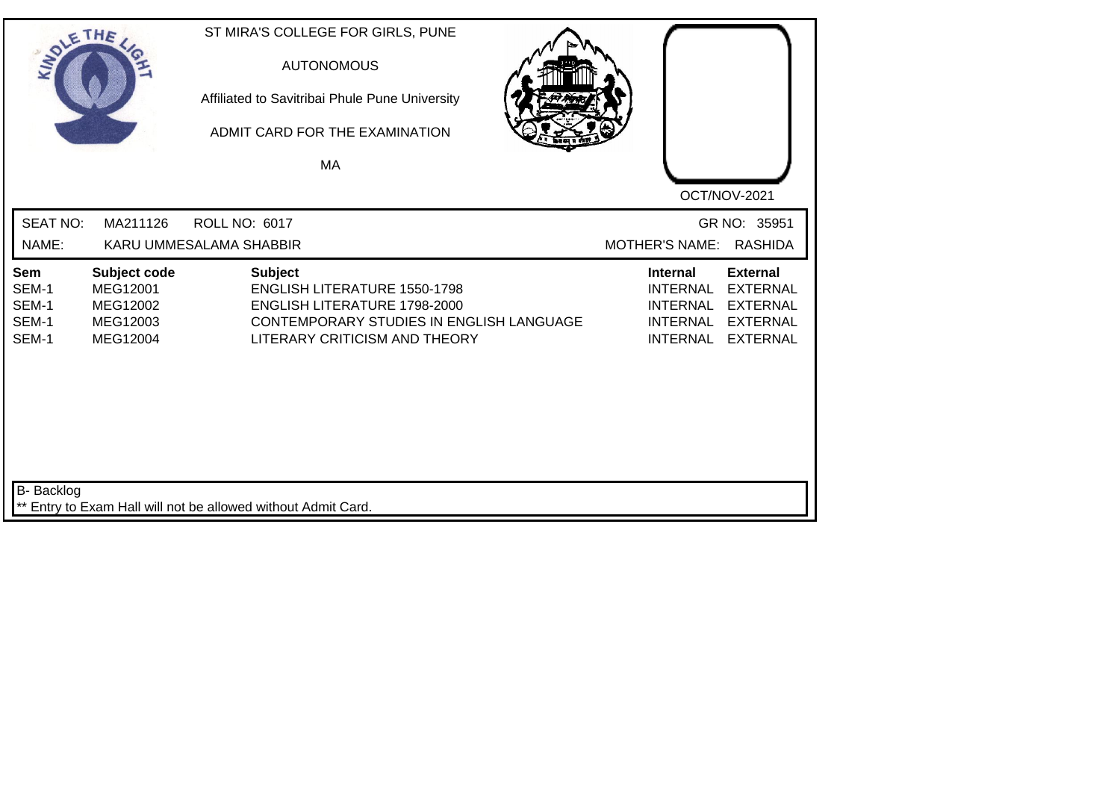| SOLETHE.                                |                                                              | ST MIRA'S COLLEGE FOR GIRLS, PUNE<br><b>AUTONOMOUS</b><br>Affiliated to Savitribai Phule Pune University<br>ADMIT CARD FOR THE EXAMINATION<br>MA                          | OCT/NOV-2021                                                                                                                                                                               |
|-----------------------------------------|--------------------------------------------------------------|---------------------------------------------------------------------------------------------------------------------------------------------------------------------------|--------------------------------------------------------------------------------------------------------------------------------------------------------------------------------------------|
| <b>SEAT NO:</b><br>NAME:                | MA211126                                                     | <b>ROLL NO: 6017</b><br>KARU UMMESALAMA SHABBIR                                                                                                                           | GR NO: 35951<br><b>RASHIDA</b><br><b>MOTHER'S NAME:</b>                                                                                                                                    |
| Sem<br>SEM-1<br>SEM-1<br>SEM-1<br>SEM-1 | Subject code<br>MEG12001<br>MEG12002<br>MEG12003<br>MEG12004 | <b>Subject</b><br><b>ENGLISH LITERATURE 1550-1798</b><br><b>ENGLISH LITERATURE 1798-2000</b><br>CONTEMPORARY STUDIES IN ENGLISH LANGUAGE<br>LITERARY CRITICISM AND THEORY | <b>External</b><br><b>Internal</b><br><b>INTERNAL</b><br><b>EXTERNAL</b><br><b>INTERNAL</b><br><b>EXTERNAL</b><br><b>INTERNAL</b><br><b>EXTERNAL</b><br><b>INTERNAL</b><br><b>EXTERNAL</b> |
| <b>B-</b> Backlog                       |                                                              | ** Entry to Exam Hall will not be allowed without Admit Card.                                                                                                             |                                                                                                                                                                                            |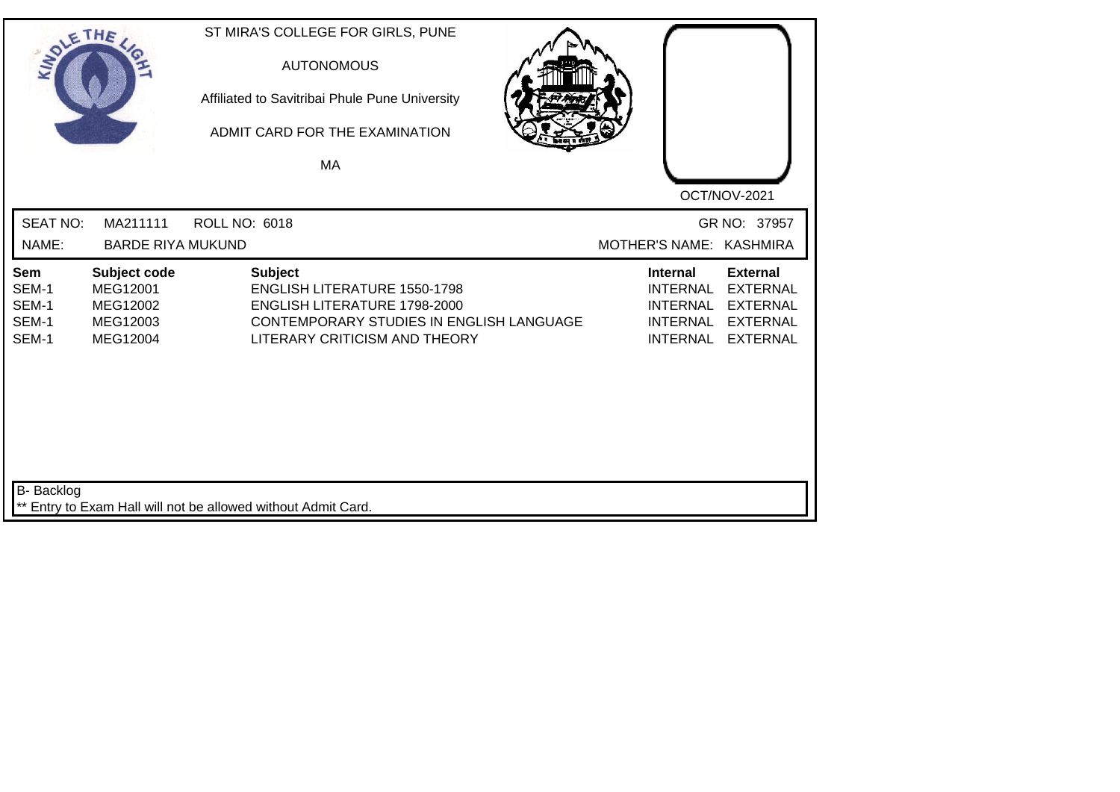| SOLE THE                                |                                                              |                      | ST MIRA'S COLLEGE FOR GIRLS, PUNE<br><b>AUTONOMOUS</b><br>Affiliated to Savitribai Phule Pune University<br>ADMIT CARD FOR THE EXAMINATION<br>MA                          |  |                                                                                             | OCT/NOV-2021                                                                                |
|-----------------------------------------|--------------------------------------------------------------|----------------------|---------------------------------------------------------------------------------------------------------------------------------------------------------------------------|--|---------------------------------------------------------------------------------------------|---------------------------------------------------------------------------------------------|
| <b>SEAT NO:</b><br>NAME:                | MA211111<br><b>BARDE RIYA MUKUND</b>                         | <b>ROLL NO: 6018</b> |                                                                                                                                                                           |  | MOTHER'S NAME: KASHMIRA                                                                     | GR NO: 37957                                                                                |
| Sem<br>SEM-1<br>SEM-1<br>SEM-1<br>SEM-1 | Subject code<br>MEG12001<br>MEG12002<br>MEG12003<br>MEG12004 |                      | <b>Subject</b><br><b>ENGLISH LITERATURE 1550-1798</b><br><b>ENGLISH LITERATURE 1798-2000</b><br>CONTEMPORARY STUDIES IN ENGLISH LANGUAGE<br>LITERARY CRITICISM AND THEORY |  | <b>Internal</b><br><b>INTERNAL</b><br><b>INTERNAL</b><br><b>INTERNAL</b><br><b>INTERNAL</b> | <b>External</b><br><b>EXTERNAL</b><br><b>EXTERNAL</b><br><b>EXTERNAL</b><br><b>EXTERNAL</b> |
| <b>B-</b> Backlog                       |                                                              |                      | ** Entry to Exam Hall will not be allowed without Admit Card.                                                                                                             |  |                                                                                             |                                                                                             |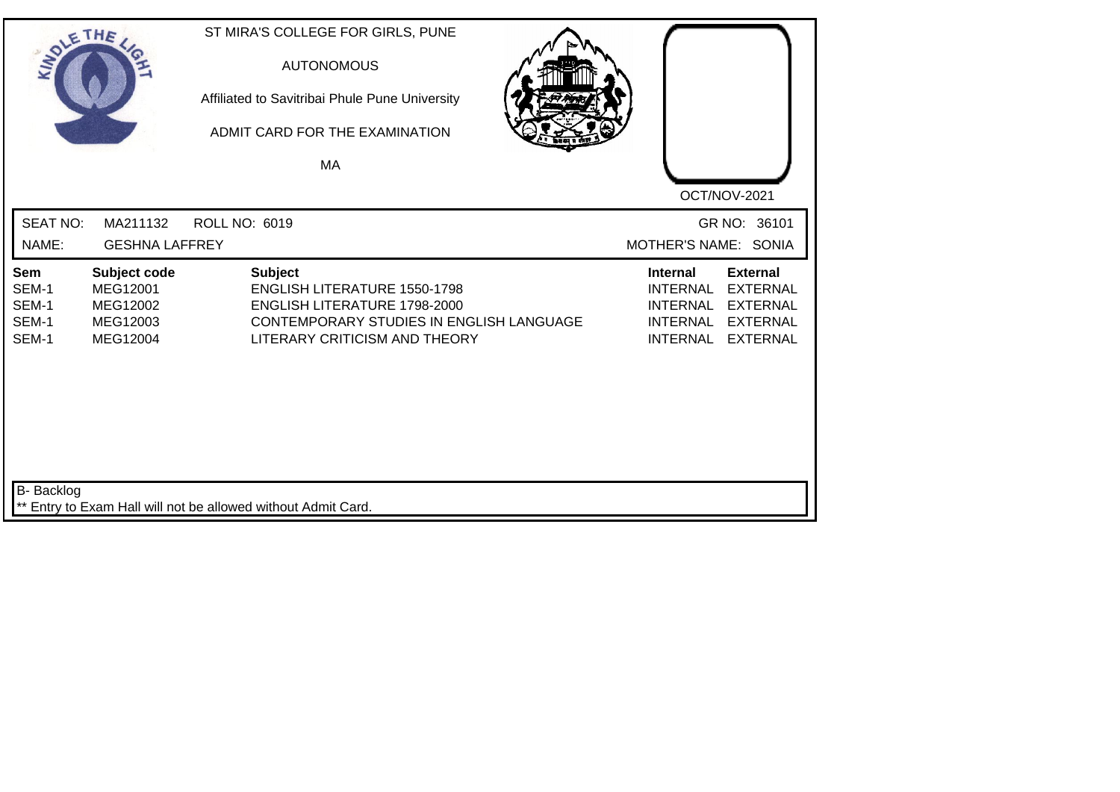| SOLE THE                                |                                                              | ST MIRA'S COLLEGE FOR GIRLS, PUNE<br><b>AUTONOMOUS</b><br>Affiliated to Savitribai Phule Pune University<br>ADMIT CARD FOR THE EXAMINATION<br>MA                          | OCT/NOV-2021                                                                                                                                                                               |
|-----------------------------------------|--------------------------------------------------------------|---------------------------------------------------------------------------------------------------------------------------------------------------------------------------|--------------------------------------------------------------------------------------------------------------------------------------------------------------------------------------------|
| <b>SEAT NO:</b><br>NAME:                | MA211132<br><b>GESHNA LAFFREY</b>                            | <b>ROLL NO: 6019</b>                                                                                                                                                      | GR NO: 36101<br>MOTHER'S NAME: SONIA                                                                                                                                                       |
| Sem<br>SEM-1<br>SEM-1<br>SEM-1<br>SEM-1 | Subject code<br>MEG12001<br>MEG12002<br>MEG12003<br>MEG12004 | <b>Subject</b><br><b>ENGLISH LITERATURE 1550-1798</b><br><b>ENGLISH LITERATURE 1798-2000</b><br>CONTEMPORARY STUDIES IN ENGLISH LANGUAGE<br>LITERARY CRITICISM AND THEORY | <b>Internal</b><br><b>External</b><br><b>INTERNAL</b><br><b>EXTERNAL</b><br><b>EXTERNAL</b><br><b>INTERNAL</b><br><b>EXTERNAL</b><br><b>INTERNAL</b><br><b>INTERNAL</b><br><b>EXTERNAL</b> |
| <b>B-</b> Backlog                       |                                                              | ** Entry to Exam Hall will not be allowed without Admit Card.                                                                                                             |                                                                                                                                                                                            |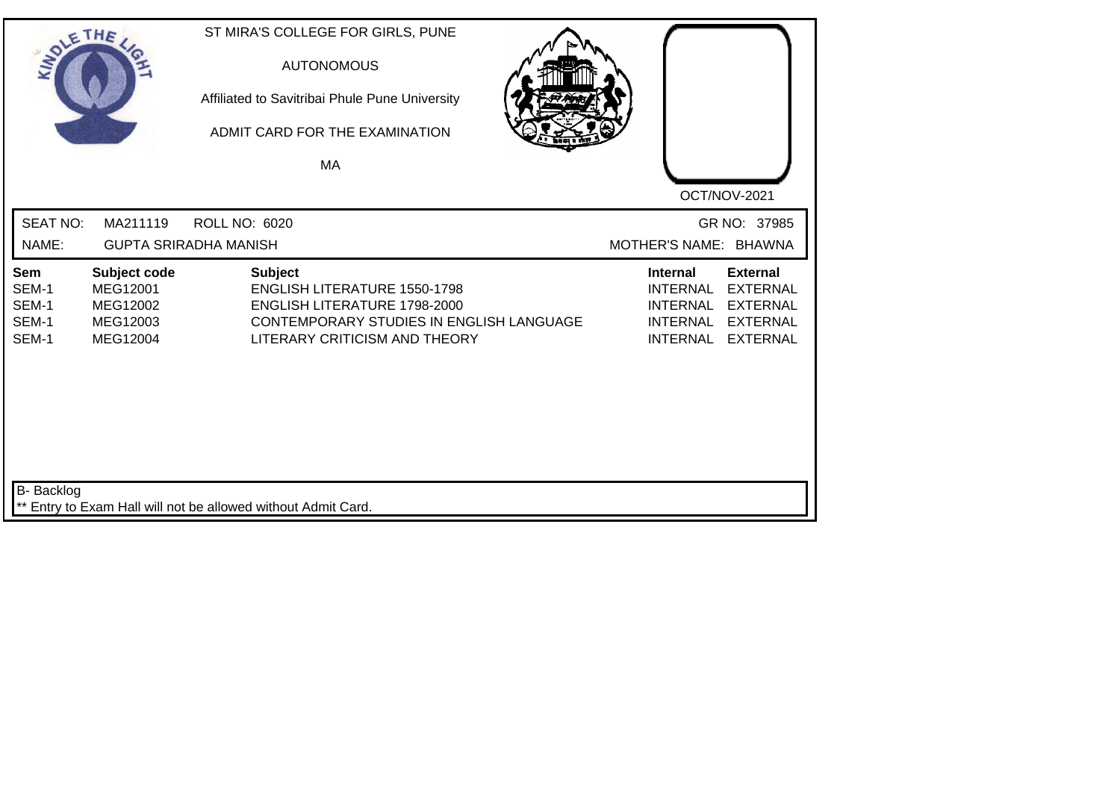| SOLETHE .                               |                                                              | ST MIRA'S COLLEGE FOR GIRLS, PUNE<br><b>AUTONOMOUS</b><br>Affiliated to Savitribai Phule Pune University<br>ADMIT CARD FOR THE EXAMINATION<br>MA                   |                                                                                             |                                                                                             |
|-----------------------------------------|--------------------------------------------------------------|--------------------------------------------------------------------------------------------------------------------------------------------------------------------|---------------------------------------------------------------------------------------------|---------------------------------------------------------------------------------------------|
| <b>SEAT NO:</b><br>NAME:                | MA211119                                                     | <b>ROLL NO: 6020</b><br><b>GUPTA SRIRADHA MANISH</b>                                                                                                               | MOTHER'S NAME: BHAWNA                                                                       | OCT/NOV-2021<br>GR NO: 37985                                                                |
| Sem<br>SEM-1<br>SEM-1<br>SEM-1<br>SEM-1 | Subject code<br>MEG12001<br>MEG12002<br>MEG12003<br>MEG12004 | <b>Subject</b><br><b>ENGLISH LITERATURE 1550-1798</b><br>ENGLISH LITERATURE 1798-2000<br>CONTEMPORARY STUDIES IN ENGLISH LANGUAGE<br>LITERARY CRITICISM AND THEORY | <b>Internal</b><br><b>INTERNAL</b><br><b>INTERNAL</b><br><b>INTERNAL</b><br><b>INTERNAL</b> | <b>External</b><br><b>EXTERNAL</b><br><b>EXTERNAL</b><br><b>EXTERNAL</b><br><b>EXTERNAL</b> |
| <b>B-</b> Backlog                       |                                                              | ** Entry to Exam Hall will not be allowed without Admit Card.                                                                                                      |                                                                                             |                                                                                             |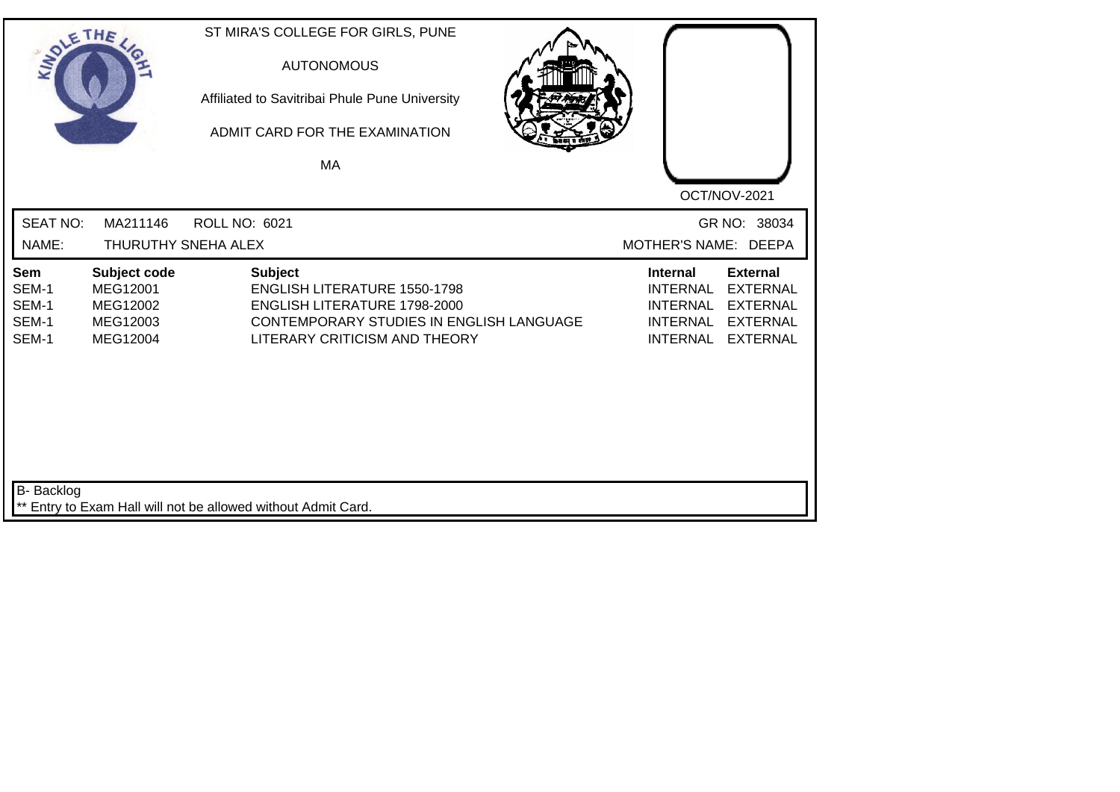| SOLETHE .                                      |                                                              | ST MIRA'S COLLEGE FOR GIRLS, PUNE<br><b>AUTONOMOUS</b><br>Affiliated to Savitribai Phule Pune University<br>ADMIT CARD FOR THE EXAMINATION<br>MA                          | OCT/NOV-2021                                                                                                                                                                               |
|------------------------------------------------|--------------------------------------------------------------|---------------------------------------------------------------------------------------------------------------------------------------------------------------------------|--------------------------------------------------------------------------------------------------------------------------------------------------------------------------------------------|
| <b>SEAT NO:</b><br>NAME:                       | MA211146                                                     | <b>ROLL NO: 6021</b><br>THURUTHY SNEHA ALEX                                                                                                                               | GR NO: 38034<br>MOTHER'S NAME: DEEPA                                                                                                                                                       |
| <b>Sem</b><br>SEM-1<br>SEM-1<br>SEM-1<br>SEM-1 | Subject code<br>MEG12001<br>MEG12002<br>MEG12003<br>MEG12004 | <b>Subject</b><br><b>ENGLISH LITERATURE 1550-1798</b><br>ENGLISH LITERATURE 1798-2000<br><b>CONTEMPORARY STUDIES IN ENGLISH LANGUAGE</b><br>LITERARY CRITICISM AND THEORY | <b>External</b><br><b>Internal</b><br><b>INTERNAL</b><br><b>EXTERNAL</b><br><b>INTERNAL</b><br><b>EXTERNAL</b><br><b>INTERNAL</b><br><b>EXTERNAL</b><br><b>INTERNAL</b><br><b>EXTERNAL</b> |
| <b>B-</b> Backlog                              |                                                              | ** Entry to Exam Hall will not be allowed without Admit Card.                                                                                                             |                                                                                                                                                                                            |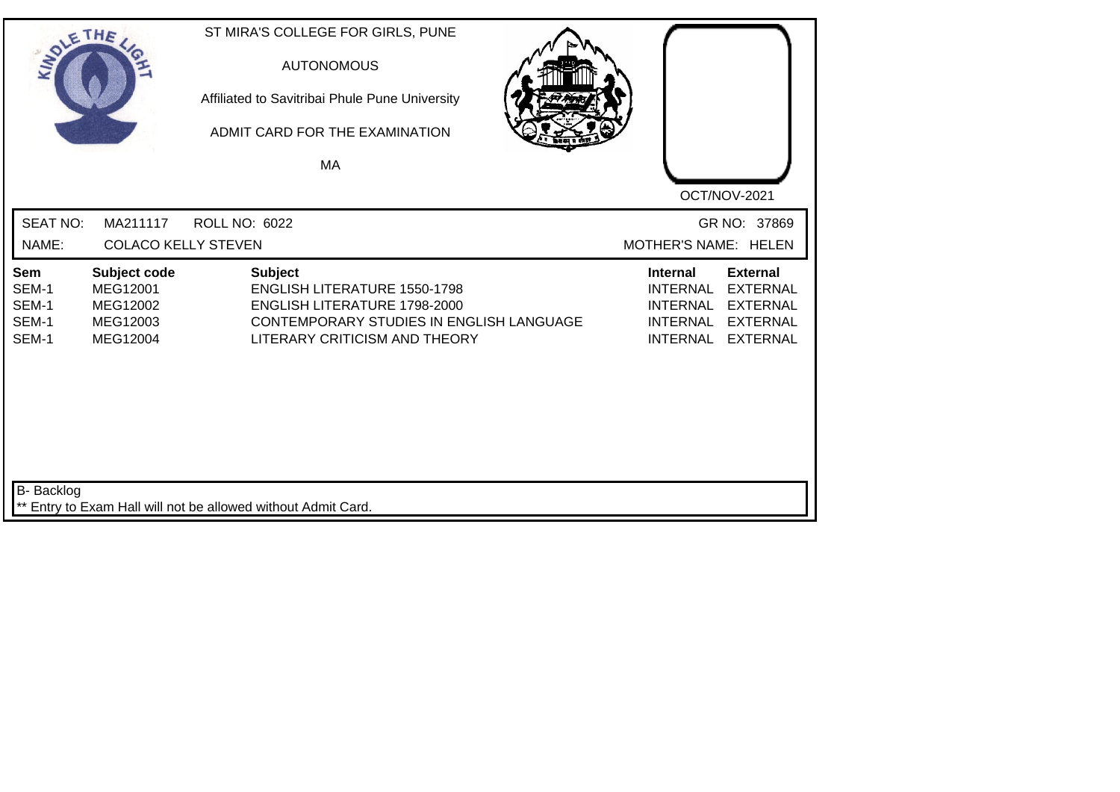| SOLETHE .                               |                                                              | ST MIRA'S COLLEGE FOR GIRLS, PUNE<br><b>AUTONOMOUS</b><br>Affiliated to Savitribai Phule Pune University<br>ADMIT CARD FOR THE EXAMINATION<br>MA                          | OCT/NOV-2021                                                                                                                                                                               |
|-----------------------------------------|--------------------------------------------------------------|---------------------------------------------------------------------------------------------------------------------------------------------------------------------------|--------------------------------------------------------------------------------------------------------------------------------------------------------------------------------------------|
| <b>SEAT NO:</b><br>NAME:                | MA211117<br><b>COLACO KELLY STEVEN</b>                       | <b>ROLL NO: 6022</b>                                                                                                                                                      | GR NO: 37869<br>MOTHER'S NAME: HELEN                                                                                                                                                       |
|                                         |                                                              |                                                                                                                                                                           |                                                                                                                                                                                            |
| Sem<br>SEM-1<br>SEM-1<br>SEM-1<br>SEM-1 | Subject code<br>MEG12001<br>MEG12002<br>MEG12003<br>MEG12004 | <b>Subject</b><br><b>ENGLISH LITERATURE 1550-1798</b><br><b>ENGLISH LITERATURE 1798-2000</b><br>CONTEMPORARY STUDIES IN ENGLISH LANGUAGE<br>LITERARY CRITICISM AND THEORY | <b>Internal</b><br><b>External</b><br><b>INTERNAL</b><br><b>EXTERNAL</b><br><b>EXTERNAL</b><br><b>INTERNAL</b><br><b>INTERNAL</b><br><b>EXTERNAL</b><br><b>INTERNAL</b><br><b>EXTERNAL</b> |
| <b>B-</b> Backlog                       |                                                              | ** Entry to Exam Hall will not be allowed without Admit Card.                                                                                                             |                                                                                                                                                                                            |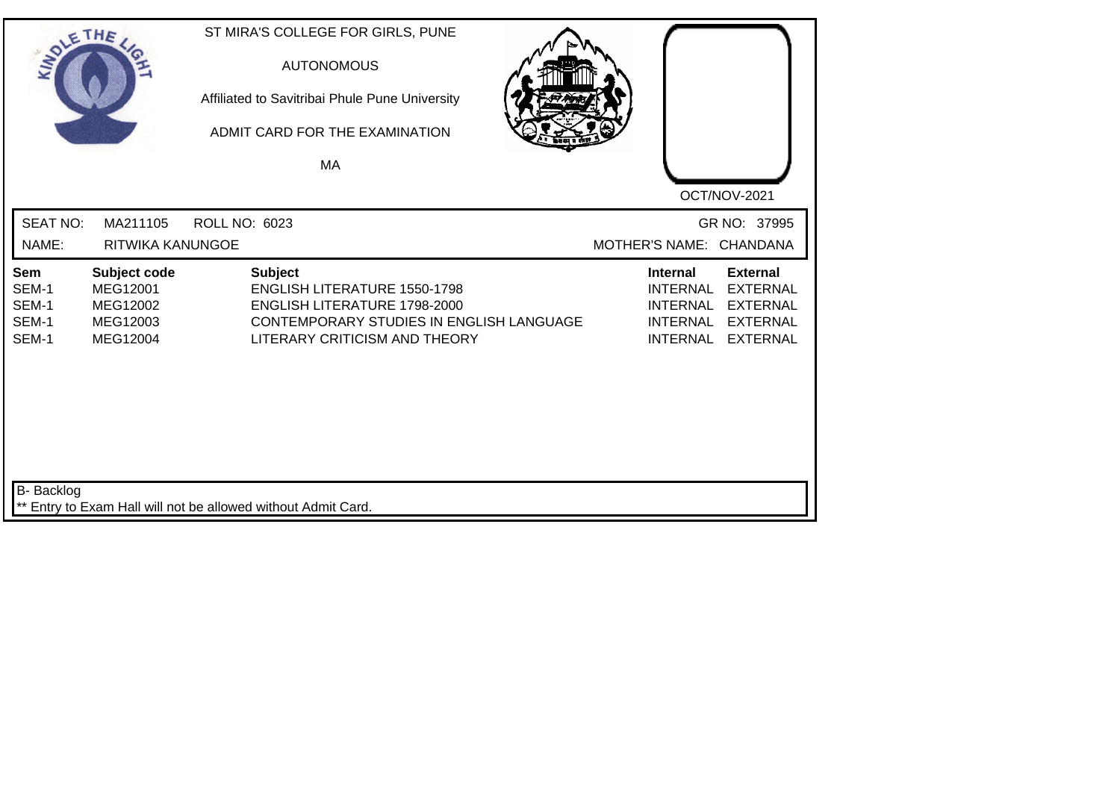| SOLETHE .                                      |                                                              |                      | ST MIRA'S COLLEGE FOR GIRLS, PUNE<br><b>AUTONOMOUS</b><br>Affiliated to Savitribai Phule Pune University<br>ADMIT CARD FOR THE EXAMINATION<br>MA                   |  |                                                                                             | OCT/NOV-2021                                                                                |
|------------------------------------------------|--------------------------------------------------------------|----------------------|--------------------------------------------------------------------------------------------------------------------------------------------------------------------|--|---------------------------------------------------------------------------------------------|---------------------------------------------------------------------------------------------|
| <b>SEAT NO:</b><br>NAME:                       | MA211105<br>RITWIKA KANUNGOE                                 | <b>ROLL NO: 6023</b> |                                                                                                                                                                    |  |                                                                                             | GR NO: 37995<br>MOTHER'S NAME: CHANDANA                                                     |
| <b>Sem</b><br>SEM-1<br>SEM-1<br>SEM-1<br>SEM-1 | Subject code<br>MEG12001<br>MEG12002<br>MEG12003<br>MEG12004 |                      | <b>Subject</b><br><b>ENGLISH LITERATURE 1550-1798</b><br>ENGLISH LITERATURE 1798-2000<br>CONTEMPORARY STUDIES IN ENGLISH LANGUAGE<br>LITERARY CRITICISM AND THEORY |  | <b>Internal</b><br><b>INTERNAL</b><br><b>INTERNAL</b><br><b>INTERNAL</b><br><b>INTERNAL</b> | <b>External</b><br><b>EXTERNAL</b><br><b>EXTERNAL</b><br><b>EXTERNAL</b><br><b>EXTERNAL</b> |
| <b>B-</b> Backlog                              |                                                              |                      | ** Entry to Exam Hall will not be allowed without Admit Card.                                                                                                      |  |                                                                                             |                                                                                             |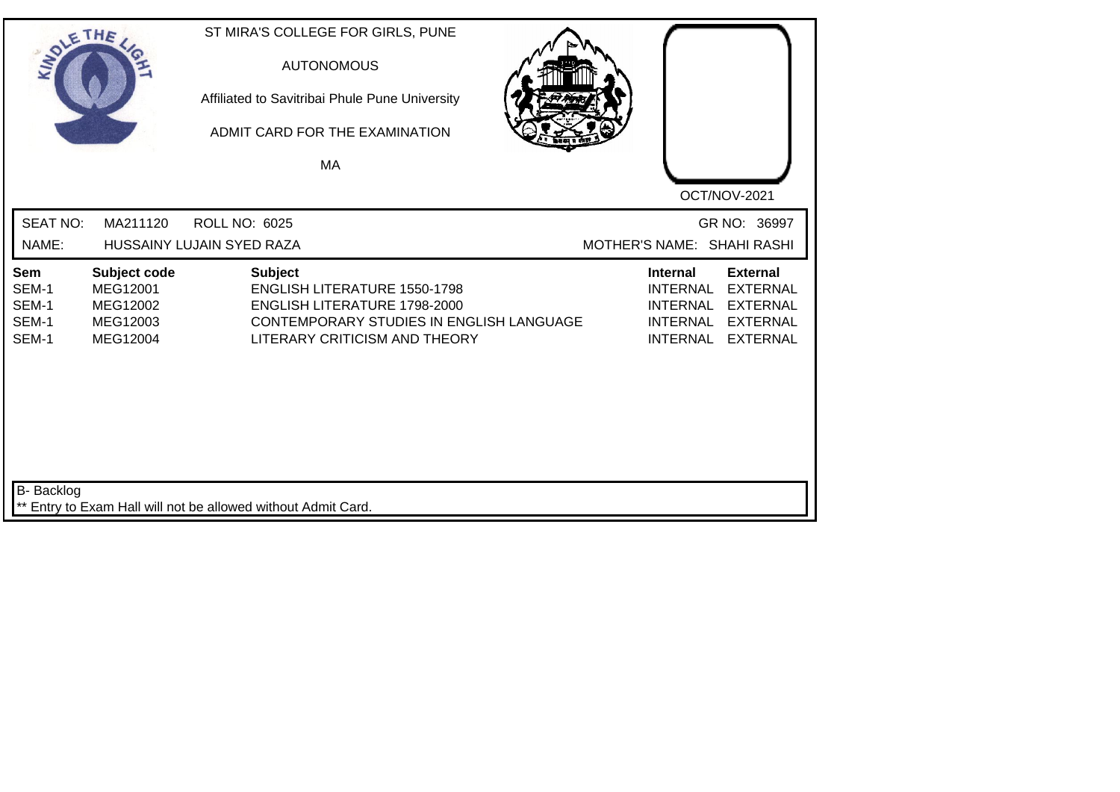| SOLETHE ,                                      |                                                              | ST MIRA'S COLLEGE FOR GIRLS, PUNE<br><b>AUTONOMOUS</b><br>Affiliated to Savitribai Phule Pune University<br>ADMIT CARD FOR THE EXAMINATION<br>MA |                                                                                                                                                         |                                                                                             | OCT/NOV-2021                                                                                |
|------------------------------------------------|--------------------------------------------------------------|--------------------------------------------------------------------------------------------------------------------------------------------------|---------------------------------------------------------------------------------------------------------------------------------------------------------|---------------------------------------------------------------------------------------------|---------------------------------------------------------------------------------------------|
| <b>SEAT NO:</b><br>NAME:                       | MA211120                                                     | <b>ROLL NO: 6025</b><br>HUSSAINY LUJAIN SYED RAZA                                                                                                |                                                                                                                                                         | MOTHER'S NAME: SHAHI RASHI                                                                  | GR NO: 36997                                                                                |
| <b>Sem</b><br>SEM-1<br>SEM-1<br>SEM-1<br>SEM-1 | Subject code<br>MEG12001<br>MEG12002<br>MEG12003<br>MEG12004 | <b>Subject</b>                                                                                                                                   | <b>ENGLISH LITERATURE 1550-1798</b><br><b>ENGLISH LITERATURE 1798-2000</b><br>CONTEMPORARY STUDIES IN ENGLISH LANGUAGE<br>LITERARY CRITICISM AND THEORY | <b>Internal</b><br><b>INTERNAL</b><br><b>INTERNAL</b><br><b>INTERNAL</b><br><b>INTERNAL</b> | <b>External</b><br><b>EXTERNAL</b><br><b>EXTERNAL</b><br><b>EXTERNAL</b><br><b>EXTERNAL</b> |
| B- Backlog                                     |                                                              | ** Entry to Exam Hall will not be allowed without Admit Card.                                                                                    |                                                                                                                                                         |                                                                                             |                                                                                             |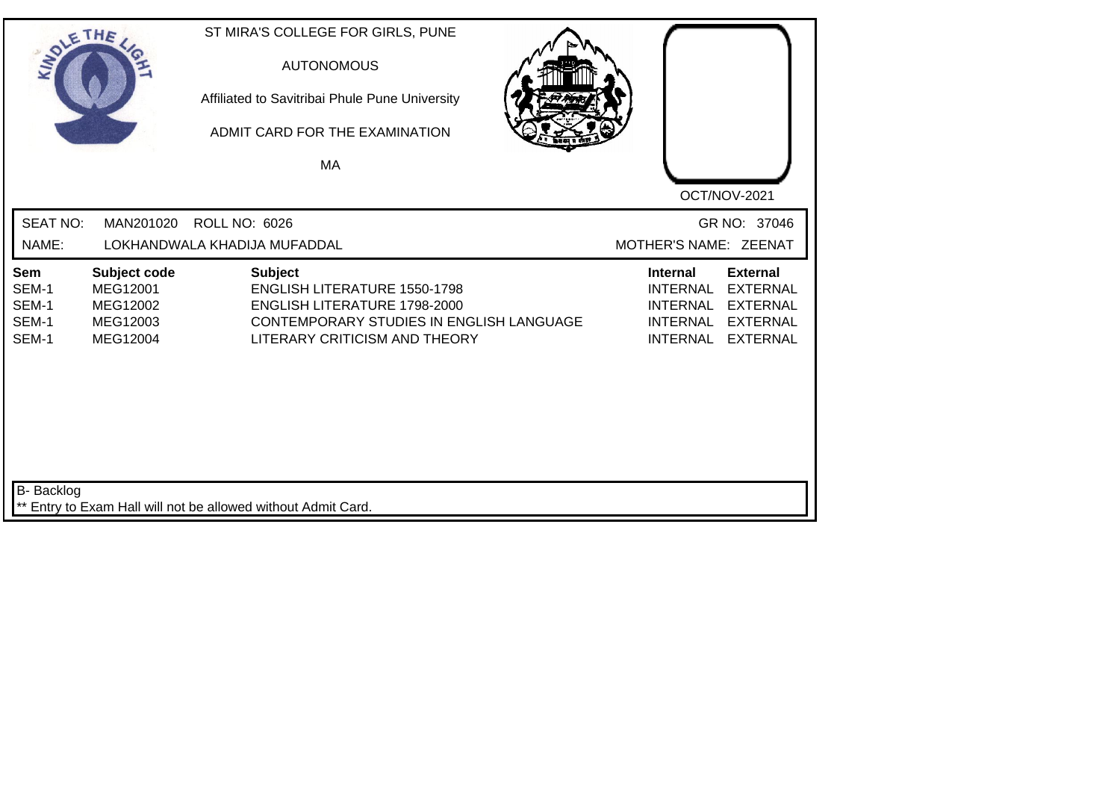| SOLE THE                                |                                                              | ST MIRA'S COLLEGE FOR GIRLS, PUNE<br><b>AUTONOMOUS</b><br>Affiliated to Savitribai Phule Pune University<br>ADMIT CARD FOR THE EXAMINATION<br>MA                          |                                                                                                                                                                                            |
|-----------------------------------------|--------------------------------------------------------------|---------------------------------------------------------------------------------------------------------------------------------------------------------------------------|--------------------------------------------------------------------------------------------------------------------------------------------------------------------------------------------|
| <b>SEAT NO:</b><br>NAME:                | MAN201020                                                    | <b>ROLL NO: 6026</b><br>LOKHANDWALA KHADIJA MUFADDAL                                                                                                                      | OCT/NOV-2021<br>GR NO: 37046<br>MOTHER'S NAME: ZEENAT                                                                                                                                      |
| Sem<br>SEM-1<br>SEM-1<br>SEM-1<br>SEM-1 | Subject code<br>MEG12001<br>MEG12002<br>MEG12003<br>MEG12004 | <b>Subject</b><br><b>ENGLISH LITERATURE 1550-1798</b><br><b>ENGLISH LITERATURE 1798-2000</b><br>CONTEMPORARY STUDIES IN ENGLISH LANGUAGE<br>LITERARY CRITICISM AND THEORY | <b>External</b><br><b>Internal</b><br><b>INTERNAL</b><br><b>EXTERNAL</b><br><b>INTERNAL</b><br><b>EXTERNAL</b><br><b>INTERNAL</b><br><b>EXTERNAL</b><br><b>INTERNAL</b><br><b>EXTERNAL</b> |
| B- Backlog                              |                                                              | Entry to Exam Hall will not be allowed without Admit Card.                                                                                                                |                                                                                                                                                                                            |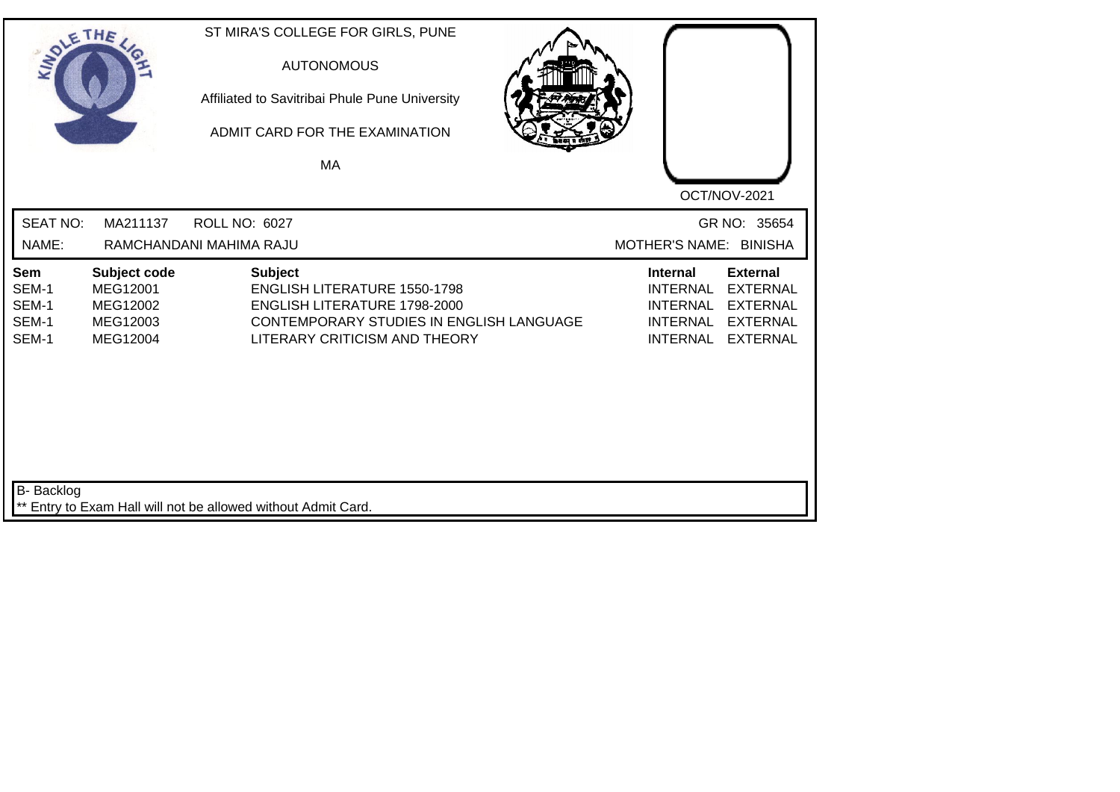|                                         | THE                                                          | ST MIRA'S COLLEGE FOR GIRLS, PUNE<br><b>AUTONOMOUS</b><br>Affiliated to Savitribai Phule Pune University<br>ADMIT CARD FOR THE EXAMINATION<br>MA                          | OCT/NOV-2021                                                                                                                                                                               |
|-----------------------------------------|--------------------------------------------------------------|---------------------------------------------------------------------------------------------------------------------------------------------------------------------------|--------------------------------------------------------------------------------------------------------------------------------------------------------------------------------------------|
| <b>SEAT NO:</b><br>NAME:                | MA211137                                                     | ROLL NO: 6027<br>RAMCHANDANI MAHIMA RAJU                                                                                                                                  | GR NO: 35654<br>MOTHER'S NAME: BINISHA                                                                                                                                                     |
| Sem<br>SEM-1<br>SEM-1<br>SEM-1<br>SEM-1 | Subject code<br>MEG12001<br>MEG12002<br>MEG12003<br>MEG12004 | <b>Subject</b><br><b>ENGLISH LITERATURE 1550-1798</b><br><b>ENGLISH LITERATURE 1798-2000</b><br>CONTEMPORARY STUDIES IN ENGLISH LANGUAGE<br>LITERARY CRITICISM AND THEORY | <b>External</b><br><b>Internal</b><br><b>INTERNAL</b><br><b>EXTERNAL</b><br><b>INTERNAL</b><br><b>EXTERNAL</b><br><b>INTERNAL</b><br><b>EXTERNAL</b><br><b>INTERNAL</b><br><b>EXTERNAL</b> |
| <b>B-</b> Backlog                       |                                                              | ** Entry to Exam Hall will not be allowed without Admit Card.                                                                                                             |                                                                                                                                                                                            |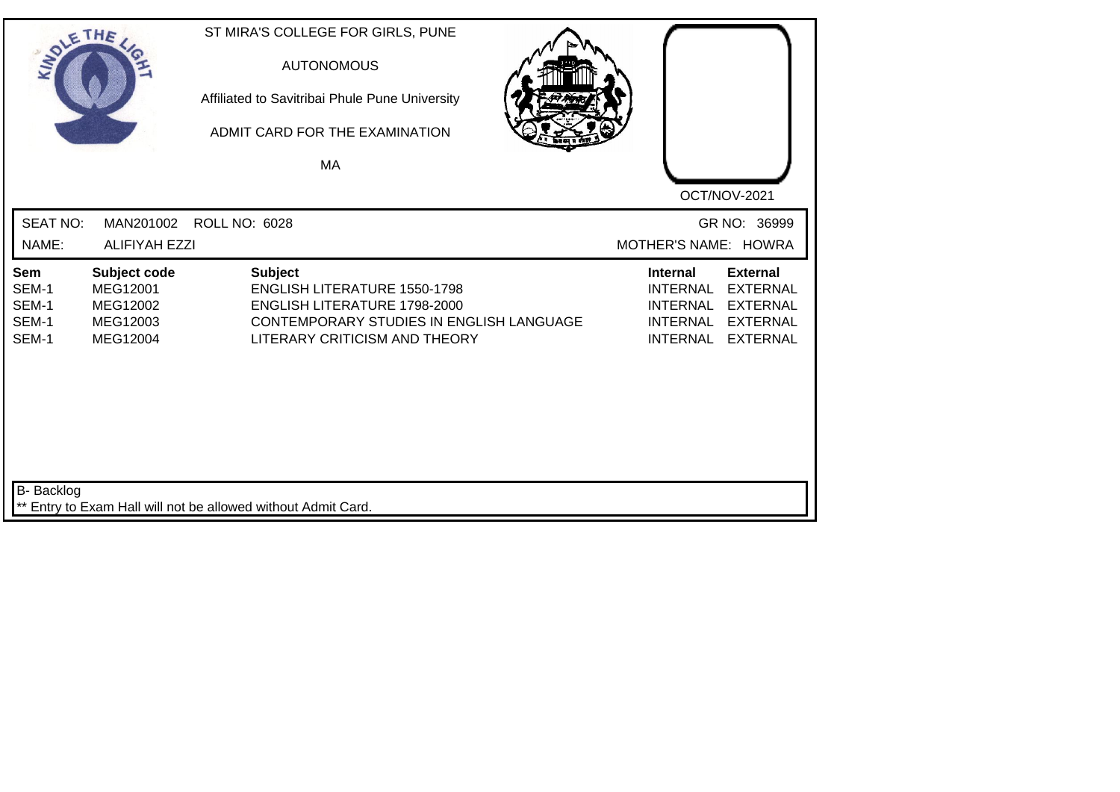| SOLETHE .                               |                                                              | ST MIRA'S COLLEGE FOR GIRLS, PUNE<br><b>AUTONOMOUS</b><br>Affiliated to Savitribai Phule Pune University<br>ADMIT CARD FOR THE EXAMINATION<br>MA                                 |                                                                                                                                                                                            |
|-----------------------------------------|--------------------------------------------------------------|----------------------------------------------------------------------------------------------------------------------------------------------------------------------------------|--------------------------------------------------------------------------------------------------------------------------------------------------------------------------------------------|
| <b>SEAT NO:</b><br>NAME:                | MAN201002<br><b>ALIFIYAH EZZI</b>                            | <b>ROLL NO: 6028</b>                                                                                                                                                             | OCT/NOV-2021<br>GR NO: 36999<br>MOTHER'S NAME: HOWRA                                                                                                                                       |
| Sem<br>SEM-1<br>SEM-1<br>SEM-1<br>SEM-1 | Subject code<br>MEG12001<br>MEG12002<br>MEG12003<br>MEG12004 | <b>Subject</b><br><b>ENGLISH LITERATURE 1550-1798</b><br><b>ENGLISH LITERATURE 1798-2000</b><br><b>CONTEMPORARY STUDIES IN ENGLISH LANGUAGE</b><br>LITERARY CRITICISM AND THEORY | <b>External</b><br><b>Internal</b><br><b>INTERNAL</b><br><b>EXTERNAL</b><br><b>INTERNAL</b><br><b>EXTERNAL</b><br><b>INTERNAL</b><br><b>EXTERNAL</b><br><b>INTERNAL</b><br><b>EXTERNAL</b> |
| <b>B-</b> Backlog                       |                                                              | ** Entry to Exam Hall will not be allowed without Admit Card.                                                                                                                    |                                                                                                                                                                                            |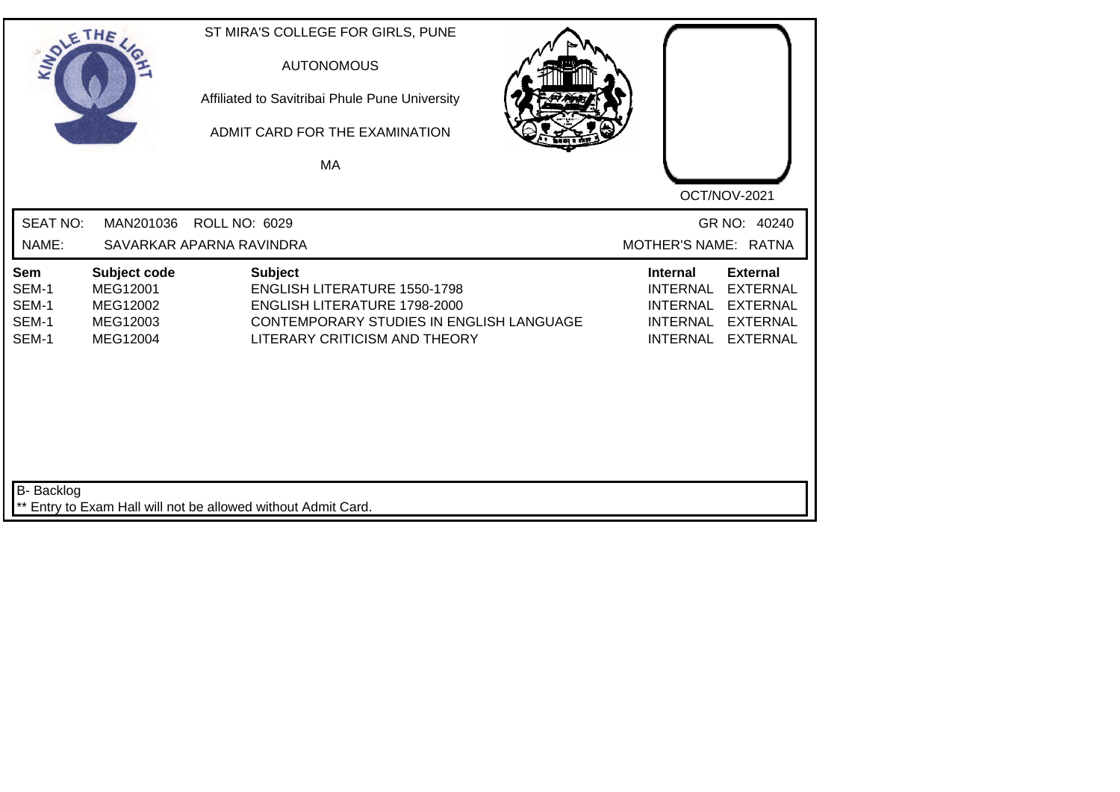| SOLE THE                                |                                                              | ST MIRA'S COLLEGE FOR GIRLS, PUNE<br><b>AUTONOMOUS</b><br>Affiliated to Savitribai Phule Pune University<br>ADMIT CARD FOR THE EXAMINATION<br>MA                                 |  |                                                                                             |                                                                                             |
|-----------------------------------------|--------------------------------------------------------------|----------------------------------------------------------------------------------------------------------------------------------------------------------------------------------|--|---------------------------------------------------------------------------------------------|---------------------------------------------------------------------------------------------|
| <b>SEAT NO:</b>                         | MAN201036                                                    | ROLL NO: 6029                                                                                                                                                                    |  |                                                                                             | OCT/NOV-2021<br>GR NO: 40240                                                                |
| NAME:                                   |                                                              | SAVARKAR APARNA RAVINDRA                                                                                                                                                         |  | MOTHER'S NAME: RATNA                                                                        |                                                                                             |
| Sem<br>SEM-1<br>SEM-1<br>SEM-1<br>SEM-1 | Subject code<br>MEG12001<br>MEG12002<br>MEG12003<br>MEG12004 | <b>Subject</b><br><b>ENGLISH LITERATURE 1550-1798</b><br><b>ENGLISH LITERATURE 1798-2000</b><br><b>CONTEMPORARY STUDIES IN ENGLISH LANGUAGE</b><br>LITERARY CRITICISM AND THEORY |  | <b>Internal</b><br><b>INTERNAL</b><br><b>INTERNAL</b><br><b>INTERNAL</b><br><b>INTERNAL</b> | <b>External</b><br><b>EXTERNAL</b><br><b>EXTERNAL</b><br><b>EXTERNAL</b><br><b>EXTERNAL</b> |
| <b>B-</b> Backlog                       |                                                              | ** Entry to Exam Hall will not be allowed without Admit Card.                                                                                                                    |  |                                                                                             |                                                                                             |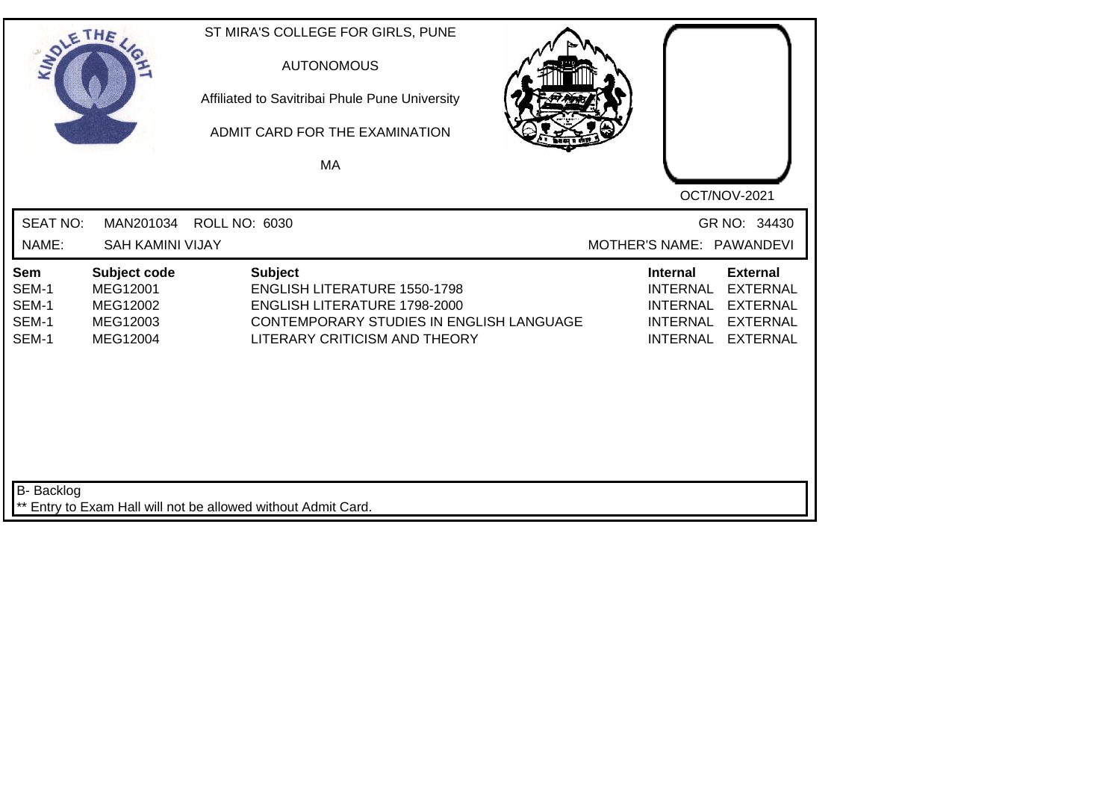| SOLETHE .                               |                                                              | ST MIRA'S COLLEGE FOR GIRLS, PUNE<br><b>AUTONOMOUS</b><br>Affiliated to Savitribai Phule Pune University<br>ADMIT CARD FOR THE EXAMINATION<br>MA                   | OCT/NOV-2021                                                                                                                                                                               |
|-----------------------------------------|--------------------------------------------------------------|--------------------------------------------------------------------------------------------------------------------------------------------------------------------|--------------------------------------------------------------------------------------------------------------------------------------------------------------------------------------------|
| <b>SEAT NO:</b><br>NAME:                | MAN201034<br><b>SAH KAMINI VIJAY</b>                         | <b>ROLL NO: 6030</b>                                                                                                                                               | GR NO: 34430<br>MOTHER'S NAME: PAWANDEVI                                                                                                                                                   |
| Sem<br>SEM-1<br>SEM-1<br>SEM-1<br>SEM-1 | Subject code<br>MEG12001<br>MEG12002<br>MEG12003<br>MEG12004 | <b>Subject</b><br><b>ENGLISH LITERATURE 1550-1798</b><br>ENGLISH LITERATURE 1798-2000<br>CONTEMPORARY STUDIES IN ENGLISH LANGUAGE<br>LITERARY CRITICISM AND THEORY | <b>External</b><br><b>Internal</b><br><b>INTERNAL</b><br><b>EXTERNAL</b><br><b>INTERNAL</b><br><b>EXTERNAL</b><br><b>INTERNAL</b><br><b>EXTERNAL</b><br><b>INTERNAL</b><br><b>EXTERNAL</b> |
| <b>B-</b> Backlog                       |                                                              | ** Entry to Exam Hall will not be allowed without Admit Card.                                                                                                      |                                                                                                                                                                                            |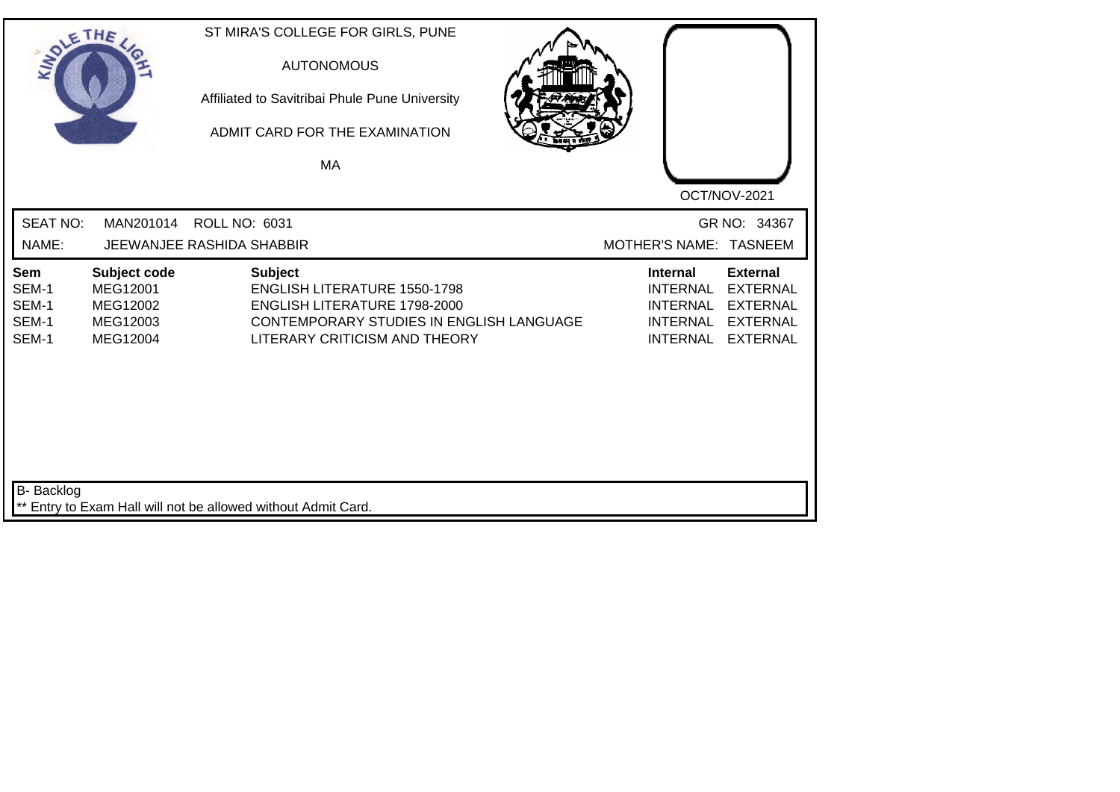| SOLETHE .                               |                                                              |                                                               | ST MIRA'S COLLEGE FOR GIRLS, PUNE<br><b>AUTONOMOUS</b><br>Affiliated to Savitribai Phule Pune University<br>ADMIT CARD FOR THE EXAMINATION<br>MA        |  |                                                                                             | OCT/NOV-2021                                                                                |
|-----------------------------------------|--------------------------------------------------------------|---------------------------------------------------------------|---------------------------------------------------------------------------------------------------------------------------------------------------------|--|---------------------------------------------------------------------------------------------|---------------------------------------------------------------------------------------------|
| <b>SEAT NO:</b><br>NAME:                | MAN201014                                                    | <b>ROLL NO: 6031</b><br>JEEWANJEE RASHIDA SHABBIR             |                                                                                                                                                         |  |                                                                                             | GR NO: 34367<br>MOTHER'S NAME: TASNEEM                                                      |
| Sem<br>SEM-1<br>SEM-1<br>SEM-1<br>SEM-1 | Subject code<br>MEG12001<br>MEG12002<br>MEG12003<br>MEG12004 | <b>Subject</b>                                                | <b>ENGLISH LITERATURE 1550-1798</b><br><b>ENGLISH LITERATURE 1798-2000</b><br>CONTEMPORARY STUDIES IN ENGLISH LANGUAGE<br>LITERARY CRITICISM AND THEORY |  | <b>Internal</b><br><b>INTERNAL</b><br><b>INTERNAL</b><br><b>INTERNAL</b><br><b>INTERNAL</b> | <b>External</b><br><b>EXTERNAL</b><br><b>EXTERNAL</b><br><b>EXTERNAL</b><br><b>EXTERNAL</b> |
| <b>B-</b> Backlog                       |                                                              | ** Entry to Exam Hall will not be allowed without Admit Card. |                                                                                                                                                         |  |                                                                                             |                                                                                             |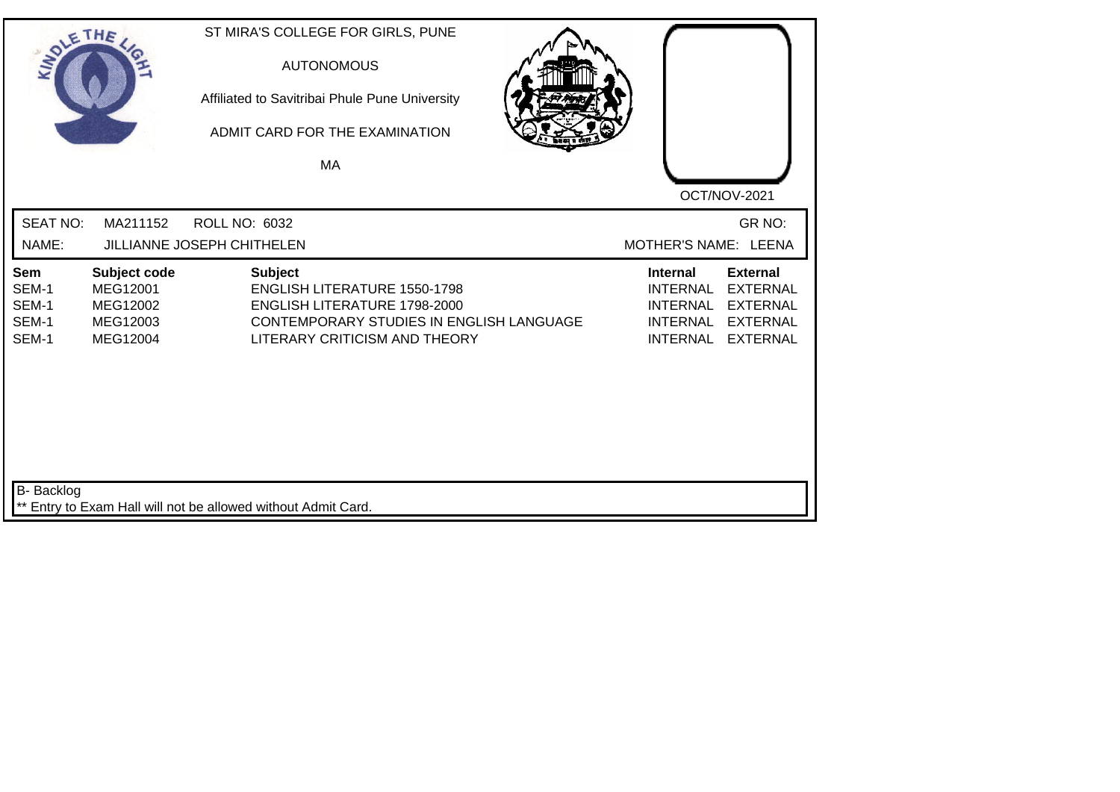| SOLETHE .                               |                                                              | ST MIRA'S COLLEGE FOR GIRLS, PUNE<br><b>AUTONOMOUS</b><br>Affiliated to Savitribai Phule Pune University<br>ADMIT CARD FOR THE EXAMINATION<br>MA                   | OCT/NOV-2021                                                                                                                                                                               |
|-----------------------------------------|--------------------------------------------------------------|--------------------------------------------------------------------------------------------------------------------------------------------------------------------|--------------------------------------------------------------------------------------------------------------------------------------------------------------------------------------------|
| <b>SEAT NO:</b><br>NAME:                | MA211152                                                     | ROLL NO: 6032<br>JILLIANNE JOSEPH CHITHELEN                                                                                                                        | GR NO:<br>MOTHER'S NAME: LEENA                                                                                                                                                             |
| Sem<br>SEM-1<br>SEM-1<br>SEM-1<br>SEM-1 | Subject code<br>MEG12001<br>MEG12002<br>MEG12003<br>MEG12004 | <b>Subject</b><br><b>ENGLISH LITERATURE 1550-1798</b><br>ENGLISH LITERATURE 1798-2000<br>CONTEMPORARY STUDIES IN ENGLISH LANGUAGE<br>LITERARY CRITICISM AND THEORY | <b>Internal</b><br><b>External</b><br><b>INTERNAL</b><br><b>EXTERNAL</b><br><b>EXTERNAL</b><br><b>INTERNAL</b><br><b>INTERNAL</b><br><b>EXTERNAL</b><br><b>INTERNAL</b><br><b>EXTERNAL</b> |
| <b>B-</b> Backlog                       |                                                              | ** Entry to Exam Hall will not be allowed without Admit Card.                                                                                                      |                                                                                                                                                                                            |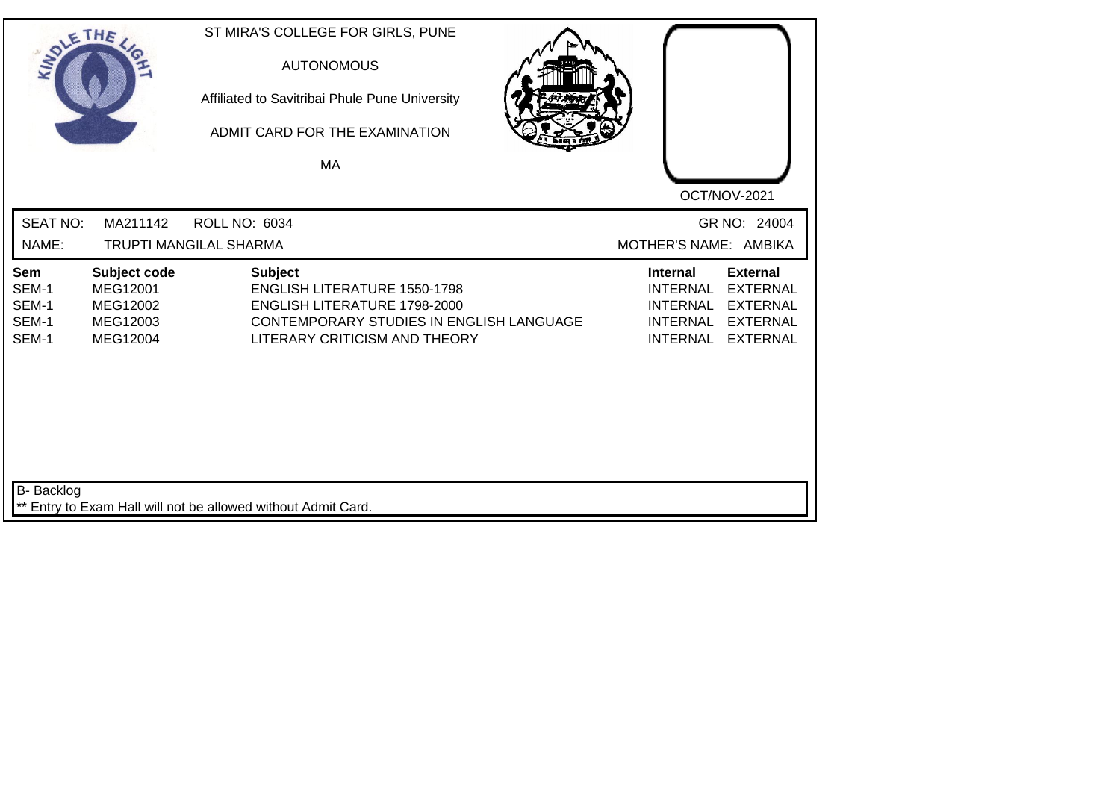| SOLETHE                                        |                                                              | ST MIRA'S COLLEGE FOR GIRLS, PUNE<br><b>AUTONOMOUS</b><br>Affiliated to Savitribai Phule Pune University<br>ADMIT CARD FOR THE EXAMINATION<br>MA                   | OCT/NOV-2021                                                                                                                                                                               |
|------------------------------------------------|--------------------------------------------------------------|--------------------------------------------------------------------------------------------------------------------------------------------------------------------|--------------------------------------------------------------------------------------------------------------------------------------------------------------------------------------------|
| <b>SEAT NO:</b><br>NAME:                       | MA211142                                                     | <b>ROLL NO: 6034</b><br><b>TRUPTI MANGILAL SHARMA</b>                                                                                                              | GR NO: 24004<br>MOTHER'S NAME: AMBIKA                                                                                                                                                      |
| <b>Sem</b><br>SEM-1<br>SEM-1<br>SEM-1<br>SEM-1 | Subject code<br>MEG12001<br>MEG12002<br>MEG12003<br>MEG12004 | <b>Subject</b><br><b>ENGLISH LITERATURE 1550-1798</b><br>ENGLISH LITERATURE 1798-2000<br>CONTEMPORARY STUDIES IN ENGLISH LANGUAGE<br>LITERARY CRITICISM AND THEORY | <b>External</b><br><b>Internal</b><br><b>INTERNAL</b><br><b>EXTERNAL</b><br><b>INTERNAL</b><br><b>EXTERNAL</b><br><b>INTERNAL</b><br><b>EXTERNAL</b><br><b>INTERNAL</b><br><b>EXTERNAL</b> |
| <b>B-</b> Backlog                              |                                                              | ** Entry to Exam Hall will not be allowed without Admit Card.                                                                                                      |                                                                                                                                                                                            |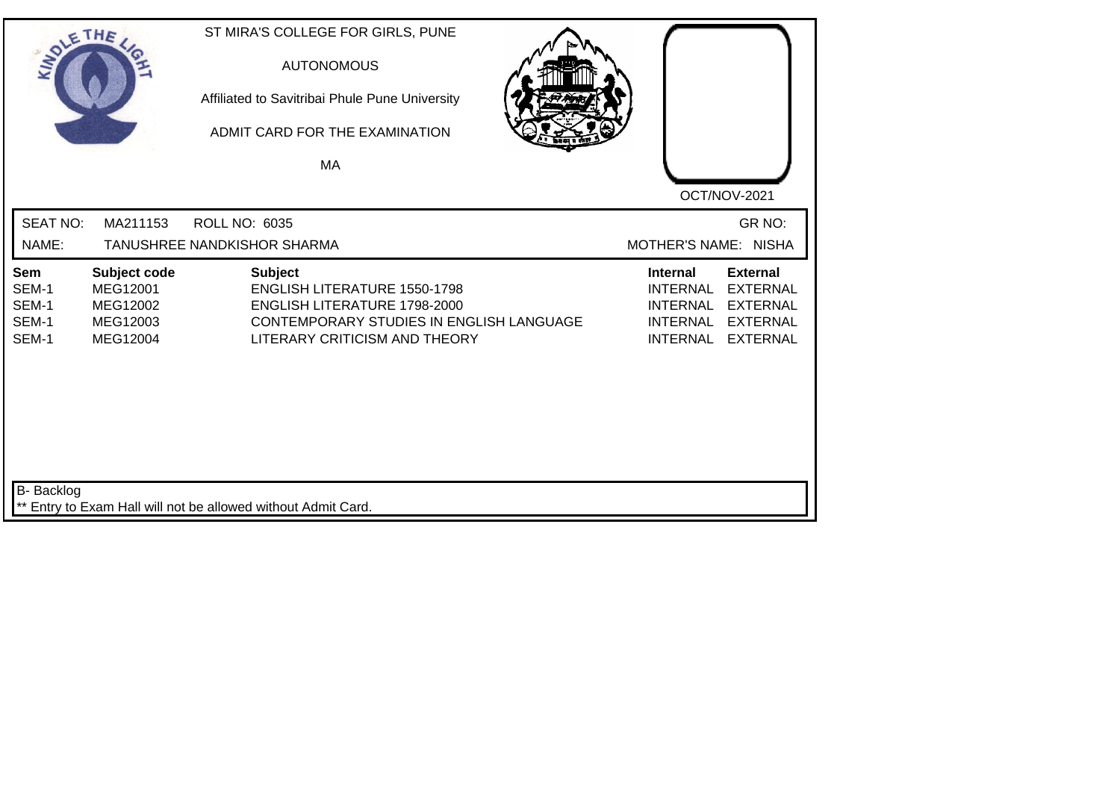| SOLETHE .                               |                                                              | ST MIRA'S COLLEGE FOR GIRLS, PUNE<br><b>AUTONOMOUS</b><br>Affiliated to Savitribai Phule Pune University<br>ADMIT CARD FOR THE EXAMINATION<br>MA                   |                                                                                                                                                                                            |
|-----------------------------------------|--------------------------------------------------------------|--------------------------------------------------------------------------------------------------------------------------------------------------------------------|--------------------------------------------------------------------------------------------------------------------------------------------------------------------------------------------|
| <b>SEAT NO:</b><br>NAME:                | MA211153                                                     | <b>ROLL NO: 6035</b><br>TANUSHREE NANDKISHOR SHARMA                                                                                                                | OCT/NOV-2021<br>GR NO:<br>MOTHER'S NAME: NISHA                                                                                                                                             |
| Sem<br>SEM-1<br>SEM-1<br>SEM-1<br>SEM-1 | Subject code<br>MEG12001<br>MEG12002<br>MEG12003<br>MEG12004 | <b>Subject</b><br><b>ENGLISH LITERATURE 1550-1798</b><br>ENGLISH LITERATURE 1798-2000<br>CONTEMPORARY STUDIES IN ENGLISH LANGUAGE<br>LITERARY CRITICISM AND THEORY | <b>External</b><br><b>Internal</b><br><b>EXTERNAL</b><br><b>INTERNAL</b><br><b>INTERNAL</b><br><b>EXTERNAL</b><br><b>INTERNAL</b><br><b>EXTERNAL</b><br><b>INTERNAL</b><br><b>EXTERNAL</b> |
| <b>B-</b> Backlog                       |                                                              | ** Entry to Exam Hall will not be allowed without Admit Card.                                                                                                      |                                                                                                                                                                                            |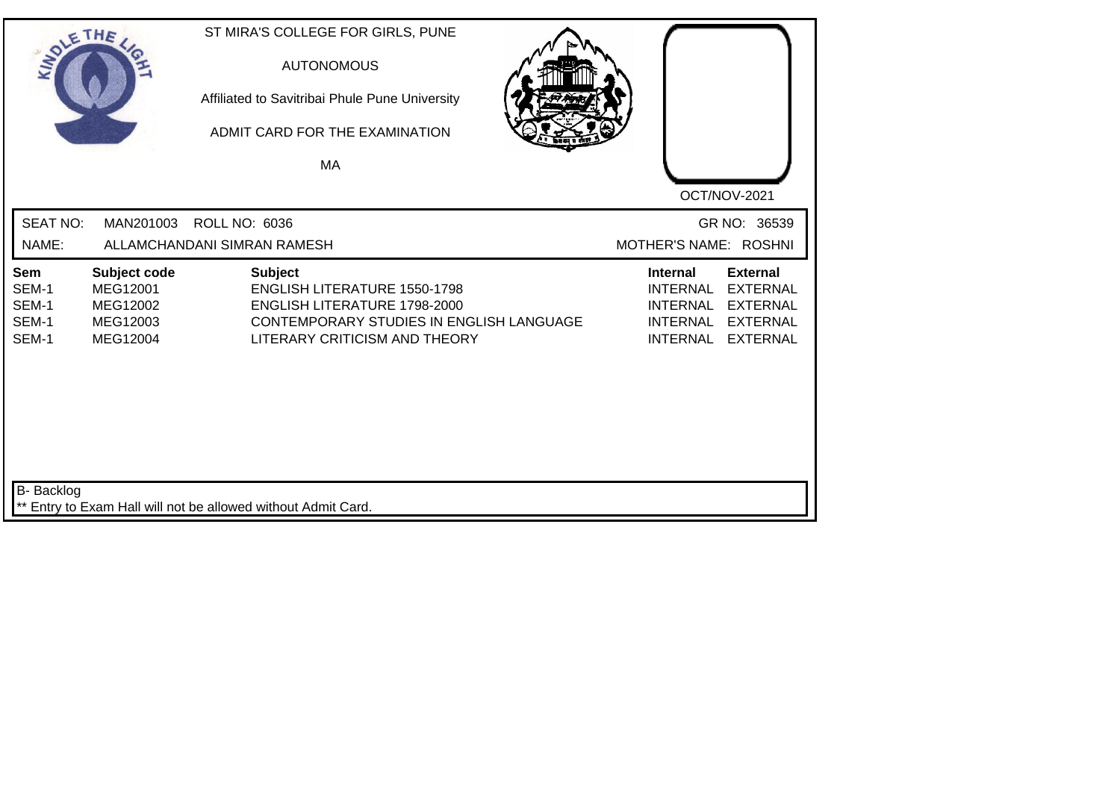| SOLE THE                                |                                                              | ST MIRA'S COLLEGE FOR GIRLS, PUNE<br><b>AUTONOMOUS</b><br>Affiliated to Savitribai Phule Pune University<br>ADMIT CARD FOR THE EXAMINATION<br>МA                          |                                                                                                                                                                                            |
|-----------------------------------------|--------------------------------------------------------------|---------------------------------------------------------------------------------------------------------------------------------------------------------------------------|--------------------------------------------------------------------------------------------------------------------------------------------------------------------------------------------|
| <b>SEAT NO:</b><br>NAME:                | MAN201003                                                    | <b>ROLL NO: 6036</b><br>ALLAMCHANDANI SIMRAN RAMESH                                                                                                                       | OCT/NOV-2021<br>GR NO: 36539<br>MOTHER'S NAME: ROSHNI                                                                                                                                      |
| Sem<br>SEM-1<br>SEM-1<br>SEM-1<br>SEM-1 | Subject code<br>MEG12001<br>MEG12002<br>MEG12003<br>MEG12004 | <b>Subject</b><br><b>ENGLISH LITERATURE 1550-1798</b><br><b>ENGLISH LITERATURE 1798-2000</b><br>CONTEMPORARY STUDIES IN ENGLISH LANGUAGE<br>LITERARY CRITICISM AND THEORY | <b>Internal</b><br><b>External</b><br><b>EXTERNAL</b><br><b>INTERNAL</b><br><b>INTERNAL</b><br><b>EXTERNAL</b><br><b>INTERNAL</b><br><b>EXTERNAL</b><br><b>INTERNAL</b><br><b>EXTERNAL</b> |
| <b>B-</b> Backlog                       |                                                              | ** Entry to Exam Hall will not be allowed without Admit Card.                                                                                                             |                                                                                                                                                                                            |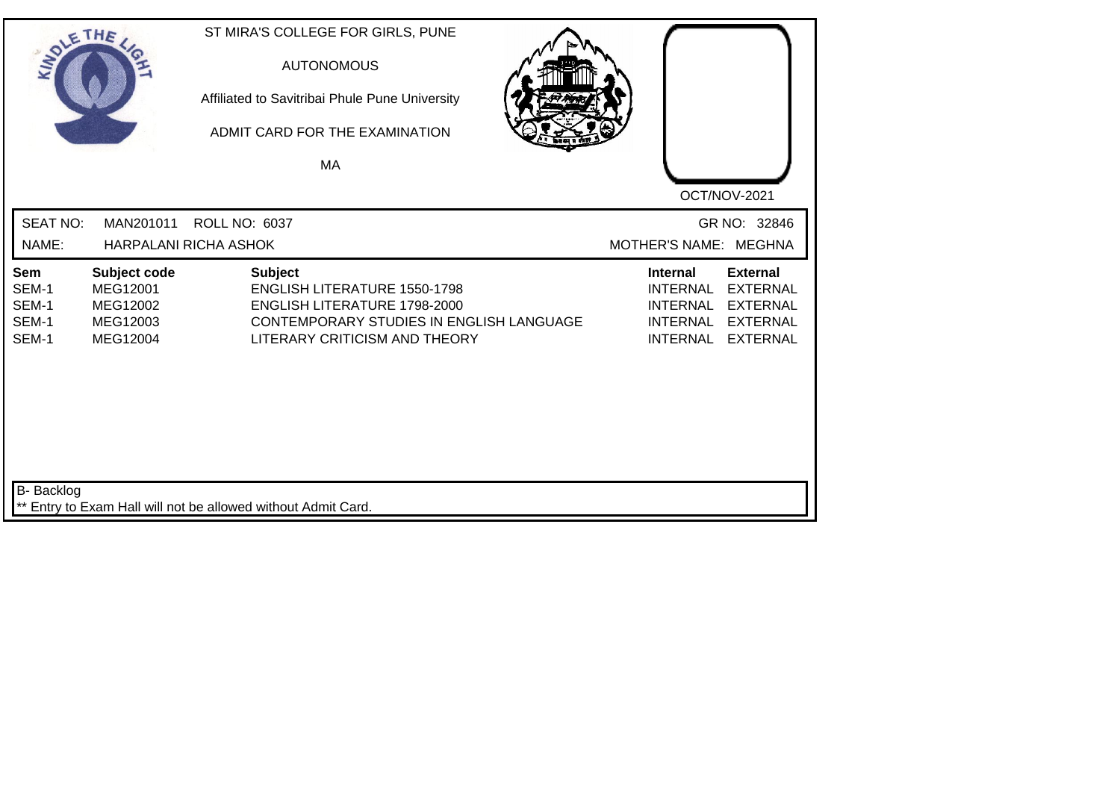| SOLETHE.                                       |                                                              | ST MIRA'S COLLEGE FOR GIRLS, PUNE<br><b>AUTONOMOUS</b><br>Affiliated to Savitribai Phule Pune University<br>ADMIT CARD FOR THE EXAMINATION<br>MA                   |  |                                                                                             | OCT/NOV-2021                                                                                |
|------------------------------------------------|--------------------------------------------------------------|--------------------------------------------------------------------------------------------------------------------------------------------------------------------|--|---------------------------------------------------------------------------------------------|---------------------------------------------------------------------------------------------|
| <b>SEAT NO:</b><br>NAME:                       | MAN201011                                                    | ROLL NO: 6037<br>HARPALANI RICHA ASHOK                                                                                                                             |  | MOTHER'S NAME: MEGHNA                                                                       | GR NO: 32846                                                                                |
| <b>Sem</b><br>SEM-1<br>SEM-1<br>SEM-1<br>SEM-1 | Subject code<br>MEG12001<br>MEG12002<br>MEG12003<br>MEG12004 | <b>Subject</b><br><b>ENGLISH LITERATURE 1550-1798</b><br>ENGLISH LITERATURE 1798-2000<br>CONTEMPORARY STUDIES IN ENGLISH LANGUAGE<br>LITERARY CRITICISM AND THEORY |  | <b>Internal</b><br><b>INTERNAL</b><br><b>INTERNAL</b><br><b>INTERNAL</b><br><b>INTERNAL</b> | <b>External</b><br><b>EXTERNAL</b><br><b>EXTERNAL</b><br><b>EXTERNAL</b><br><b>EXTERNAL</b> |
| <b>B-</b> Backlog                              |                                                              | ** Entry to Exam Hall will not be allowed without Admit Card.                                                                                                      |  |                                                                                             |                                                                                             |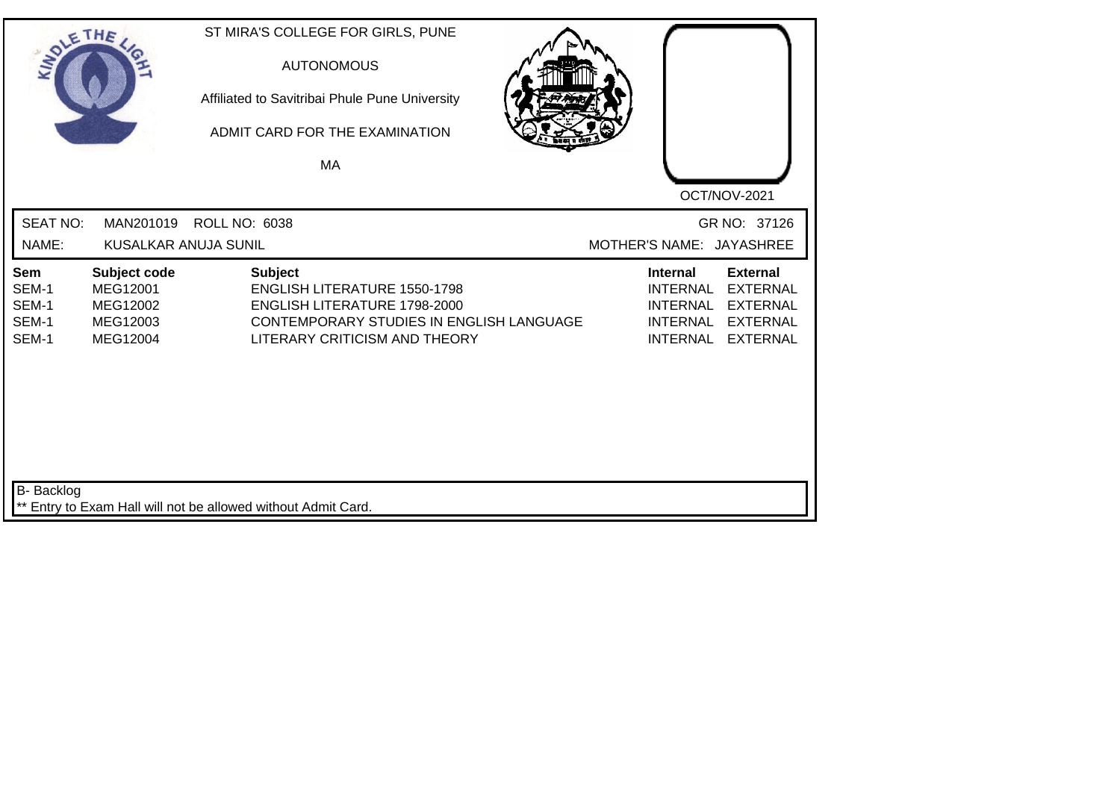| SOLE THE                                |                                                              |                                                               | ST MIRA'S COLLEGE FOR GIRLS, PUNE<br><b>AUTONOMOUS</b><br>Affiliated to Savitribai Phule Pune University<br>ADMIT CARD FOR THE EXAMINATION<br>MA        |                                                                                                                                                                                            |
|-----------------------------------------|--------------------------------------------------------------|---------------------------------------------------------------|---------------------------------------------------------------------------------------------------------------------------------------------------------|--------------------------------------------------------------------------------------------------------------------------------------------------------------------------------------------|
| <b>SEAT NO:</b><br>NAME:                | MAN201019<br><b>KUSALKAR ANUJA SUNIL</b>                     | <b>ROLL NO: 6038</b>                                          |                                                                                                                                                         | OCT/NOV-2021<br>GR NO: 37126<br>MOTHER'S NAME: JAYASHREE                                                                                                                                   |
| Sem<br>SEM-1<br>SEM-1<br>SEM-1<br>SEM-1 | Subject code<br>MEG12001<br>MEG12002<br>MEG12003<br>MEG12004 | <b>Subject</b>                                                | <b>ENGLISH LITERATURE 1550-1798</b><br><b>ENGLISH LITERATURE 1798-2000</b><br>CONTEMPORARY STUDIES IN ENGLISH LANGUAGE<br>LITERARY CRITICISM AND THEORY | <b>External</b><br><b>Internal</b><br><b>INTERNAL</b><br><b>EXTERNAL</b><br><b>INTERNAL</b><br><b>EXTERNAL</b><br><b>INTERNAL</b><br><b>EXTERNAL</b><br><b>INTERNAL</b><br><b>EXTERNAL</b> |
| <b>B-</b> Backlog                       |                                                              | ** Entry to Exam Hall will not be allowed without Admit Card. |                                                                                                                                                         |                                                                                                                                                                                            |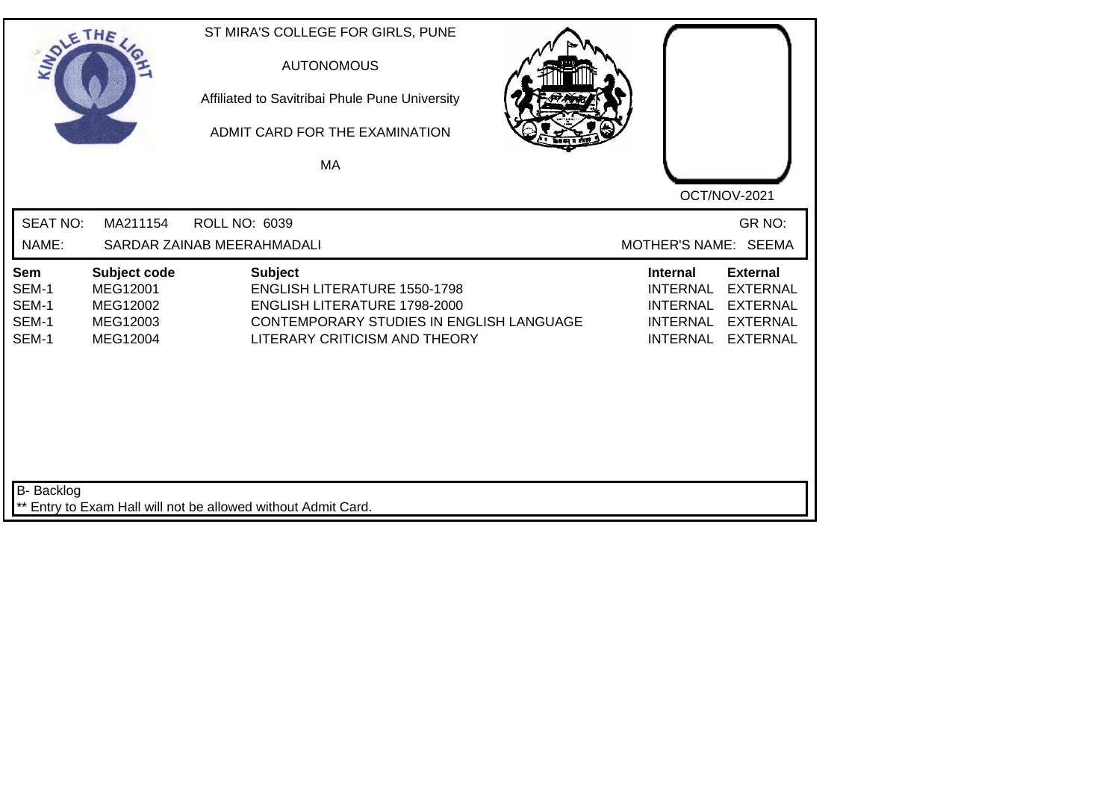| SOLE THE                                |                                                              | ST MIRA'S COLLEGE FOR GIRLS, PUNE<br><b>AUTONOMOUS</b><br>Affiliated to Savitribai Phule Pune University<br>ADMIT CARD FOR THE EXAMINATION<br>MA                                 |                                                                                                                                                                                            |
|-----------------------------------------|--------------------------------------------------------------|----------------------------------------------------------------------------------------------------------------------------------------------------------------------------------|--------------------------------------------------------------------------------------------------------------------------------------------------------------------------------------------|
| <b>SEAT NO:</b><br>NAME:                | MA211154                                                     | <b>ROLL NO: 6039</b><br>SARDAR ZAINAB MEERAHMADALI                                                                                                                               | OCT/NOV-2021<br>GR NO:<br>MOTHER'S NAME: SEEMA                                                                                                                                             |
| Sem<br>SEM-1<br>SEM-1<br>SEM-1<br>SEM-1 | Subject code<br>MEG12001<br>MEG12002<br>MEG12003<br>MEG12004 | <b>Subject</b><br><b>ENGLISH LITERATURE 1550-1798</b><br><b>ENGLISH LITERATURE 1798-2000</b><br><b>CONTEMPORARY STUDIES IN ENGLISH LANGUAGE</b><br>LITERARY CRITICISM AND THEORY | <b>External</b><br><b>Internal</b><br><b>EXTERNAL</b><br><b>INTERNAL</b><br><b>INTERNAL</b><br><b>EXTERNAL</b><br><b>INTERNAL</b><br><b>EXTERNAL</b><br><b>INTERNAL</b><br><b>EXTERNAL</b> |
| <b>B-</b> Backlog                       |                                                              | ** Entry to Exam Hall will not be allowed without Admit Card.                                                                                                                    |                                                                                                                                                                                            |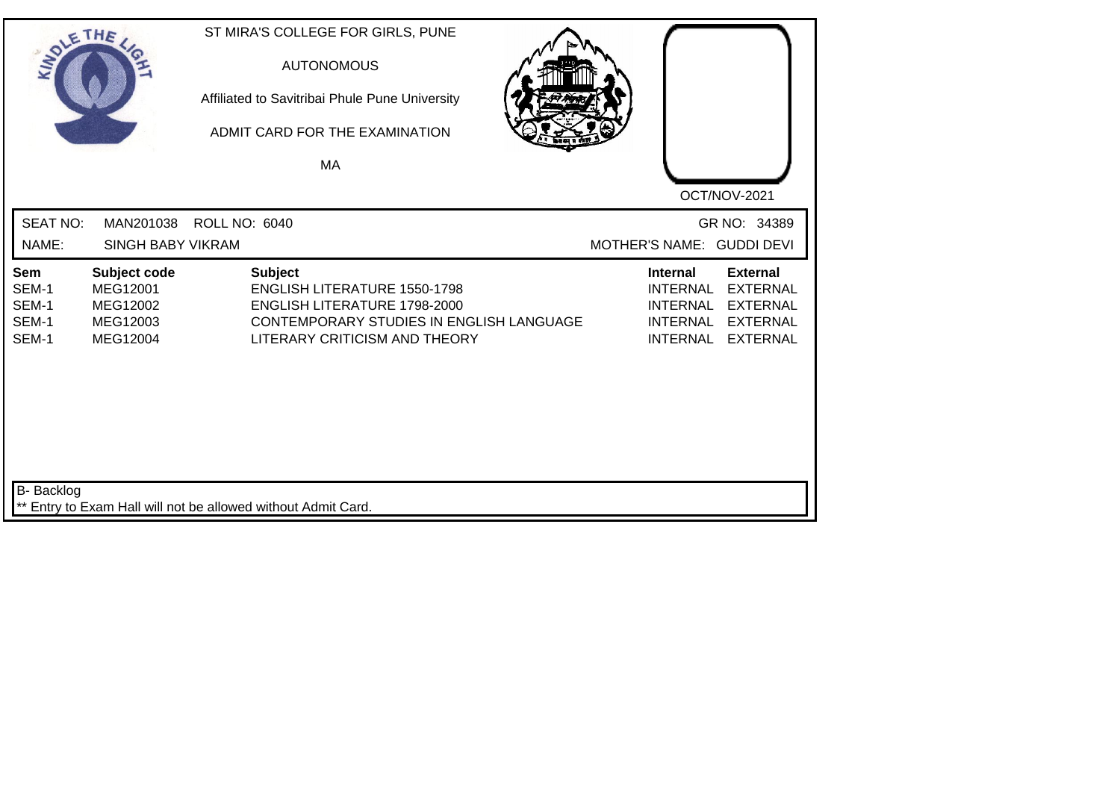| SOLETHE .               |                                                      |                      | ST MIRA'S COLLEGE FOR GIRLS, PUNE<br><b>AUTONOMOUS</b><br>Affiliated to Savitribai Phule Pune University<br>ADMIT CARD FOR THE EXAMINATION<br>MA |                           |                                                       |                                                       |
|-------------------------|------------------------------------------------------|----------------------|--------------------------------------------------------------------------------------------------------------------------------------------------|---------------------------|-------------------------------------------------------|-------------------------------------------------------|
| <b>SEAT NO:</b>         | MAN201038                                            | <b>ROLL NO: 6040</b> |                                                                                                                                                  |                           |                                                       | OCT/NOV-2021<br>GR NO: 34389                          |
| NAME:<br>Sem<br>SEM-1   | <b>SINGH BABY VIKRAM</b><br>Subject code<br>MEG12001 |                      | <b>Subject</b><br><b>ENGLISH LITERATURE 1550-1798</b>                                                                                            | MOTHER'S NAME: GUDDI DEVI | <b>Internal</b><br><b>INTERNAL</b>                    | <b>External</b><br><b>EXTERNAL</b>                    |
| SEM-1<br>SEM-1<br>SEM-1 | MEG12002<br>MEG12003<br>MEG12004                     |                      | ENGLISH LITERATURE 1798-2000<br>CONTEMPORARY STUDIES IN ENGLISH LANGUAGE<br>LITERARY CRITICISM AND THEORY                                        |                           | <b>INTERNAL</b><br><b>INTERNAL</b><br><b>INTERNAL</b> | <b>EXTERNAL</b><br><b>EXTERNAL</b><br><b>EXTERNAL</b> |
|                         |                                                      |                      |                                                                                                                                                  |                           |                                                       |                                                       |
|                         |                                                      |                      |                                                                                                                                                  |                           |                                                       |                                                       |
| <b>B-</b> Backlog       |                                                      |                      | ** Entry to Exam Hall will not be allowed without Admit Card.                                                                                    |                           |                                                       |                                                       |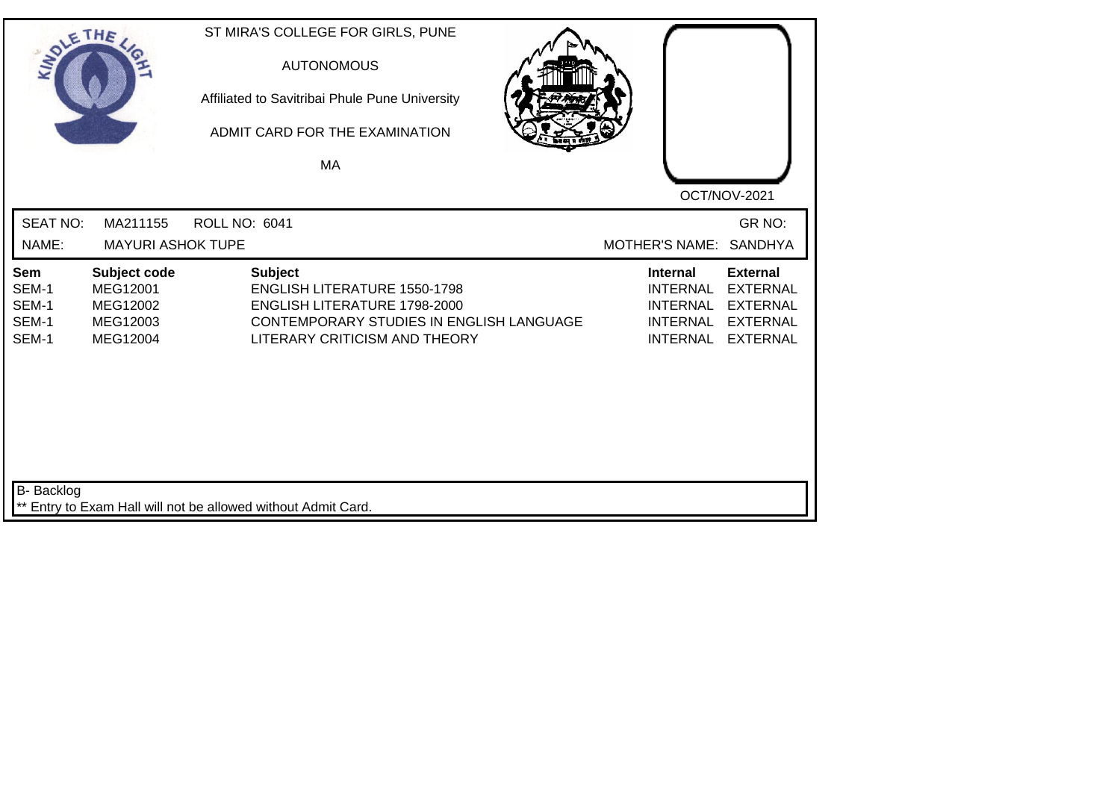| SOLE THE                                |                                                              |                      | ST MIRA'S COLLEGE FOR GIRLS, PUNE<br><b>AUTONOMOUS</b><br>Affiliated to Savitribai Phule Pune University<br>ADMIT CARD FOR THE EXAMINATION<br><b>MA</b>                   |  |                                                                                             | OCT/NOV-2021                                                                                |
|-----------------------------------------|--------------------------------------------------------------|----------------------|---------------------------------------------------------------------------------------------------------------------------------------------------------------------------|--|---------------------------------------------------------------------------------------------|---------------------------------------------------------------------------------------------|
| <b>SEAT NO:</b><br>NAME:                | MA211155<br><b>MAYURI ASHOK TUPE</b>                         | <b>ROLL NO: 6041</b> |                                                                                                                                                                           |  | <b>MOTHER'S NAME:</b>                                                                       | GR NO:<br><b>SANDHYA</b>                                                                    |
| Sem<br>SEM-1<br>SEM-1<br>SEM-1<br>SEM-1 | Subject code<br>MEG12001<br>MEG12002<br>MEG12003<br>MEG12004 |                      | <b>Subject</b><br><b>ENGLISH LITERATURE 1550-1798</b><br>ENGLISH LITERATURE 1798-2000<br><b>CONTEMPORARY STUDIES IN ENGLISH LANGUAGE</b><br>LITERARY CRITICISM AND THEORY |  | <b>Internal</b><br><b>INTERNAL</b><br><b>INTERNAL</b><br><b>INTERNAL</b><br><b>INTERNAL</b> | <b>External</b><br><b>EXTERNAL</b><br><b>EXTERNAL</b><br><b>EXTERNAL</b><br><b>EXTERNAL</b> |
| <b>B-</b> Backlog                       |                                                              |                      | ** Entry to Exam Hall will not be allowed without Admit Card.                                                                                                             |  |                                                                                             |                                                                                             |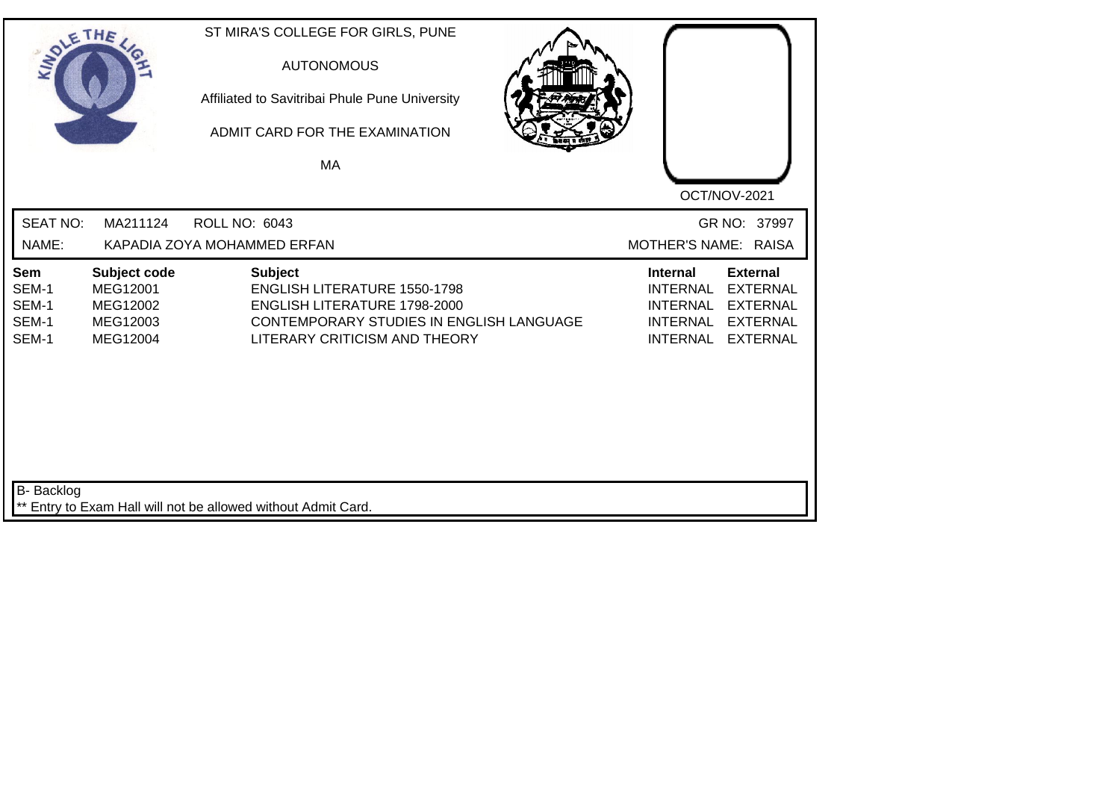| SOLE THE                                |                                                              | ST MIRA'S COLLEGE FOR GIRLS, PUNE<br><b>AUTONOMOUS</b><br>Affiliated to Savitribai Phule Pune University<br>ADMIT CARD FOR THE EXAMINATION<br>MA                          |                                                                                                                                                                                            |
|-----------------------------------------|--------------------------------------------------------------|---------------------------------------------------------------------------------------------------------------------------------------------------------------------------|--------------------------------------------------------------------------------------------------------------------------------------------------------------------------------------------|
| <b>SEAT NO:</b><br>NAME:                | MA211124                                                     | <b>ROLL NO: 6043</b><br>KAPADIA ZOYA MOHAMMED ERFAN                                                                                                                       | OCT/NOV-2021<br>GR NO: 37997<br>MOTHER'S NAME: RAISA                                                                                                                                       |
| Sem<br>SEM-1<br>SEM-1<br>SEM-1<br>SEM-1 | Subject code<br>MEG12001<br>MEG12002<br>MEG12003<br>MEG12004 | <b>Subject</b><br><b>ENGLISH LITERATURE 1550-1798</b><br><b>ENGLISH LITERATURE 1798-2000</b><br>CONTEMPORARY STUDIES IN ENGLISH LANGUAGE<br>LITERARY CRITICISM AND THEORY | <b>External</b><br><b>Internal</b><br><b>INTERNAL</b><br><b>EXTERNAL</b><br><b>INTERNAL</b><br><b>EXTERNAL</b><br><b>INTERNAL</b><br><b>EXTERNAL</b><br><b>INTERNAL</b><br><b>EXTERNAL</b> |
| <b>B-</b> Backlog                       |                                                              | ** Entry to Exam Hall will not be allowed without Admit Card.                                                                                                             |                                                                                                                                                                                            |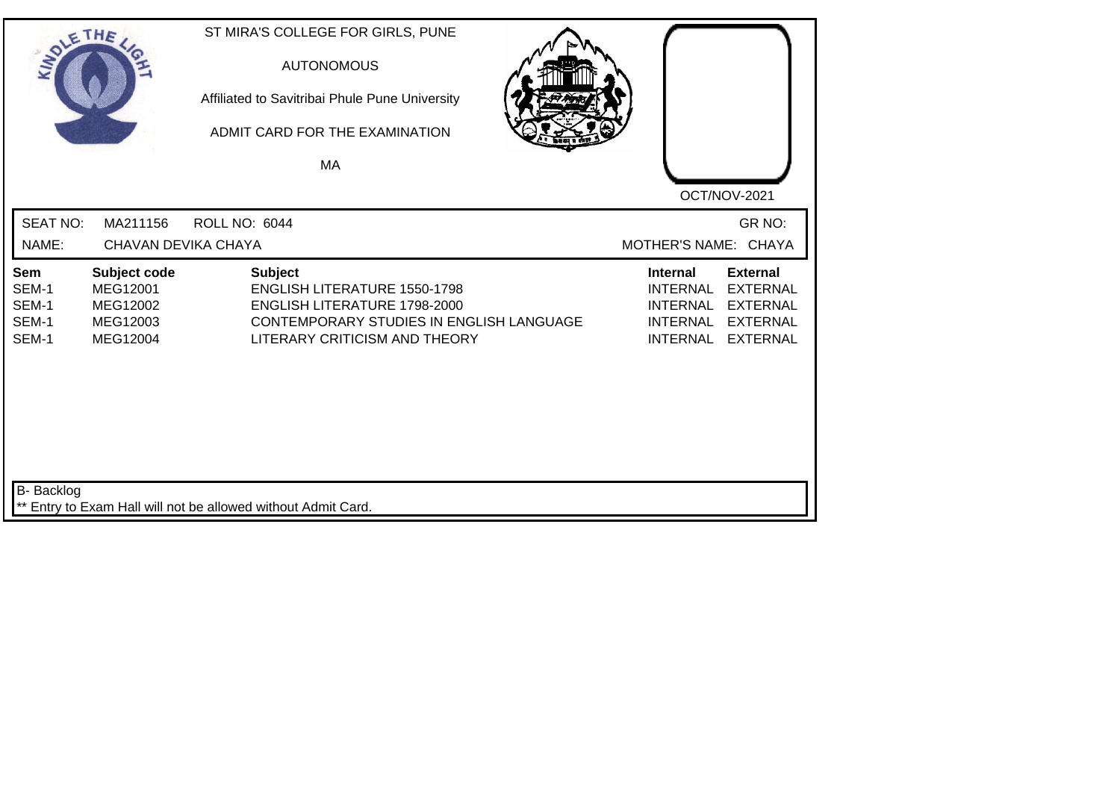| SOLE THE                                |                                                              |                      | ST MIRA'S COLLEGE FOR GIRLS, PUNE<br><b>AUTONOMOUS</b><br>Affiliated to Savitribai Phule Pune University<br>ADMIT CARD FOR THE EXAMINATION<br><b>MA</b>            |                                                                                             | OCT/NOV-2021                                                                                |
|-----------------------------------------|--------------------------------------------------------------|----------------------|--------------------------------------------------------------------------------------------------------------------------------------------------------------------|---------------------------------------------------------------------------------------------|---------------------------------------------------------------------------------------------|
| <b>SEAT NO:</b><br>NAME:                | MA211156<br>CHAVAN DEVIKA CHAYA                              | <b>ROLL NO: 6044</b> |                                                                                                                                                                    | MOTHER'S NAME: CHAYA                                                                        | GR NO:                                                                                      |
| Sem<br>SEM-1<br>SEM-1<br>SEM-1<br>SEM-1 | Subject code<br>MEG12001<br>MEG12002<br>MEG12003<br>MEG12004 |                      | <b>Subject</b><br><b>ENGLISH LITERATURE 1550-1798</b><br>ENGLISH LITERATURE 1798-2000<br>CONTEMPORARY STUDIES IN ENGLISH LANGUAGE<br>LITERARY CRITICISM AND THEORY | <b>Internal</b><br><b>INTERNAL</b><br><b>INTERNAL</b><br><b>INTERNAL</b><br><b>INTERNAL</b> | <b>External</b><br><b>EXTERNAL</b><br><b>EXTERNAL</b><br><b>EXTERNAL</b><br><b>EXTERNAL</b> |
| <b>B-</b> Backlog                       |                                                              |                      | ** Entry to Exam Hall will not be allowed without Admit Card.                                                                                                      |                                                                                             |                                                                                             |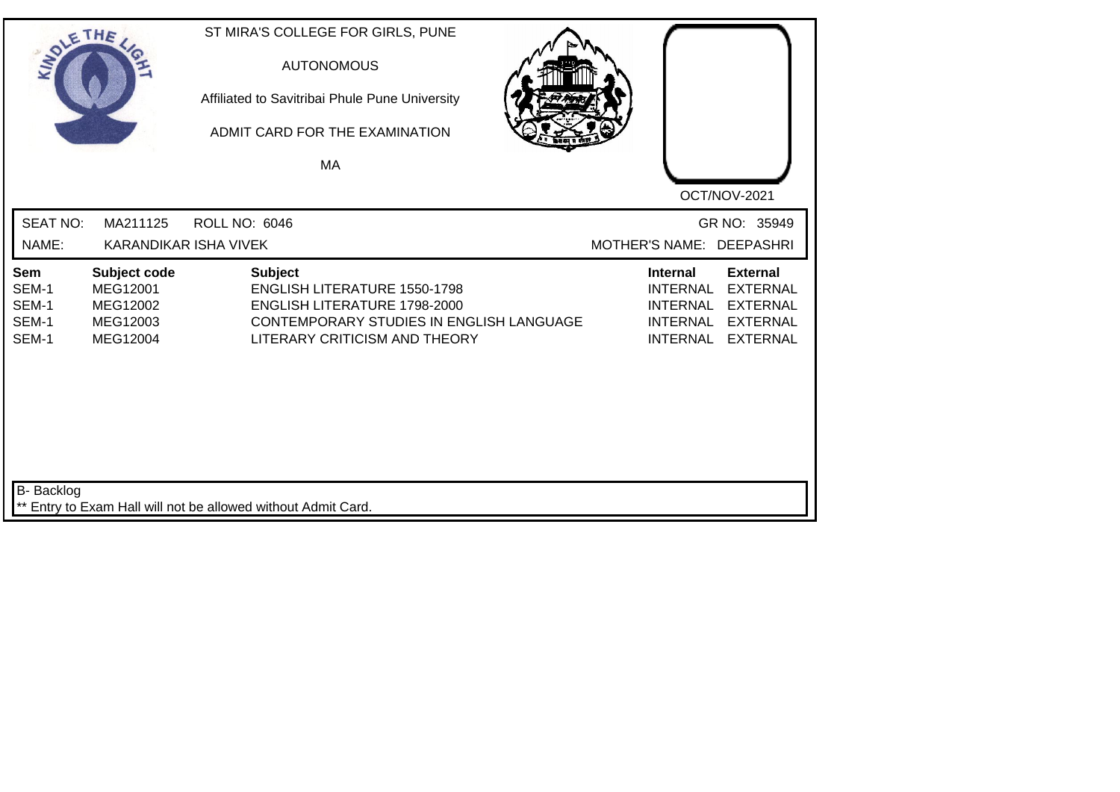| SOLETHE.                                |                                                              | ST MIRA'S COLLEGE FOR GIRLS, PUNE<br><b>AUTONOMOUS</b><br>Affiliated to Savitribai Phule Pune University<br>ADMIT CARD FOR THE EXAMINATION<br>MA                          | OCT/NOV-2021                                                                                                                                                                               |
|-----------------------------------------|--------------------------------------------------------------|---------------------------------------------------------------------------------------------------------------------------------------------------------------------------|--------------------------------------------------------------------------------------------------------------------------------------------------------------------------------------------|
| <b>SEAT NO:</b><br>NAME:                | MA211125<br>KARANDIKAR ISHA VIVEK                            | <b>ROLL NO: 6046</b>                                                                                                                                                      | GR NO: 35949<br>MOTHER'S NAME: DEEPASHRI                                                                                                                                                   |
| Sem<br>SEM-1<br>SEM-1<br>SEM-1<br>SEM-1 | Subject code<br>MEG12001<br>MEG12002<br>MEG12003<br>MEG12004 | <b>Subject</b><br><b>ENGLISH LITERATURE 1550-1798</b><br><b>ENGLISH LITERATURE 1798-2000</b><br>CONTEMPORARY STUDIES IN ENGLISH LANGUAGE<br>LITERARY CRITICISM AND THEORY | <b>External</b><br><b>Internal</b><br><b>INTERNAL</b><br><b>EXTERNAL</b><br><b>INTERNAL</b><br><b>EXTERNAL</b><br><b>INTERNAL</b><br><b>EXTERNAL</b><br><b>INTERNAL</b><br><b>EXTERNAL</b> |
| <b>B-</b> Backlog                       |                                                              | ** Entry to Exam Hall will not be allowed without Admit Card.                                                                                                             |                                                                                                                                                                                            |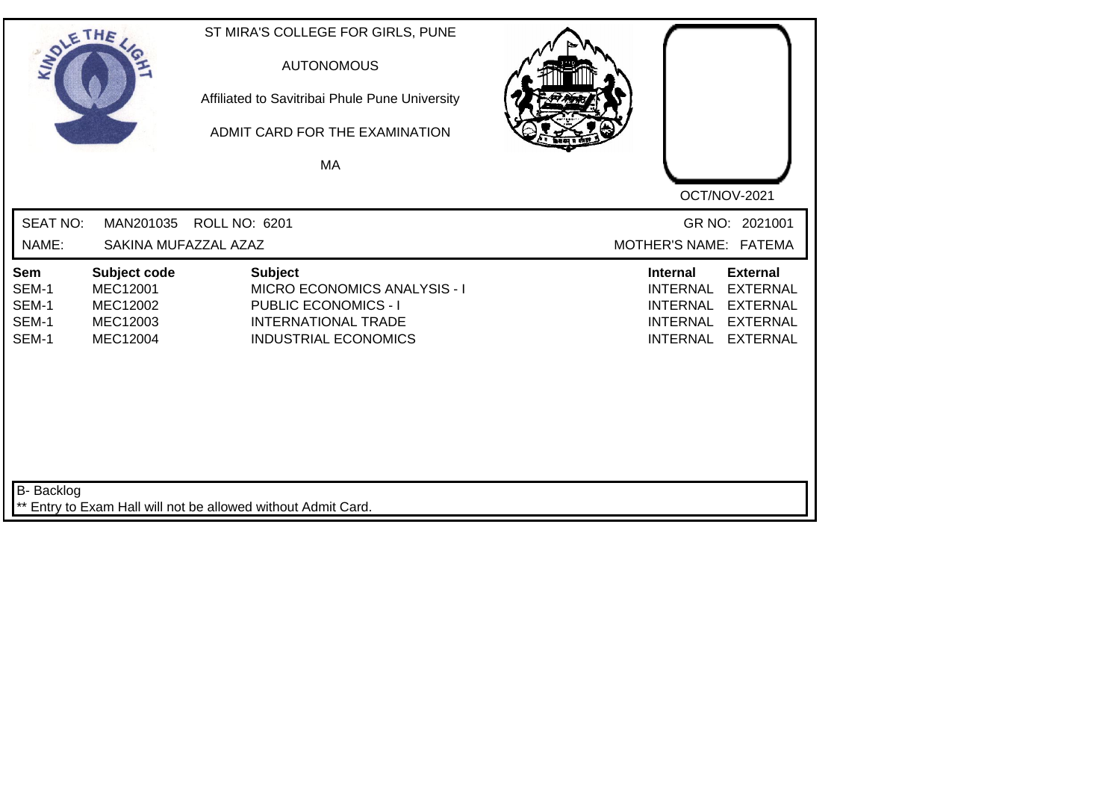| SOLE THE                                |                                                                            | ST MIRA'S COLLEGE FOR GIRLS, PUNE<br><b>AUTONOMOUS</b><br>Affiliated to Savitribai Phule Pune University<br>ADMIT CARD FOR THE EXAMINATION<br>MA  |                                                                                                                                                                                            |  |
|-----------------------------------------|----------------------------------------------------------------------------|---------------------------------------------------------------------------------------------------------------------------------------------------|--------------------------------------------------------------------------------------------------------------------------------------------------------------------------------------------|--|
|                                         |                                                                            |                                                                                                                                                   | OCT/NOV-2021                                                                                                                                                                               |  |
| <b>SEAT NO:</b>                         | MAN201035                                                                  | <b>ROLL NO: 6201</b>                                                                                                                              | GR NO: 2021001                                                                                                                                                                             |  |
| NAME:                                   | SAKINA MUFAZZAL AZAZ                                                       |                                                                                                                                                   | MOTHER'S NAME: FATEMA                                                                                                                                                                      |  |
| Sem<br>SEM-1<br>SEM-1<br>SEM-1<br>SEM-1 | Subject code<br><b>MEC12001</b><br>MEC12002<br>MEC12003<br><b>MEC12004</b> | <b>Subject</b><br><b>MICRO ECONOMICS ANALYSIS - I</b><br><b>PUBLIC ECONOMICS - I</b><br><b>INTERNATIONAL TRADE</b><br><b>INDUSTRIAL ECONOMICS</b> | <b>External</b><br><b>Internal</b><br><b>INTERNAL</b><br><b>EXTERNAL</b><br><b>INTERNAL</b><br><b>EXTERNAL</b><br><b>INTERNAL</b><br><b>EXTERNAL</b><br><b>INTERNAL</b><br><b>EXTERNAL</b> |  |
| <b>B-</b> Backlog                       |                                                                            | ** Entry to Exam Hall will not be allowed without Admit Card.                                                                                     |                                                                                                                                                                                            |  |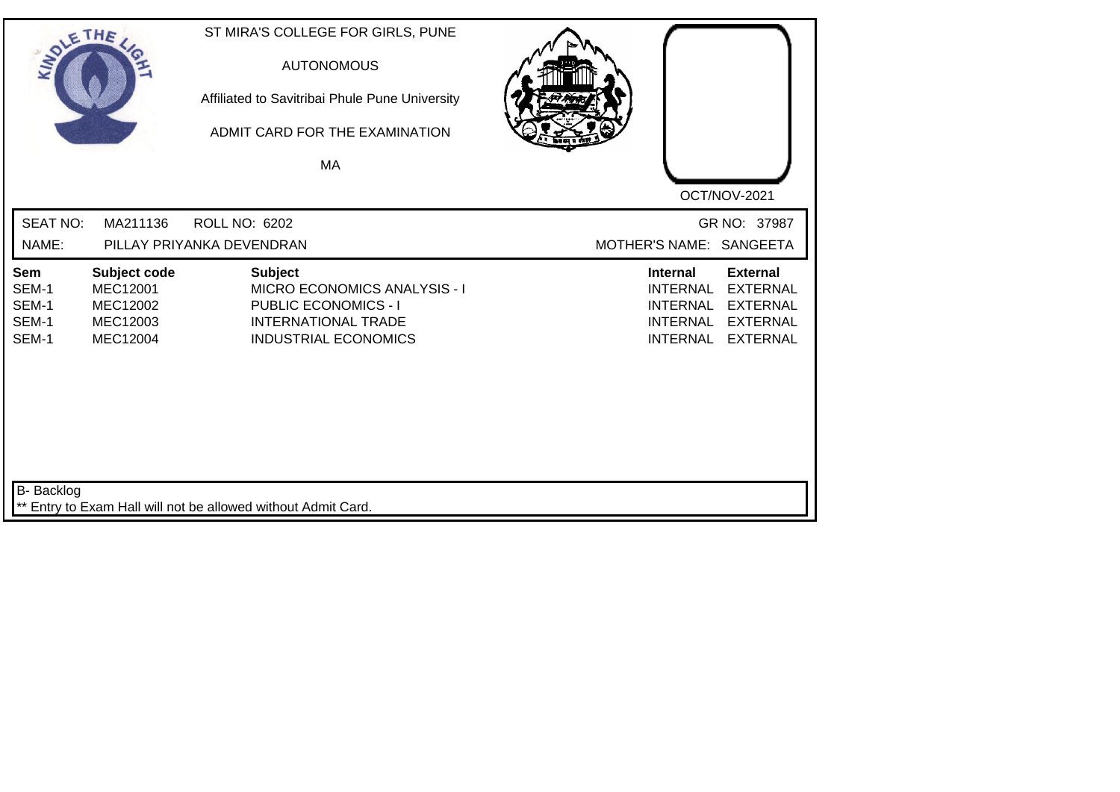| SOLETHE ,                               |                                                                     | ST MIRA'S COLLEGE FOR GIRLS, PUNE<br><b>AUTONOMOUS</b><br>Affiliated to Savitribai Phule Pune University<br>ADMIT CARD FOR THE EXAMINATION |  |                                                                                             |                                                                                             |
|-----------------------------------------|---------------------------------------------------------------------|--------------------------------------------------------------------------------------------------------------------------------------------|--|---------------------------------------------------------------------------------------------|---------------------------------------------------------------------------------------------|
|                                         |                                                                     | <b>MA</b>                                                                                                                                  |  |                                                                                             |                                                                                             |
|                                         |                                                                     |                                                                                                                                            |  |                                                                                             | OCT/NOV-2021                                                                                |
| <b>SEAT NO:</b>                         | MA211136                                                            | ROLL NO: 6202                                                                                                                              |  |                                                                                             | GR NO: 37987                                                                                |
| NAME:                                   |                                                                     | PILLAY PRIYANKA DEVENDRAN                                                                                                                  |  | MOTHER'S NAME: SANGEETA                                                                     |                                                                                             |
| Sem<br>SEM-1<br>SEM-1<br>SEM-1<br>SEM-1 | Subject code<br><b>MEC12001</b><br>MEC12002<br>MEC12003<br>MEC12004 | <b>Subject</b><br>MICRO ECONOMICS ANALYSIS - I<br><b>PUBLIC ECONOMICS - I</b><br><b>INTERNATIONAL TRADE</b><br><b>INDUSTRIAL ECONOMICS</b> |  | <b>Internal</b><br><b>INTERNAL</b><br><b>INTERNAL</b><br><b>INTERNAL</b><br><b>INTERNAL</b> | <b>External</b><br><b>EXTERNAL</b><br><b>EXTERNAL</b><br><b>EXTERNAL</b><br><b>EXTERNAL</b> |
| <b>B-</b> Backlog                       |                                                                     | ** Entry to Exam Hall will not be allowed without Admit Card.                                                                              |  |                                                                                             |                                                                                             |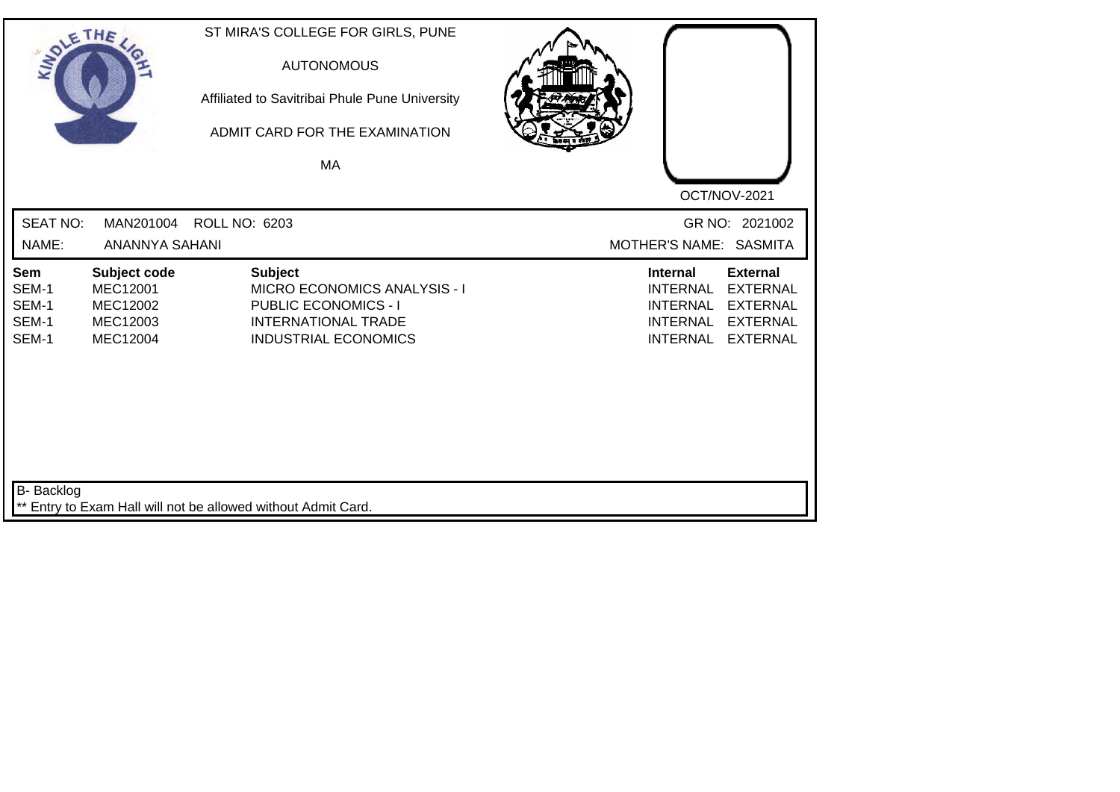| SOLE THE                                |                                                                     | ST MIRA'S COLLEGE FOR GIRLS, PUNE<br><b>AUTONOMOUS</b><br>Affiliated to Savitribai Phule Pune University<br>ADMIT CARD FOR THE EXAMINATION |                                                                                                                                                                                            |
|-----------------------------------------|---------------------------------------------------------------------|--------------------------------------------------------------------------------------------------------------------------------------------|--------------------------------------------------------------------------------------------------------------------------------------------------------------------------------------------|
|                                         |                                                                     | MA                                                                                                                                         |                                                                                                                                                                                            |
|                                         |                                                                     |                                                                                                                                            | OCT/NOV-2021                                                                                                                                                                               |
| <b>SEAT NO:</b>                         | MAN201004                                                           | ROLL NO: 6203                                                                                                                              | GR NO: 2021002                                                                                                                                                                             |
| NAME:                                   | ANANNYA SAHANI                                                      |                                                                                                                                            | MOTHER'S NAME: SASMITA                                                                                                                                                                     |
| Sem<br>SEM-1<br>SEM-1<br>SEM-1<br>SEM-1 | Subject code<br><b>MEC12001</b><br>MEC12002<br>MEC12003<br>MEC12004 | <b>Subject</b><br>MICRO ECONOMICS ANALYSIS - I<br><b>PUBLIC ECONOMICS - I</b><br><b>INTERNATIONAL TRADE</b><br><b>INDUSTRIAL ECONOMICS</b> | <b>External</b><br><b>Internal</b><br><b>INTERNAL</b><br><b>EXTERNAL</b><br><b>INTERNAL</b><br><b>EXTERNAL</b><br><b>INTERNAL</b><br><b>EXTERNAL</b><br><b>EXTERNAL</b><br><b>INTERNAL</b> |
| B- Backlog                              |                                                                     | ** Entry to Exam Hall will not be allowed without Admit Card.                                                                              |                                                                                                                                                                                            |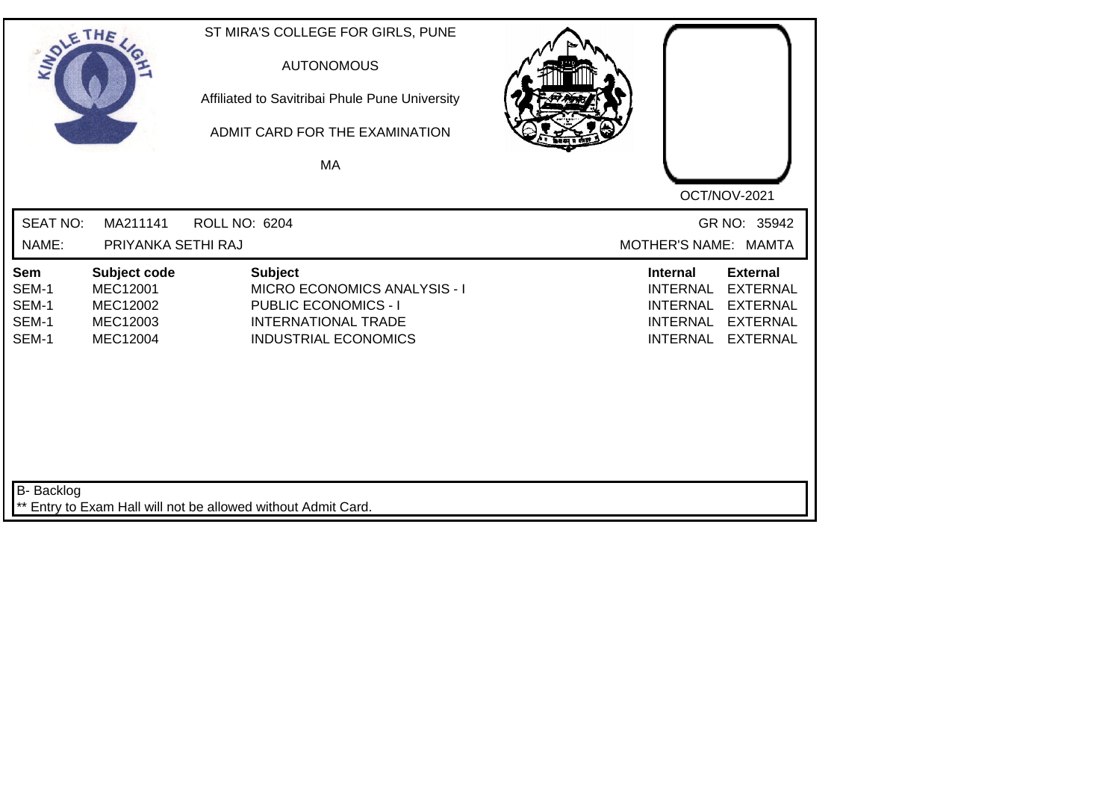| SOLE THE                                |                                                                     | ST MIRA'S COLLEGE FOR GIRLS, PUNE<br><b>AUTONOMOUS</b><br>Affiliated to Savitribai Phule Pune University<br>ADMIT CARD FOR THE EXAMINATION<br>MA  |                                                                                                                                                                                            |
|-----------------------------------------|---------------------------------------------------------------------|---------------------------------------------------------------------------------------------------------------------------------------------------|--------------------------------------------------------------------------------------------------------------------------------------------------------------------------------------------|
| <b>SEAT NO:</b><br>NAME:                | MA211141<br>PRIYANKA SETHI RAJ                                      | <b>ROLL NO: 6204</b>                                                                                                                              | OCT/NOV-2021<br>GR NO: 35942<br>MOTHER'S NAME: MAMTA                                                                                                                                       |
| Sem<br>SEM-1<br>SEM-1<br>SEM-1<br>SEM-1 | Subject code<br><b>MEC12001</b><br>MEC12002<br>MEC12003<br>MEC12004 | <b>Subject</b><br><b>MICRO ECONOMICS ANALYSIS - I</b><br><b>PUBLIC ECONOMICS - I</b><br><b>INTERNATIONAL TRADE</b><br><b>INDUSTRIAL ECONOMICS</b> | <b>External</b><br><b>Internal</b><br><b>INTERNAL</b><br><b>EXTERNAL</b><br><b>EXTERNAL</b><br><b>INTERNAL</b><br><b>INTERNAL</b><br><b>EXTERNAL</b><br><b>INTERNAL</b><br><b>EXTERNAL</b> |
| <b>B-</b> Backlog                       |                                                                     | Entry to Exam Hall will not be allowed without Admit Card.                                                                                        |                                                                                                                                                                                            |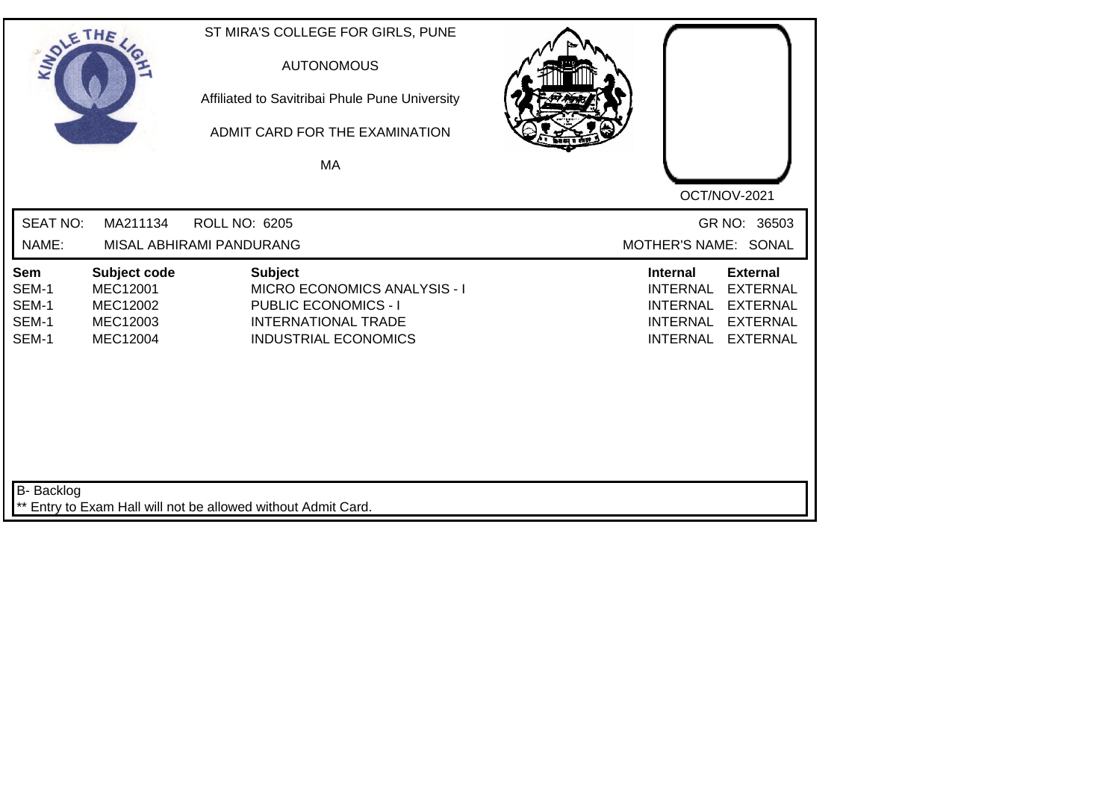| SOLETHE .                               |                                                              | ST MIRA'S COLLEGE FOR GIRLS, PUNE<br><b>AUTONOMOUS</b><br>Affiliated to Savitribai Phule Pune University<br>ADMIT CARD FOR THE EXAMINATION<br>MA  | OCT/NOV-2021                                                                                                                                             |
|-----------------------------------------|--------------------------------------------------------------|---------------------------------------------------------------------------------------------------------------------------------------------------|----------------------------------------------------------------------------------------------------------------------------------------------------------|
| <b>SEAT NO:</b><br>NAME:                | MA211134                                                     | <b>ROLL NO: 6205</b><br>MISAL ABHIRAMI PANDURANG                                                                                                  | GR NO: 36503<br>MOTHER'S NAME: SONAL                                                                                                                     |
| Sem<br>SEM-1<br>SEM-1<br>SEM-1<br>SEM-1 | Subject code<br>MEC12001<br>MEC12002<br>MEC12003<br>MEC12004 | <b>Subject</b><br><b>MICRO ECONOMICS ANALYSIS - I</b><br><b>PUBLIC ECONOMICS - I</b><br><b>INTERNATIONAL TRADE</b><br><b>INDUSTRIAL ECONOMICS</b> | <b>External</b><br><b>Internal</b><br><b>INTERNAL</b><br><b>EXTERNAL</b><br>INTERNAL EXTERNAL<br>INTERNAL EXTERNAL<br><b>INTERNAL</b><br><b>EXTERNAL</b> |
| <b>B-</b> Backlog                       |                                                              | ** Entry to Exam Hall will not be allowed without Admit Card.                                                                                     |                                                                                                                                                          |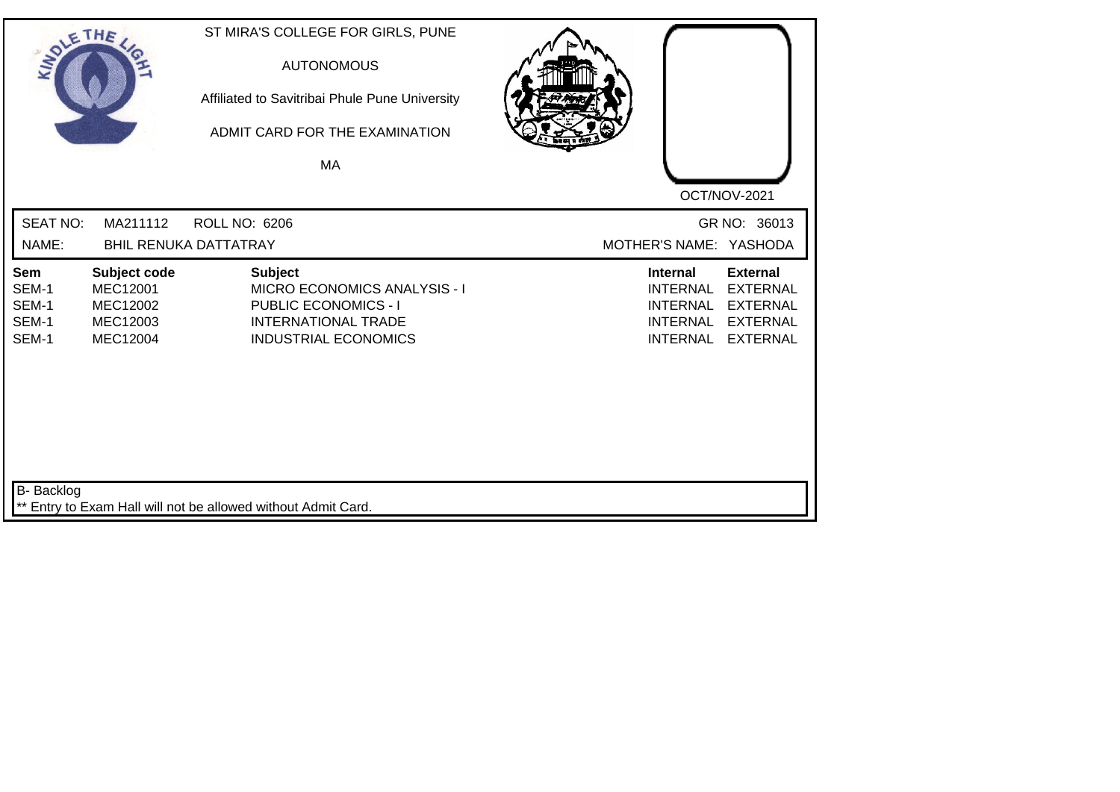| SOLETHE ,                               |                                                                     | ST MIRA'S COLLEGE FOR GIRLS, PUNE<br><b>AUTONOMOUS</b><br>Affiliated to Savitribai Phule Pune University<br>ADMIT CARD FOR THE EXAMINATION<br><b>MA</b> |                 |                                                                                                                                                                         |
|-----------------------------------------|---------------------------------------------------------------------|---------------------------------------------------------------------------------------------------------------------------------------------------------|-----------------|-------------------------------------------------------------------------------------------------------------------------------------------------------------------------|
| <b>SEAT NO:</b><br>NAME:                | MA211112                                                            | <b>ROLL NO: 6206</b><br><b>BHIL RENUKA DATTATRAY</b>                                                                                                    |                 | OCT/NOV-2021<br>GR NO: 36013<br>MOTHER'S NAME: YASHODA                                                                                                                  |
| Sem<br>SEM-1<br>SEM-1<br>SEM-1<br>SEM-1 | Subject code<br><b>MEC12001</b><br>MEC12002<br>MEC12003<br>MEC12004 | <b>Subject</b><br><b>MICRO ECONOMICS ANALYSIS - I</b><br><b>PUBLIC ECONOMICS - I</b><br><b>INTERNATIONAL TRADE</b><br><b>INDUSTRIAL ECONOMICS</b>       | <b>Internal</b> | <b>External</b><br><b>INTERNAL</b><br><b>EXTERNAL</b><br><b>INTERNAL</b><br><b>EXTERNAL</b><br><b>INTERNAL</b><br><b>EXTERNAL</b><br><b>INTERNAL</b><br><b>EXTERNAL</b> |
| <b>B-</b> Backlog                       |                                                                     | ** Entry to Exam Hall will not be allowed without Admit Card.                                                                                           |                 |                                                                                                                                                                         |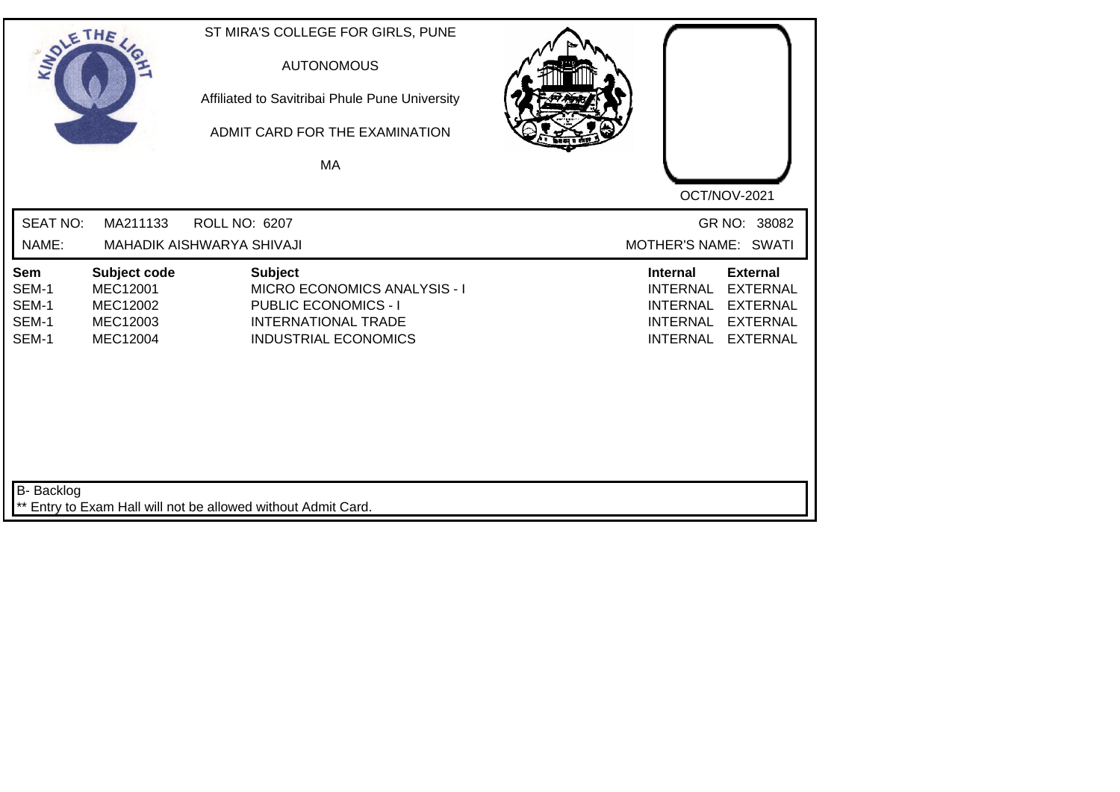| SOLETHE .                               |                                                              | ST MIRA'S COLLEGE FOR GIRLS, PUNE<br><b>AUTONOMOUS</b><br>Affiliated to Savitribai Phule Pune University<br>ADMIT CARD FOR THE EXAMINATION<br>MA  | OCT/NOV-2021                                                                                                                                             |
|-----------------------------------------|--------------------------------------------------------------|---------------------------------------------------------------------------------------------------------------------------------------------------|----------------------------------------------------------------------------------------------------------------------------------------------------------|
| <b>SEAT NO:</b><br>NAME:                | MA211133                                                     | ROLL NO: 6207<br>MAHADIK AISHWARYA SHIVAJI                                                                                                        | GR NO: 38082<br>MOTHER'S NAME: SWATI                                                                                                                     |
| Sem<br>SEM-1<br>SEM-1<br>SEM-1<br>SEM-1 | Subject code<br>MEC12001<br>MEC12002<br>MEC12003<br>MEC12004 | <b>Subject</b><br><b>MICRO ECONOMICS ANALYSIS - I</b><br><b>PUBLIC ECONOMICS - I</b><br><b>INTERNATIONAL TRADE</b><br><b>INDUSTRIAL ECONOMICS</b> | <b>External</b><br><b>Internal</b><br><b>INTERNAL</b><br><b>EXTERNAL</b><br>INTERNAL EXTERNAL<br>INTERNAL EXTERNAL<br><b>INTERNAL</b><br><b>EXTERNAL</b> |
| <b>B-</b> Backlog                       |                                                              | ** Entry to Exam Hall will not be allowed without Admit Card.                                                                                     |                                                                                                                                                          |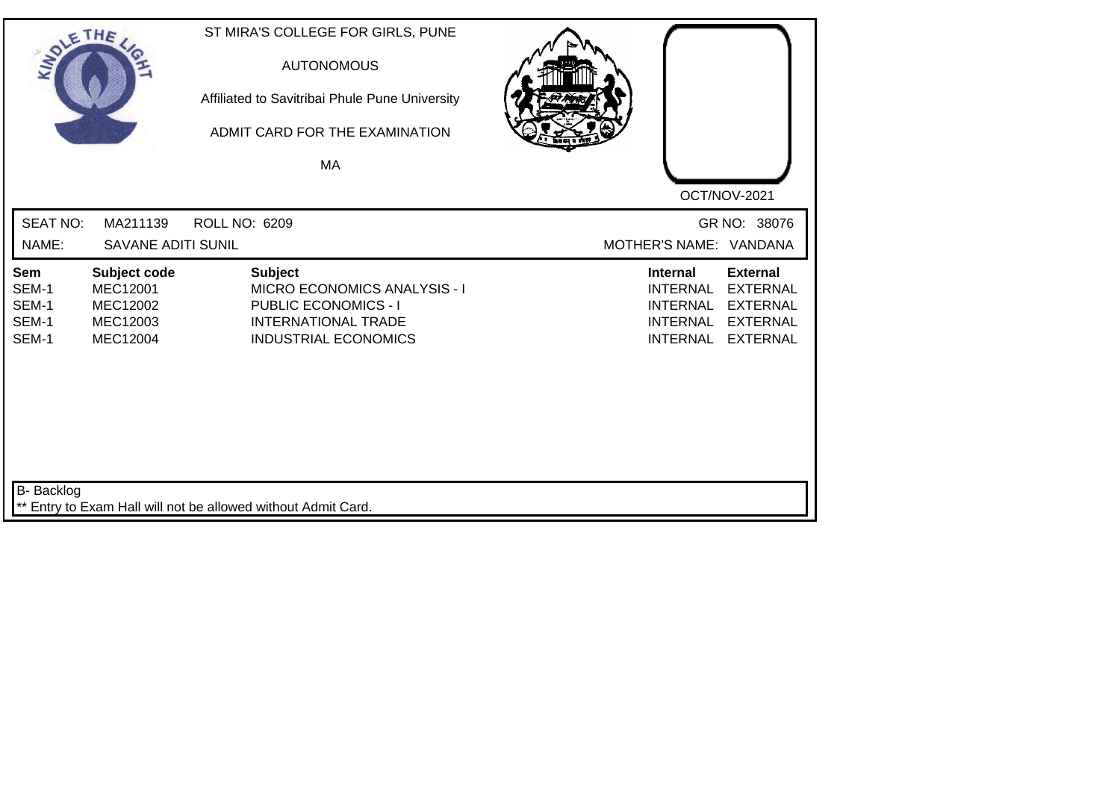| SOLE THE                                       |                                                                     | ST MIRA'S COLLEGE FOR GIRLS, PUNE<br><b>AUTONOMOUS</b><br>Affiliated to Savitribai Phule Pune University<br>ADMIT CARD FOR THE EXAMINATION<br><b>MA</b> |                                                                                             |                                                                                             |
|------------------------------------------------|---------------------------------------------------------------------|---------------------------------------------------------------------------------------------------------------------------------------------------------|---------------------------------------------------------------------------------------------|---------------------------------------------------------------------------------------------|
|                                                |                                                                     |                                                                                                                                                         |                                                                                             | OCT/NOV-2021                                                                                |
| <b>SEAT NO:</b>                                | MA211139                                                            | <b>ROLL NO: 6209</b>                                                                                                                                    |                                                                                             | GR NO: 38076                                                                                |
| NAME:                                          | <b>SAVANE ADITI SUNIL</b>                                           |                                                                                                                                                         |                                                                                             | MOTHER'S NAME: VANDANA                                                                      |
| <b>Sem</b><br>SEM-1<br>SEM-1<br>SEM-1<br>SEM-1 | Subject code<br><b>MEC12001</b><br>MEC12002<br>MEC12003<br>MEC12004 | <b>Subject</b><br>MICRO ECONOMICS ANALYSIS - I<br><b>PUBLIC ECONOMICS - I</b><br><b>INTERNATIONAL TRADE</b><br><b>INDUSTRIAL ECONOMICS</b>              | <b>Internal</b><br><b>INTERNAL</b><br><b>INTERNAL</b><br><b>INTERNAL</b><br><b>INTERNAL</b> | <b>External</b><br><b>EXTERNAL</b><br><b>EXTERNAL</b><br><b>EXTERNAL</b><br><b>EXTERNAL</b> |
| <b>B-</b> Backlog                              |                                                                     | ** Entry to Exam Hall will not be allowed without Admit Card.                                                                                           |                                                                                             |                                                                                             |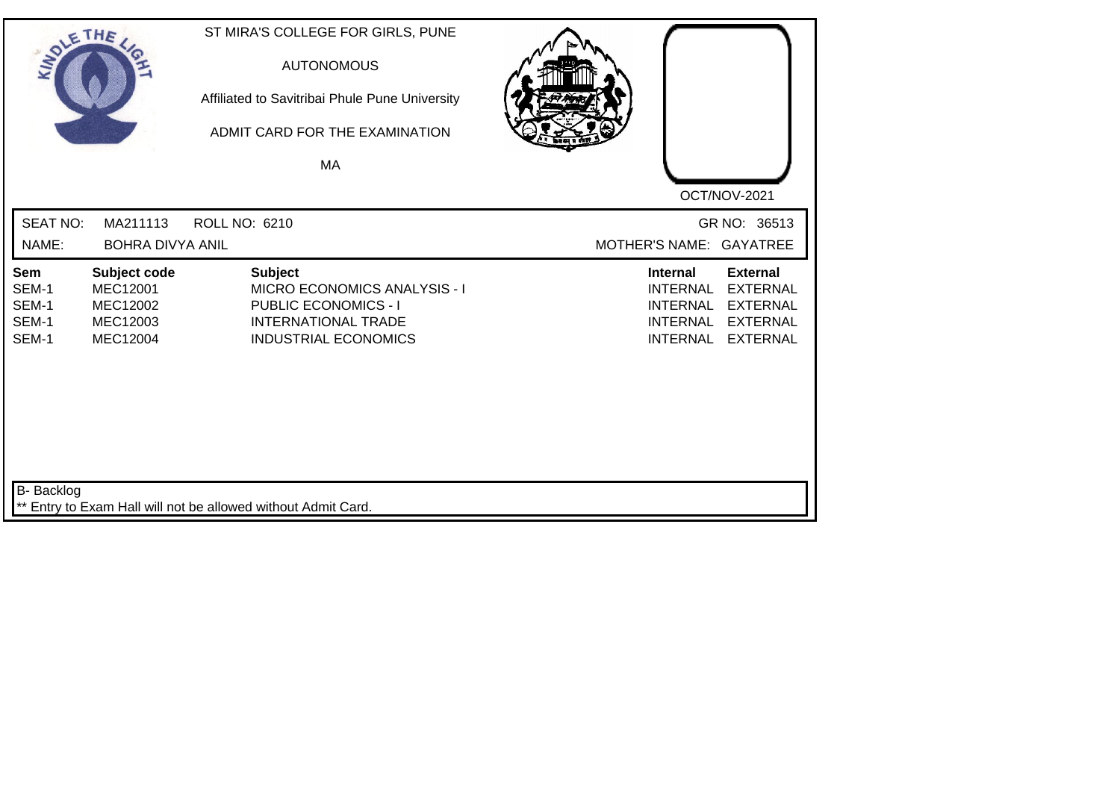| SOLE THE                                |                                                                     | ST MIRA'S COLLEGE FOR GIRLS, PUNE<br><b>AUTONOMOUS</b><br>Affiliated to Savitribai Phule Pune University<br>ADMIT CARD FOR THE EXAMINATION<br>MA |                                                                                                                                                                                            |
|-----------------------------------------|---------------------------------------------------------------------|--------------------------------------------------------------------------------------------------------------------------------------------------|--------------------------------------------------------------------------------------------------------------------------------------------------------------------------------------------|
|                                         |                                                                     |                                                                                                                                                  | OCT/NOV-2021                                                                                                                                                                               |
| <b>SEAT NO:</b>                         | MA211113                                                            | <b>ROLL NO: 6210</b>                                                                                                                             | GR NO: 36513                                                                                                                                                                               |
| NAME:                                   | <b>BOHRA DIVYA ANIL</b>                                             |                                                                                                                                                  | MOTHER'S NAME: GAYATREE                                                                                                                                                                    |
| Sem<br>SEM-1<br>SEM-1<br>SEM-1<br>SEM-1 | Subject code<br><b>MEC12001</b><br>MEC12002<br>MEC12003<br>MEC12004 | <b>Subject</b><br>MICRO ECONOMICS ANALYSIS - I<br><b>PUBLIC ECONOMICS - I</b><br><b>INTERNATIONAL TRADE</b><br><b>INDUSTRIAL ECONOMICS</b>       | <b>External</b><br><b>Internal</b><br><b>INTERNAL</b><br><b>EXTERNAL</b><br><b>INTERNAL</b><br><b>EXTERNAL</b><br><b>INTERNAL</b><br><b>EXTERNAL</b><br><b>INTERNAL</b><br><b>EXTERNAL</b> |
| B- Backlog                              |                                                                     | ** Entry to Exam Hall will not be allowed without Admit Card.                                                                                    |                                                                                                                                                                                            |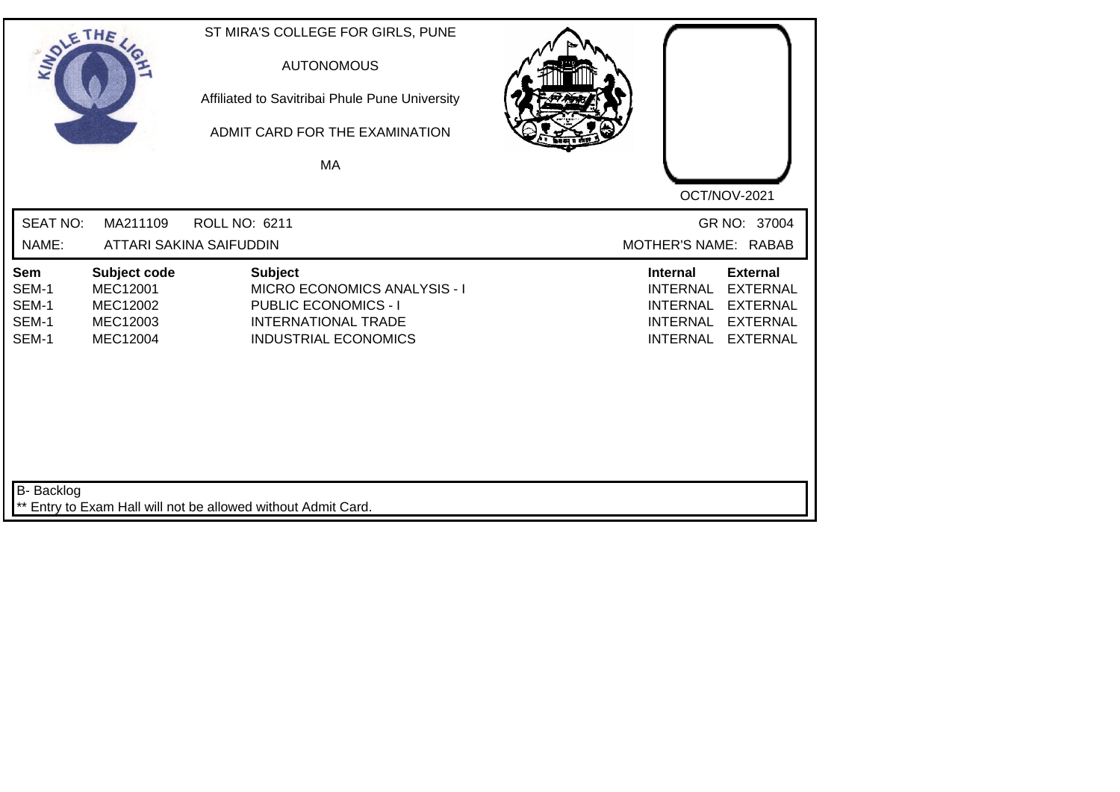| SOLE THE                                |                                                                     | ST MIRA'S COLLEGE FOR GIRLS, PUNE<br><b>AUTONOMOUS</b><br>Affiliated to Savitribai Phule Pune University<br>ADMIT CARD FOR THE EXAMINATION<br>MA  |                                                                                                                                                                                            |
|-----------------------------------------|---------------------------------------------------------------------|---------------------------------------------------------------------------------------------------------------------------------------------------|--------------------------------------------------------------------------------------------------------------------------------------------------------------------------------------------|
|                                         |                                                                     |                                                                                                                                                   | OCT/NOV-2021                                                                                                                                                                               |
| <b>SEAT NO:</b>                         | MA211109                                                            | <b>ROLL NO: 6211</b>                                                                                                                              | GR NO: 37004                                                                                                                                                                               |
| NAME:                                   |                                                                     | <b>ATTARI SAKINA SAIFUDDIN</b>                                                                                                                    | MOTHER'S NAME: RABAB                                                                                                                                                                       |
| Sem<br>SEM-1<br>SEM-1<br>SEM-1<br>SEM-1 | Subject code<br><b>MEC12001</b><br>MEC12002<br>MEC12003<br>MEC12004 | <b>Subject</b><br><b>MICRO ECONOMICS ANALYSIS - I</b><br><b>PUBLIC ECONOMICS - I</b><br><b>INTERNATIONAL TRADE</b><br><b>INDUSTRIAL ECONOMICS</b> | <b>External</b><br><b>Internal</b><br><b>INTERNAL</b><br><b>EXTERNAL</b><br><b>INTERNAL</b><br><b>EXTERNAL</b><br><b>INTERNAL</b><br><b>EXTERNAL</b><br><b>INTERNAL</b><br><b>EXTERNAL</b> |
| <b>B-</b> Backlog                       |                                                                     | ** Entry to Exam Hall will not be allowed without Admit Card.                                                                                     |                                                                                                                                                                                            |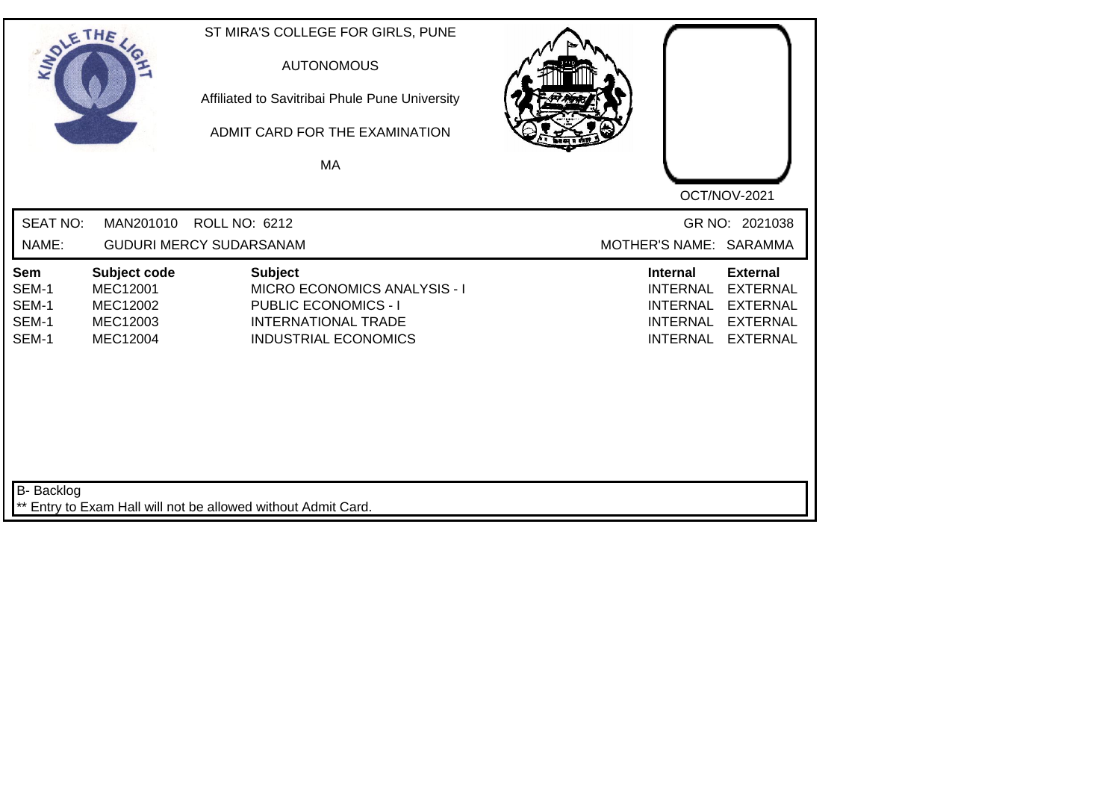| SOLE THE                                |                                                                     | ST MIRA'S COLLEGE FOR GIRLS, PUNE<br><b>AUTONOMOUS</b><br>Affiliated to Savitribai Phule Pune University<br>ADMIT CARD FOR THE EXAMINATION<br>MA |                                                                                             |                                                                                             |
|-----------------------------------------|---------------------------------------------------------------------|--------------------------------------------------------------------------------------------------------------------------------------------------|---------------------------------------------------------------------------------------------|---------------------------------------------------------------------------------------------|
|                                         |                                                                     |                                                                                                                                                  |                                                                                             | OCT/NOV-2021                                                                                |
| <b>SEAT NO:</b>                         | MAN201010                                                           | <b>ROLL NO: 6212</b>                                                                                                                             |                                                                                             | GR NO: 2021038                                                                              |
| NAME:                                   |                                                                     | <b>GUDURI MERCY SUDARSANAM</b>                                                                                                                   | MOTHER'S NAME: SARAMMA                                                                      |                                                                                             |
| Sem<br>SEM-1<br>SEM-1<br>SEM-1<br>SEM-1 | Subject code<br><b>MEC12001</b><br>MEC12002<br>MEC12003<br>MEC12004 | <b>Subject</b><br>MICRO ECONOMICS ANALYSIS - I<br><b>PUBLIC ECONOMICS - I</b><br><b>INTERNATIONAL TRADE</b><br><b>INDUSTRIAL ECONOMICS</b>       | <b>Internal</b><br><b>INTERNAL</b><br><b>INTERNAL</b><br><b>INTERNAL</b><br><b>INTERNAL</b> | <b>External</b><br><b>EXTERNAL</b><br><b>EXTERNAL</b><br><b>EXTERNAL</b><br><b>EXTERNAL</b> |
| <b>B-</b> Backlog                       |                                                                     | Entry to Exam Hall will not be allowed without Admit Card.                                                                                       |                                                                                             |                                                                                             |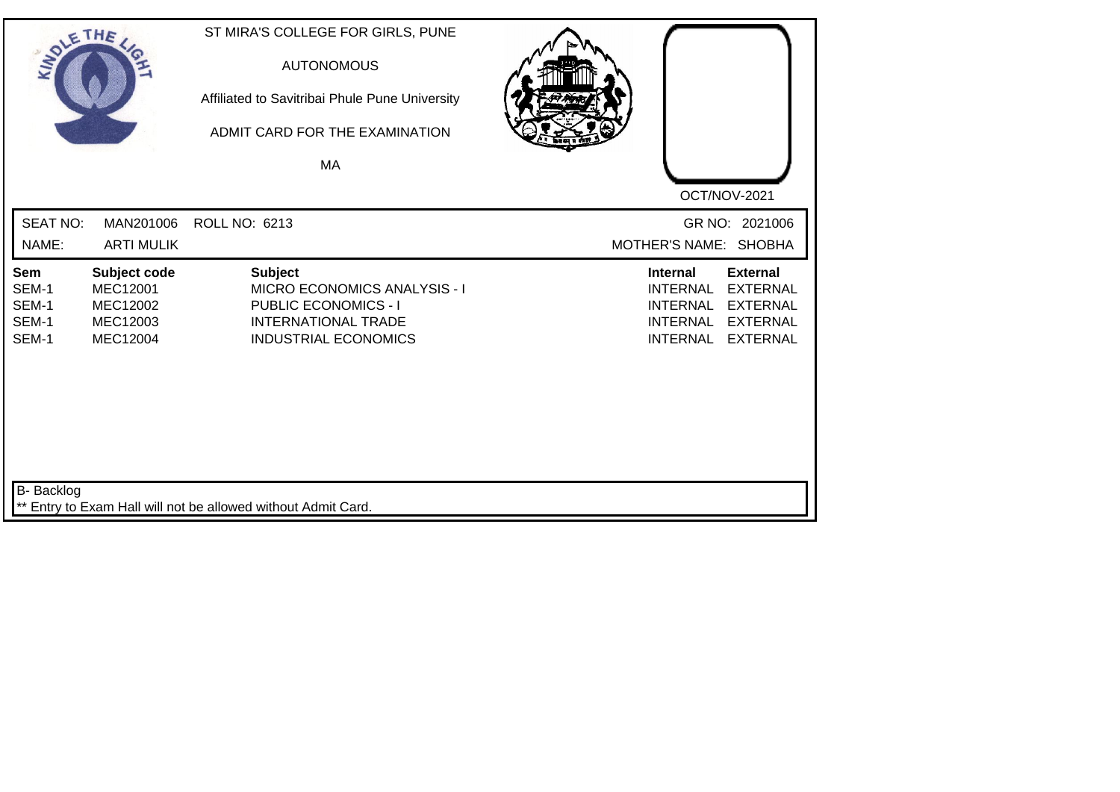| SOLETHE ,                               |                                                              | ST MIRA'S COLLEGE FOR GIRLS, PUNE<br><b>AUTONOMOUS</b><br>Affiliated to Savitribai Phule Pune University<br>ADMIT CARD FOR THE EXAMINATION<br><b>MA</b> |                                                                                                                                                                                            |
|-----------------------------------------|--------------------------------------------------------------|---------------------------------------------------------------------------------------------------------------------------------------------------------|--------------------------------------------------------------------------------------------------------------------------------------------------------------------------------------------|
|                                         |                                                              |                                                                                                                                                         | OCT/NOV-2021                                                                                                                                                                               |
| <b>SEAT NO:</b><br>NAME:                | MAN201006<br><b>ARTI MULIK</b>                               | ROLL NO: 6213                                                                                                                                           | GR NO: 2021006<br>MOTHER'S NAME: SHOBHA                                                                                                                                                    |
| Sem<br>SEM-1<br>SEM-1<br>SEM-1<br>SEM-1 | Subject code<br>MEC12001<br>MEC12002<br>MEC12003<br>MEC12004 | <b>Subject</b><br><b>MICRO ECONOMICS ANALYSIS - I</b><br><b>PUBLIC ECONOMICS - I</b><br><b>INTERNATIONAL TRADE</b><br><b>INDUSTRIAL ECONOMICS</b>       | <b>Internal</b><br><b>External</b><br><b>INTERNAL</b><br><b>EXTERNAL</b><br><b>EXTERNAL</b><br><b>INTERNAL</b><br><b>INTERNAL</b><br><b>EXTERNAL</b><br><b>INTERNAL</b><br><b>EXTERNAL</b> |
| <b>B-</b> Backlog                       |                                                              | ** Entry to Exam Hall will not be allowed without Admit Card.                                                                                           |                                                                                                                                                                                            |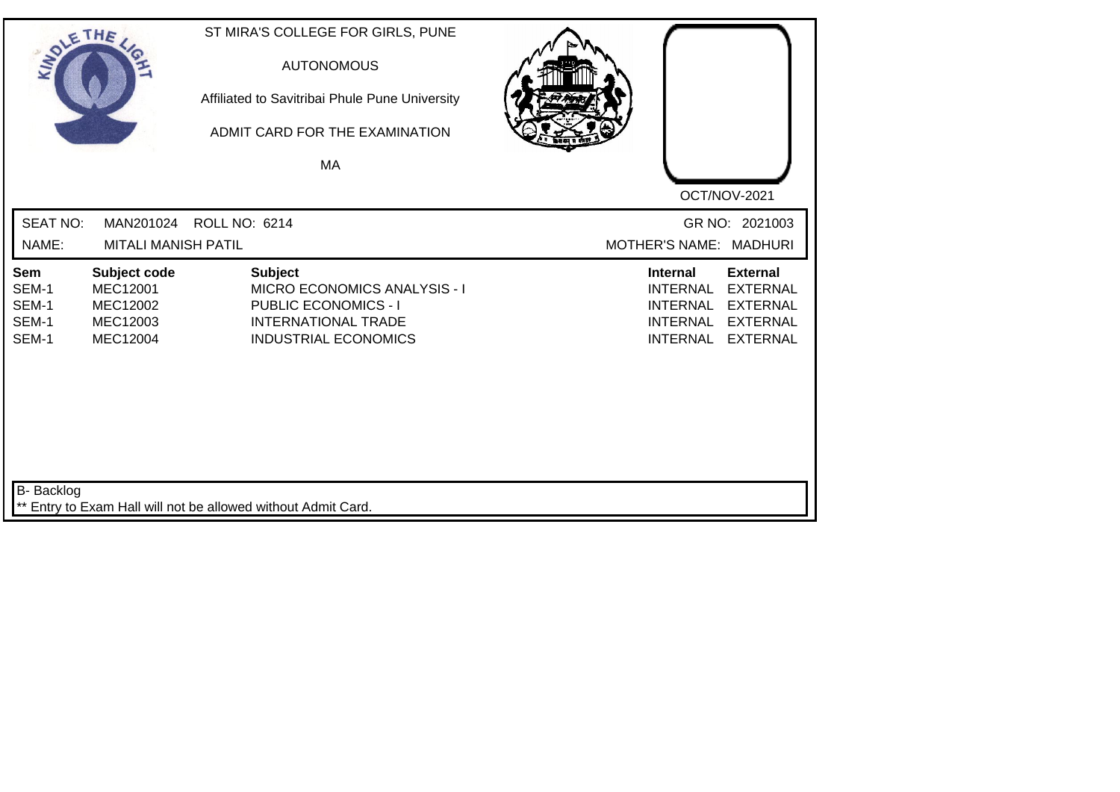| SOLETHE ,                               |                                                              | ST MIRA'S COLLEGE FOR GIRLS, PUNE<br><b>AUTONOMOUS</b><br>Affiliated to Savitribai Phule Pune University<br>ADMIT CARD FOR THE EXAMINATION<br>MA  |                                                                                                                                                                                            |
|-----------------------------------------|--------------------------------------------------------------|---------------------------------------------------------------------------------------------------------------------------------------------------|--------------------------------------------------------------------------------------------------------------------------------------------------------------------------------------------|
|                                         |                                                              |                                                                                                                                                   | OCT/NOV-2021                                                                                                                                                                               |
| <b>SEAT NO:</b><br>NAME:                | MAN201024<br><b>MITALI MANISH PATIL</b>                      | ROLL NO: 6214                                                                                                                                     | GR NO: 2021003<br>MOTHER'S NAME: MADHURI                                                                                                                                                   |
| Sem<br>SEM-1<br>SEM-1<br>SEM-1<br>SEM-1 | Subject code<br>MEC12001<br>MEC12002<br>MEC12003<br>MEC12004 | <b>Subject</b><br><b>MICRO ECONOMICS ANALYSIS - I</b><br><b>PUBLIC ECONOMICS - I</b><br><b>INTERNATIONAL TRADE</b><br><b>INDUSTRIAL ECONOMICS</b> | <b>External</b><br><b>Internal</b><br><b>INTERNAL</b><br><b>EXTERNAL</b><br><b>INTERNAL</b><br><b>EXTERNAL</b><br><b>INTERNAL</b><br><b>EXTERNAL</b><br><b>INTERNAL</b><br><b>EXTERNAL</b> |
| <b>B-</b> Backlog                       |                                                              | ** Entry to Exam Hall will not be allowed without Admit Card.                                                                                     |                                                                                                                                                                                            |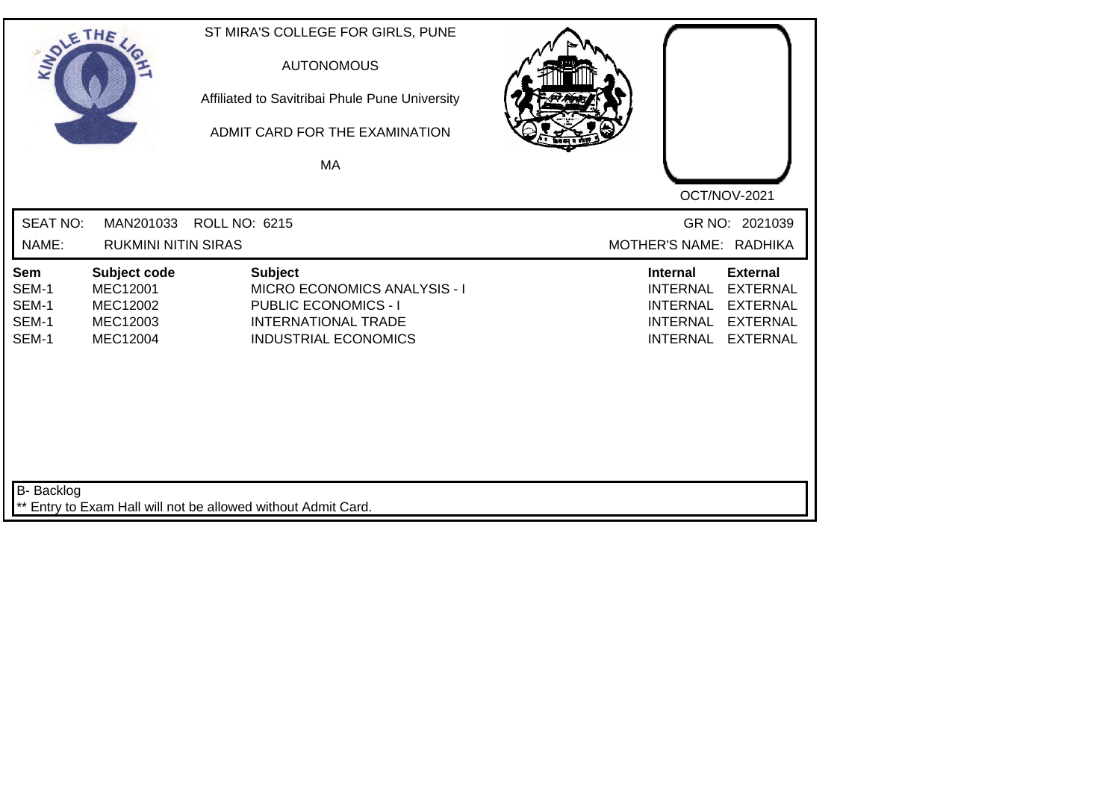| SOLE THE                                |                                                              | ST MIRA'S COLLEGE FOR GIRLS, PUNE<br><b>AUTONOMOUS</b><br>Affiliated to Savitribai Phule Pune University<br>ADMIT CARD FOR THE EXAMINATION<br>MA  |                                                                                                                                                                                            |
|-----------------------------------------|--------------------------------------------------------------|---------------------------------------------------------------------------------------------------------------------------------------------------|--------------------------------------------------------------------------------------------------------------------------------------------------------------------------------------------|
|                                         |                                                              |                                                                                                                                                   | OCT/NOV-2021                                                                                                                                                                               |
| <b>SEAT NO:</b><br>NAME:                | MAN201033<br><b>RUKMINI NITIN SIRAS</b>                      | <b>ROLL NO: 6215</b>                                                                                                                              | GR NO: 2021039<br>MOTHER'S NAME: RADHIKA                                                                                                                                                   |
| Sem<br>SEM-1<br>SEM-1<br>SEM-1<br>SEM-1 | Subject code<br>MEC12001<br>MEC12002<br>MEC12003<br>MEC12004 | <b>Subject</b><br><b>MICRO ECONOMICS ANALYSIS - I</b><br><b>PUBLIC ECONOMICS - I</b><br><b>INTERNATIONAL TRADE</b><br><b>INDUSTRIAL ECONOMICS</b> | <b>External</b><br><b>Internal</b><br><b>INTERNAL</b><br><b>EXTERNAL</b><br><b>INTERNAL</b><br><b>EXTERNAL</b><br><b>INTERNAL</b><br><b>EXTERNAL</b><br><b>INTERNAL</b><br><b>EXTERNAL</b> |
| <b>B-</b> Backlog                       |                                                              | ** Entry to Exam Hall will not be allowed without Admit Card.                                                                                     |                                                                                                                                                                                            |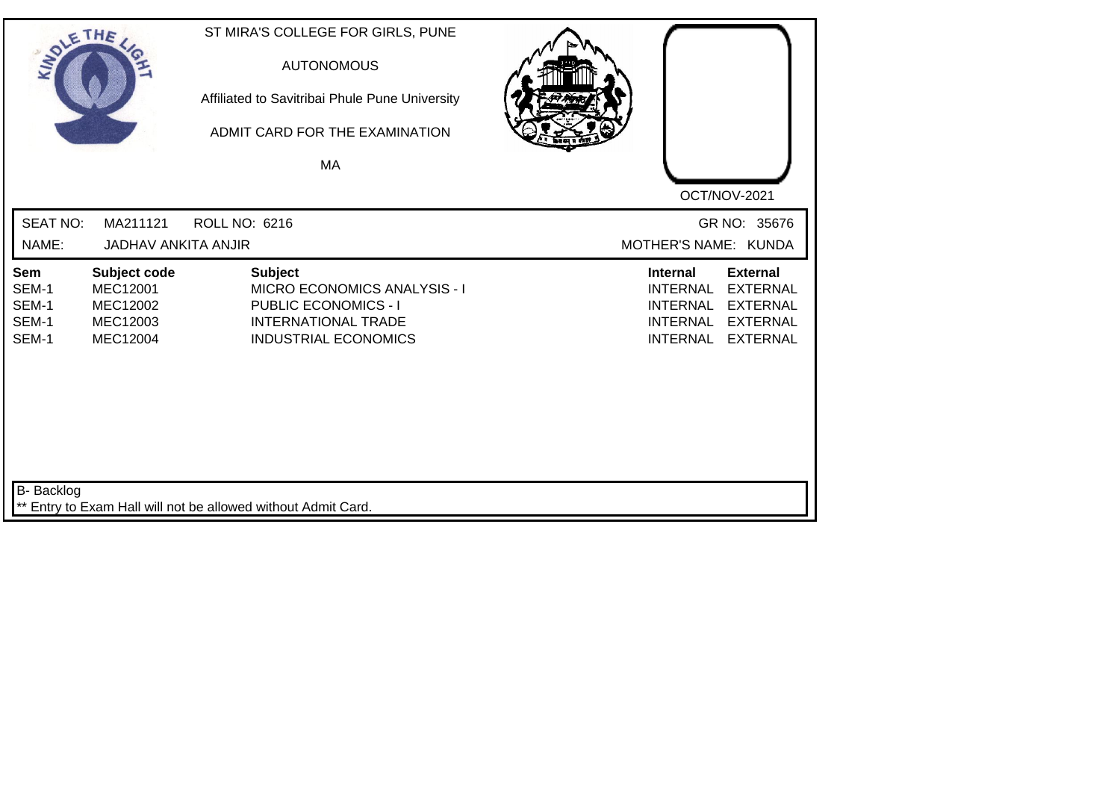| SOLETHE ,                               |                                                              | ST MIRA'S COLLEGE FOR GIRLS, PUNE<br><b>AUTONOMOUS</b><br>Affiliated to Savitribai Phule Pune University<br>ADMIT CARD FOR THE EXAMINATION<br>MA  |                                                                                                                                                                                            |
|-----------------------------------------|--------------------------------------------------------------|---------------------------------------------------------------------------------------------------------------------------------------------------|--------------------------------------------------------------------------------------------------------------------------------------------------------------------------------------------|
|                                         |                                                              |                                                                                                                                                   | OCT/NOV-2021                                                                                                                                                                               |
| <b>SEAT NO:</b><br>NAME:                | MA211121<br><b>JADHAV ANKITA ANJIR</b>                       | <b>ROLL NO: 6216</b>                                                                                                                              | GR NO: 35676<br>MOTHER'S NAME: KUNDA                                                                                                                                                       |
| Sem<br>SEM-1<br>SEM-1<br>SEM-1<br>SEM-1 | Subject code<br>MEC12001<br>MEC12002<br>MEC12003<br>MEC12004 | <b>Subject</b><br><b>MICRO ECONOMICS ANALYSIS - I</b><br><b>PUBLIC ECONOMICS - I</b><br><b>INTERNATIONAL TRADE</b><br><b>INDUSTRIAL ECONOMICS</b> | <b>External</b><br><b>Internal</b><br><b>INTERNAL</b><br><b>EXTERNAL</b><br><b>INTERNAL</b><br><b>EXTERNAL</b><br><b>INTERNAL</b><br><b>EXTERNAL</b><br><b>INTERNAL</b><br><b>EXTERNAL</b> |
| <b>B-</b> Backlog                       |                                                              | ** Entry to Exam Hall will not be allowed without Admit Card.                                                                                     |                                                                                                                                                                                            |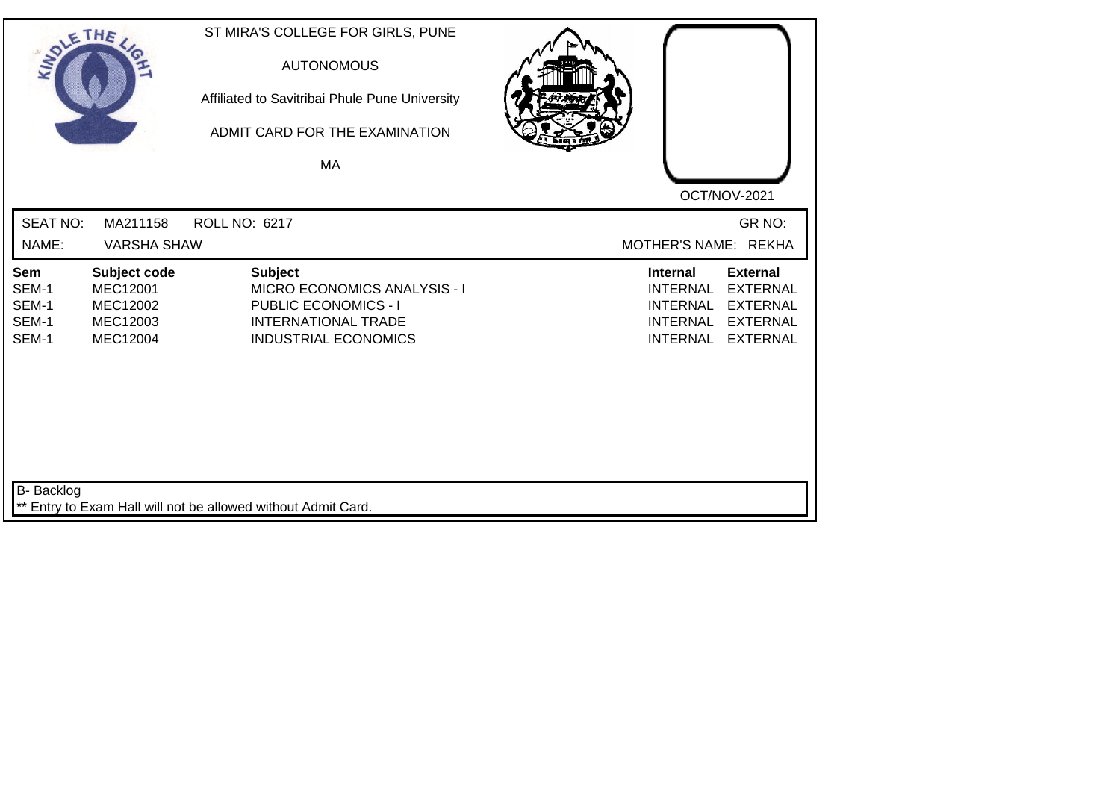| SOLE THE                                |                                                                     | ST MIRA'S COLLEGE FOR GIRLS, PUNE<br><b>AUTONOMOUS</b><br>Affiliated to Savitribai Phule Pune University<br>ADMIT CARD FOR THE EXAMINATION<br>MA  |                                                                                                                                                                                     |  |
|-----------------------------------------|---------------------------------------------------------------------|---------------------------------------------------------------------------------------------------------------------------------------------------|-------------------------------------------------------------------------------------------------------------------------------------------------------------------------------------|--|
|                                         |                                                                     |                                                                                                                                                   | OCT/NOV-2021                                                                                                                                                                        |  |
| <b>SEAT NO:</b>                         | MA211158                                                            | ROLL NO: 6217                                                                                                                                     | GR NO:                                                                                                                                                                              |  |
| NAME:                                   | <b>VARSHA SHAW</b>                                                  |                                                                                                                                                   | MOTHER'S NAME: REKHA                                                                                                                                                                |  |
| Sem<br>SEM-1<br>SEM-1<br>SEM-1<br>SEM-1 | Subject code<br><b>MEC12001</b><br>MEC12002<br>MEC12003<br>MEC12004 | <b>Subject</b><br><b>MICRO ECONOMICS ANALYSIS - I</b><br><b>PUBLIC ECONOMICS - I</b><br><b>INTERNATIONAL TRADE</b><br><b>INDUSTRIAL ECONOMICS</b> | Internal<br><b>External</b><br><b>EXTERNAL</b><br><b>INTERNAL</b><br><b>INTERNAL</b><br><b>EXTERNAL</b><br><b>INTERNAL</b><br><b>EXTERNAL</b><br><b>INTERNAL</b><br><b>EXTERNAL</b> |  |
| B- Backlog                              |                                                                     | ** Entry to Exam Hall will not be allowed without Admit Card.                                                                                     |                                                                                                                                                                                     |  |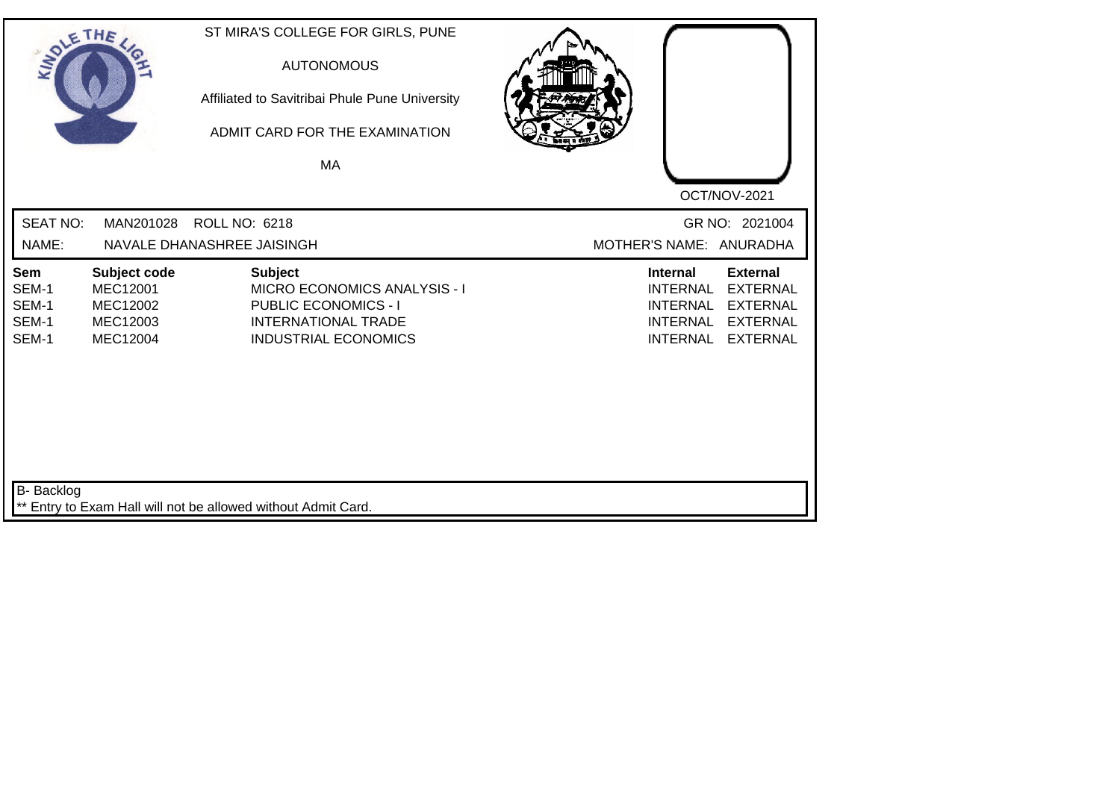| SOLE THE                                |                                                              | ST MIRA'S COLLEGE FOR GIRLS, PUNE<br><b>AUTONOMOUS</b><br>Affiliated to Savitribai Phule Pune University<br>ADMIT CARD FOR THE EXAMINATION<br>MA  |                                                                                                                                                                                            |
|-----------------------------------------|--------------------------------------------------------------|---------------------------------------------------------------------------------------------------------------------------------------------------|--------------------------------------------------------------------------------------------------------------------------------------------------------------------------------------------|
|                                         |                                                              |                                                                                                                                                   | OCT/NOV-2021                                                                                                                                                                               |
| <b>SEAT NO:</b><br>NAME:                | MAN201028                                                    | ROLL NO: 6218<br>NAVALE DHANASHREE JAISINGH                                                                                                       | GR NO: 2021004<br>MOTHER'S NAME: ANURADHA                                                                                                                                                  |
| Sem<br>SEM-1<br>SEM-1<br>SEM-1<br>SEM-1 | Subject code<br>MEC12001<br>MEC12002<br>MEC12003<br>MEC12004 | <b>Subject</b><br><b>MICRO ECONOMICS ANALYSIS - I</b><br><b>PUBLIC ECONOMICS - I</b><br><b>INTERNATIONAL TRADE</b><br><b>INDUSTRIAL ECONOMICS</b> | <b>Internal</b><br><b>External</b><br><b>INTERNAL</b><br><b>EXTERNAL</b><br><b>INTERNAL</b><br><b>EXTERNAL</b><br><b>INTERNAL</b><br><b>EXTERNAL</b><br><b>INTERNAL</b><br><b>EXTERNAL</b> |
| <b>B-</b> Backlog                       |                                                              | ** Entry to Exam Hall will not be allowed without Admit Card.                                                                                     |                                                                                                                                                                                            |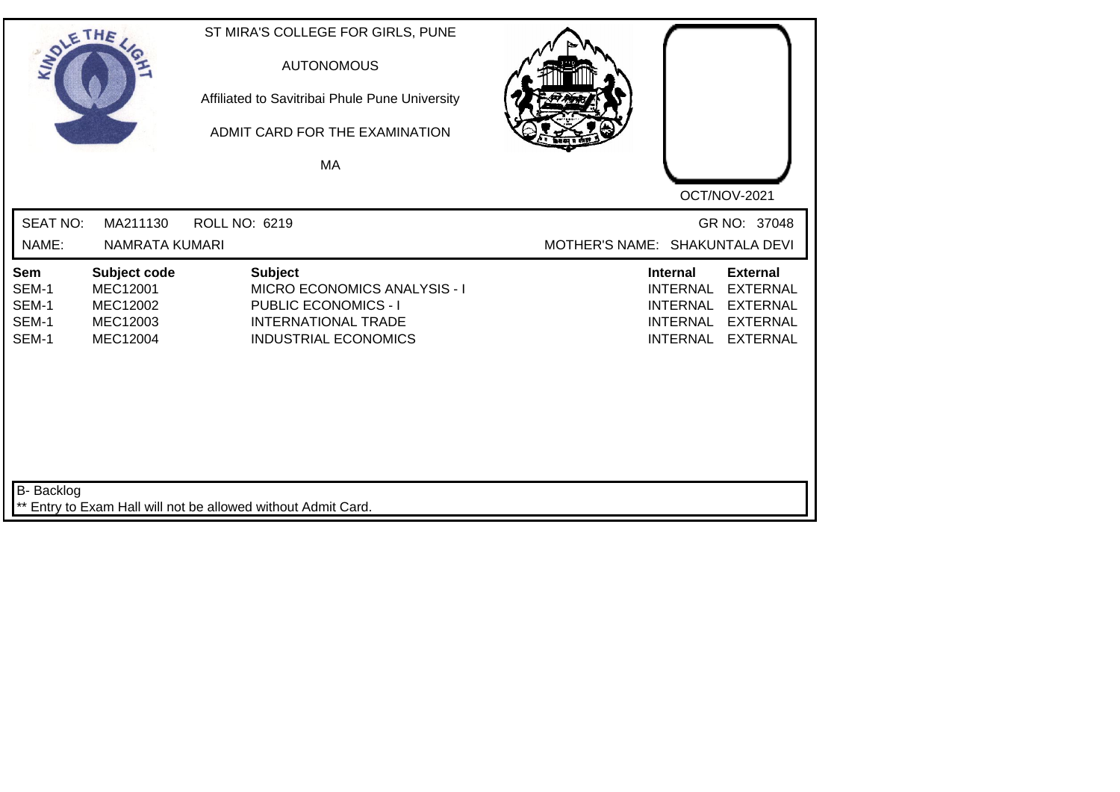| SOLETHE .                                      |                                                                     | ST MIRA'S COLLEGE FOR GIRLS, PUNE<br><b>AUTONOMOUS</b><br>Affiliated to Savitribai Phule Pune University<br>ADMIT CARD FOR THE EXAMINATION<br>MA | OCT/NOV-2021                                                                                                                                                                               |  |
|------------------------------------------------|---------------------------------------------------------------------|--------------------------------------------------------------------------------------------------------------------------------------------------|--------------------------------------------------------------------------------------------------------------------------------------------------------------------------------------------|--|
| <b>SEAT NO:</b><br>NAME:                       | MA211130<br><b>NAMRATA KUMARI</b>                                   | ROLL NO: 6219                                                                                                                                    | GR NO: 37048<br>MOTHER'S NAME: SHAKUNTALA DEVI                                                                                                                                             |  |
| <b>Sem</b><br>SEM-1<br>SEM-1<br>SEM-1<br>SEM-1 | Subject code<br><b>MEC12001</b><br>MEC12002<br>MEC12003<br>MEC12004 | <b>Subject</b><br>MICRO ECONOMICS ANALYSIS - I<br><b>PUBLIC ECONOMICS - I</b><br><b>INTERNATIONAL TRADE</b><br><b>INDUSTRIAL ECONOMICS</b>       | <b>External</b><br><b>Internal</b><br><b>INTERNAL</b><br><b>EXTERNAL</b><br><b>INTERNAL</b><br><b>EXTERNAL</b><br><b>INTERNAL</b><br><b>EXTERNAL</b><br><b>INTERNAL</b><br><b>EXTERNAL</b> |  |
| <b>B-</b> Backlog                              |                                                                     | ** Entry to Exam Hall will not be allowed without Admit Card.                                                                                    |                                                                                                                                                                                            |  |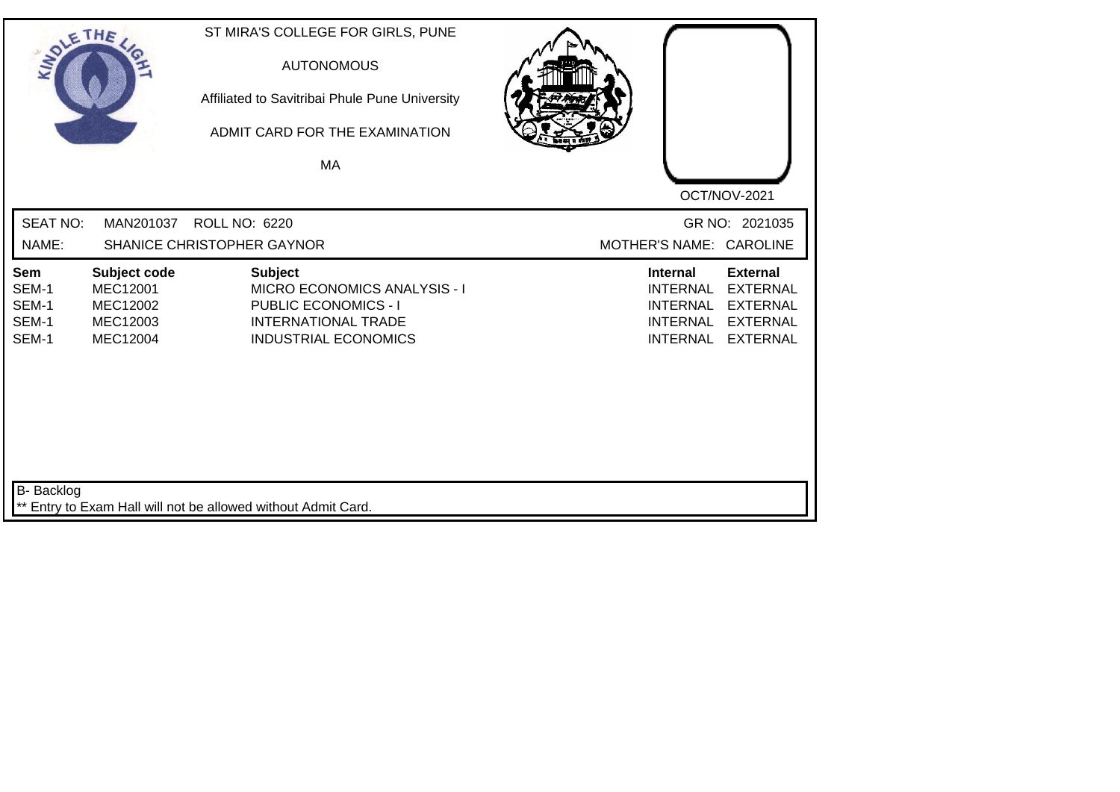| SOLE THE                                |                                                              | ST MIRA'S COLLEGE FOR GIRLS, PUNE<br><b>AUTONOMOUS</b><br>Affiliated to Savitribai Phule Pune University<br>ADMIT CARD FOR THE EXAMINATION        |                                                                                             |                                                                                             |
|-----------------------------------------|--------------------------------------------------------------|---------------------------------------------------------------------------------------------------------------------------------------------------|---------------------------------------------------------------------------------------------|---------------------------------------------------------------------------------------------|
|                                         |                                                              | MA                                                                                                                                                |                                                                                             |                                                                                             |
|                                         |                                                              |                                                                                                                                                   |                                                                                             | OCT/NOV-2021                                                                                |
| <b>SEAT NO:</b>                         | MAN201037                                                    | <b>ROLL NO: 6220</b>                                                                                                                              |                                                                                             | GR NO: 2021035                                                                              |
| NAME:                                   |                                                              | <b>SHANICE CHRISTOPHER GAYNOR</b>                                                                                                                 | MOTHER'S NAME: CAROLINE                                                                     |                                                                                             |
| Sem<br>SEM-1<br>SEM-1<br>SEM-1<br>SEM-1 | Subject code<br>MEC12001<br>MEC12002<br>MEC12003<br>MEC12004 | <b>Subject</b><br><b>MICRO ECONOMICS ANALYSIS - I</b><br><b>PUBLIC ECONOMICS - I</b><br><b>INTERNATIONAL TRADE</b><br><b>INDUSTRIAL ECONOMICS</b> | <b>Internal</b><br><b>INTERNAL</b><br><b>INTERNAL</b><br><b>INTERNAL</b><br><b>INTERNAL</b> | <b>External</b><br><b>EXTERNAL</b><br><b>EXTERNAL</b><br><b>EXTERNAL</b><br><b>EXTERNAL</b> |
| <b>B-</b> Backlog                       |                                                              | ** Entry to Exam Hall will not be allowed without Admit Card.                                                                                     |                                                                                             |                                                                                             |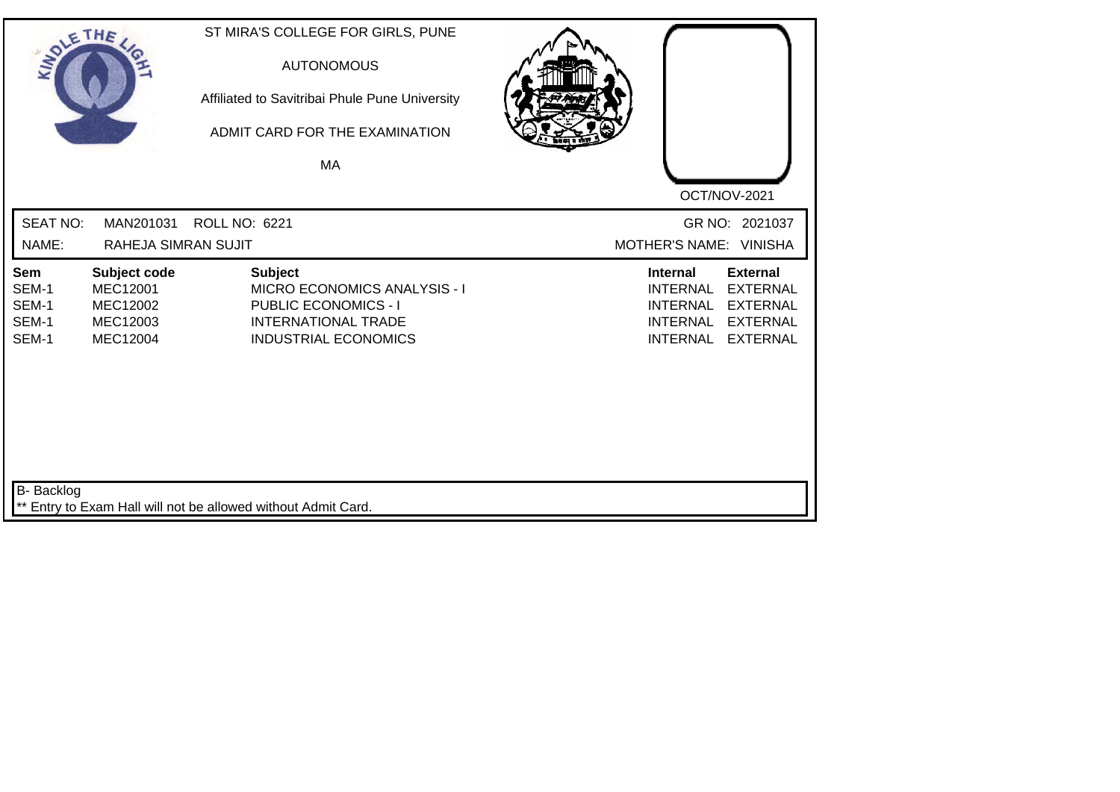| SOLE THE                                |                                                              | ST MIRA'S COLLEGE FOR GIRLS, PUNE<br><b>AUTONOMOUS</b><br>Affiliated to Savitribai Phule Pune University<br>ADMIT CARD FOR THE EXAMINATION<br>MA  |                                                                                                                                                                                            |
|-----------------------------------------|--------------------------------------------------------------|---------------------------------------------------------------------------------------------------------------------------------------------------|--------------------------------------------------------------------------------------------------------------------------------------------------------------------------------------------|
| <b>SEAT NO:</b>                         | MAN201031                                                    | <b>ROLL NO: 6221</b>                                                                                                                              | OCT/NOV-2021<br>GR NO: 2021037                                                                                                                                                             |
| NAME:                                   | <b>RAHEJA SIMRAN SUJIT</b>                                   |                                                                                                                                                   | MOTHER'S NAME: VINISHA                                                                                                                                                                     |
| Sem<br>SEM-1<br>SEM-1<br>SEM-1<br>SEM-1 | Subject code<br>MEC12001<br>MEC12002<br>MEC12003<br>MEC12004 | <b>Subject</b><br><b>MICRO ECONOMICS ANALYSIS - I</b><br><b>PUBLIC ECONOMICS - I</b><br><b>INTERNATIONAL TRADE</b><br><b>INDUSTRIAL ECONOMICS</b> | <b>External</b><br><b>Internal</b><br><b>INTERNAL</b><br><b>EXTERNAL</b><br><b>INTERNAL</b><br><b>EXTERNAL</b><br><b>INTERNAL</b><br><b>EXTERNAL</b><br><b>INTERNAL</b><br><b>EXTERNAL</b> |
| <b>B-</b> Backlog                       |                                                              | ** Entry to Exam Hall will not be allowed without Admit Card.                                                                                     |                                                                                                                                                                                            |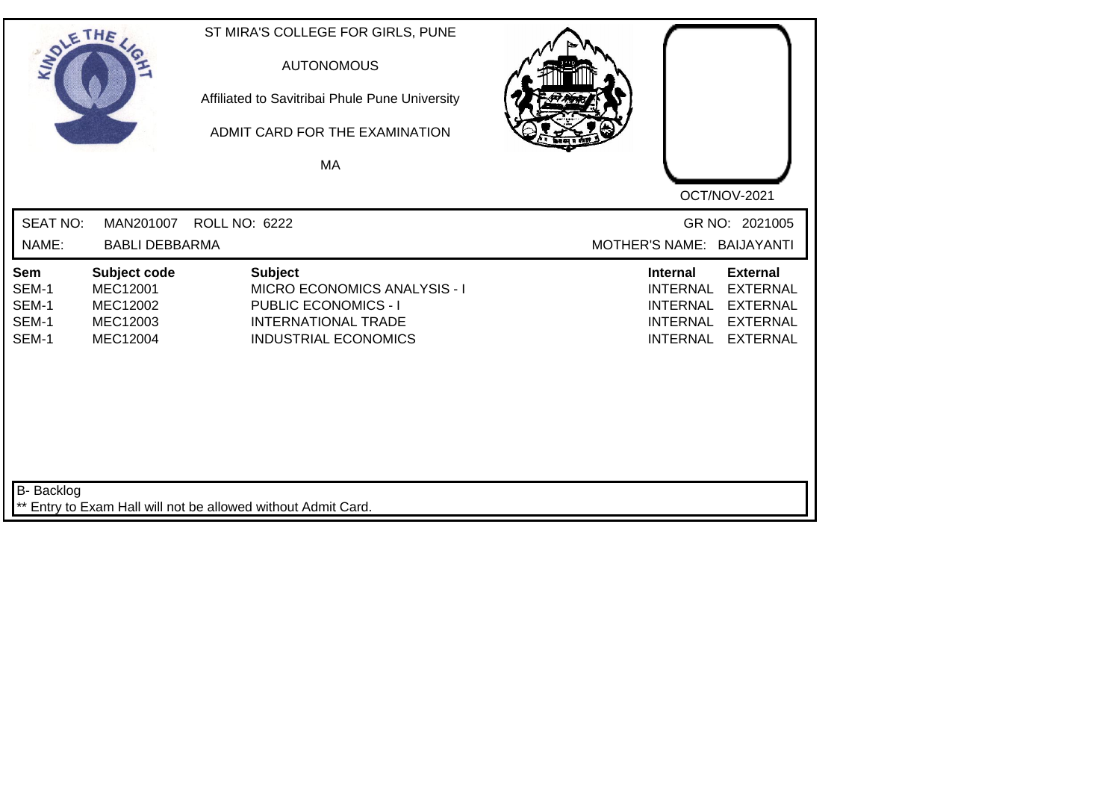| SOLE THE                                |                                                                     | ST MIRA'S COLLEGE FOR GIRLS, PUNE<br><b>AUTONOMOUS</b><br>Affiliated to Savitribai Phule Pune University<br>ADMIT CARD FOR THE EXAMINATION<br>MA |                                                                                                                                                                                            |
|-----------------------------------------|---------------------------------------------------------------------|--------------------------------------------------------------------------------------------------------------------------------------------------|--------------------------------------------------------------------------------------------------------------------------------------------------------------------------------------------|
|                                         |                                                                     |                                                                                                                                                  |                                                                                                                                                                                            |
|                                         |                                                                     |                                                                                                                                                  | OCT/NOV-2021                                                                                                                                                                               |
| <b>SEAT NO:</b>                         | MAN201007                                                           | ROLL NO: 6222                                                                                                                                    | GR NO: 2021005                                                                                                                                                                             |
| NAME:                                   | <b>BABLI DEBBARMA</b>                                               |                                                                                                                                                  | MOTHER'S NAME: BAIJAYANTI                                                                                                                                                                  |
| Sem<br>SEM-1<br>SEM-1<br>SEM-1<br>SEM-1 | Subject code<br><b>MEC12001</b><br>MEC12002<br>MEC12003<br>MEC12004 | <b>Subject</b><br>MICRO ECONOMICS ANALYSIS - I<br><b>PUBLIC ECONOMICS - I</b><br><b>INTERNATIONAL TRADE</b><br><b>INDUSTRIAL ECONOMICS</b>       | <b>External</b><br><b>Internal</b><br><b>INTERNAL</b><br><b>EXTERNAL</b><br><b>INTERNAL</b><br><b>EXTERNAL</b><br><b>INTERNAL</b><br><b>EXTERNAL</b><br><b>INTERNAL</b><br><b>EXTERNAL</b> |
| <b>B-</b> Backlog                       |                                                                     | ** Entry to Exam Hall will not be allowed without Admit Card.                                                                                    |                                                                                                                                                                                            |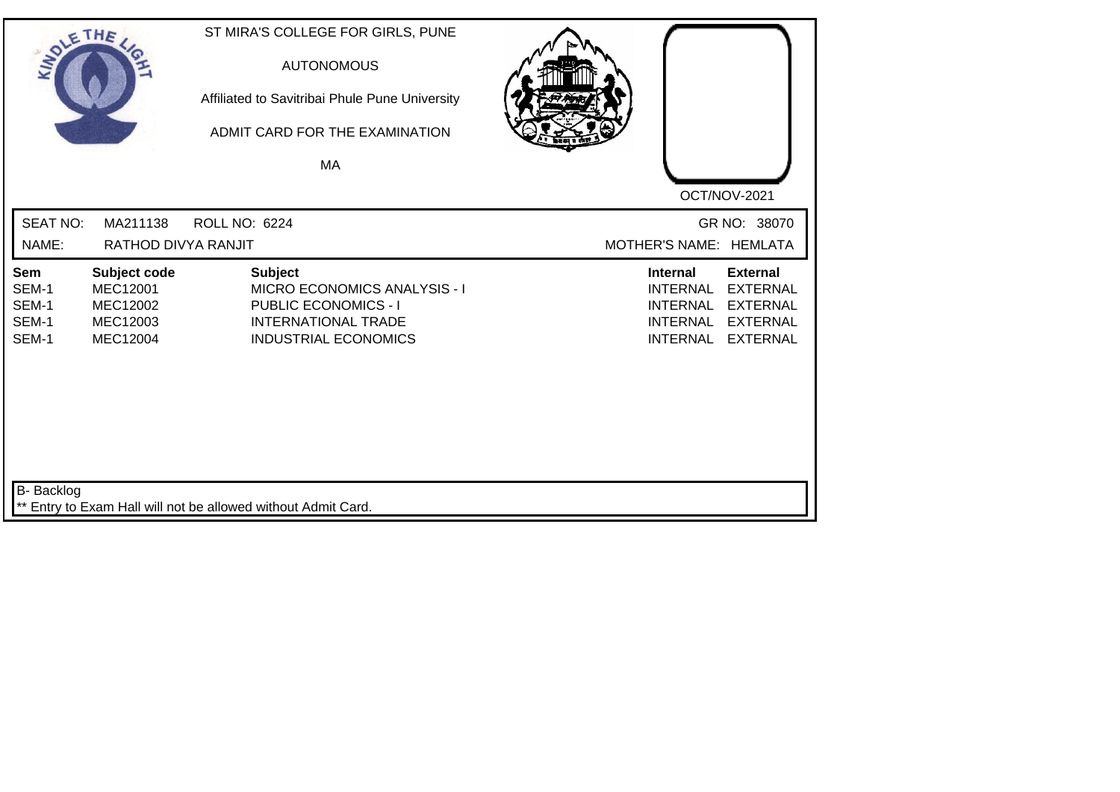| SOLE THE                                       |                                                                     | ST MIRA'S COLLEGE FOR GIRLS, PUNE<br><b>AUTONOMOUS</b><br>Affiliated to Savitribai Phule Pune University<br>ADMIT CARD FOR THE EXAMINATION<br><b>MA</b> |                                                                                             |                                                                                             |
|------------------------------------------------|---------------------------------------------------------------------|---------------------------------------------------------------------------------------------------------------------------------------------------------|---------------------------------------------------------------------------------------------|---------------------------------------------------------------------------------------------|
|                                                |                                                                     |                                                                                                                                                         |                                                                                             | OCT/NOV-2021                                                                                |
| <b>SEAT NO:</b>                                | MA211138                                                            | <b>ROLL NO: 6224</b>                                                                                                                                    |                                                                                             | GR NO: 38070                                                                                |
| NAME:                                          | RATHOD DIVYA RANJIT                                                 |                                                                                                                                                         | MOTHER'S NAME: HEMLATA                                                                      |                                                                                             |
| <b>Sem</b><br>SEM-1<br>SEM-1<br>SEM-1<br>SEM-1 | Subject code<br><b>MEC12001</b><br>MEC12002<br>MEC12003<br>MEC12004 | <b>Subject</b><br>MICRO ECONOMICS ANALYSIS - I<br><b>PUBLIC ECONOMICS - I</b><br><b>INTERNATIONAL TRADE</b><br><b>INDUSTRIAL ECONOMICS</b>              | <b>Internal</b><br><b>INTERNAL</b><br><b>INTERNAL</b><br><b>INTERNAL</b><br><b>INTERNAL</b> | <b>External</b><br><b>EXTERNAL</b><br><b>EXTERNAL</b><br><b>EXTERNAL</b><br><b>EXTERNAL</b> |
| <b>B-</b> Backlog                              |                                                                     | ** Entry to Exam Hall will not be allowed without Admit Card.                                                                                           |                                                                                             |                                                                                             |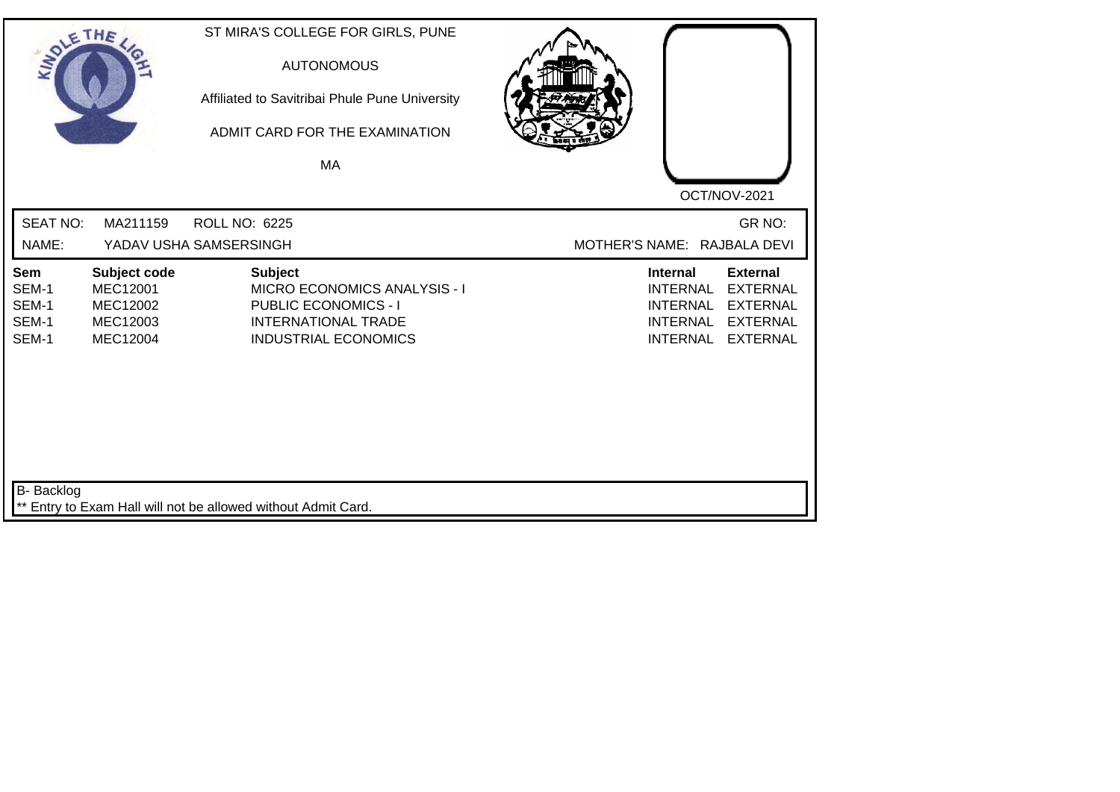| SOLETHE ,                               |                                                                     | ST MIRA'S COLLEGE FOR GIRLS, PUNE<br><b>AUTONOMOUS</b><br>Affiliated to Savitribai Phule Pune University<br>ADMIT CARD FOR THE EXAMINATION<br>MA |  |                                                                                             | OCT/NOV-2021                                                                                |
|-----------------------------------------|---------------------------------------------------------------------|--------------------------------------------------------------------------------------------------------------------------------------------------|--|---------------------------------------------------------------------------------------------|---------------------------------------------------------------------------------------------|
| <b>SEAT NO:</b><br>NAME:                | MA211159                                                            | <b>ROLL NO: 6225</b><br>YADAV USHA SAMSERSINGH                                                                                                   |  | MOTHER'S NAME: RAJBALA DEVI                                                                 | GR NO:                                                                                      |
| Sem<br>SEM-1<br>SEM-1<br>SEM-1<br>SEM-1 | Subject code<br><b>MEC12001</b><br>MEC12002<br>MEC12003<br>MEC12004 | <b>Subject</b><br><b>MICRO ECONOMICS ANALYSIS - I</b><br>PUBLIC ECONOMICS - I<br><b>INTERNATIONAL TRADE</b><br><b>INDUSTRIAL ECONOMICS</b>       |  | <b>Internal</b><br><b>INTERNAL</b><br><b>INTERNAL</b><br><b>INTERNAL</b><br><b>INTERNAL</b> | <b>External</b><br><b>EXTERNAL</b><br><b>EXTERNAL</b><br><b>EXTERNAL</b><br><b>EXTERNAL</b> |
| <b>B-</b> Backlog                       |                                                                     | ** Entry to Exam Hall will not be allowed without Admit Card.                                                                                    |  |                                                                                             |                                                                                             |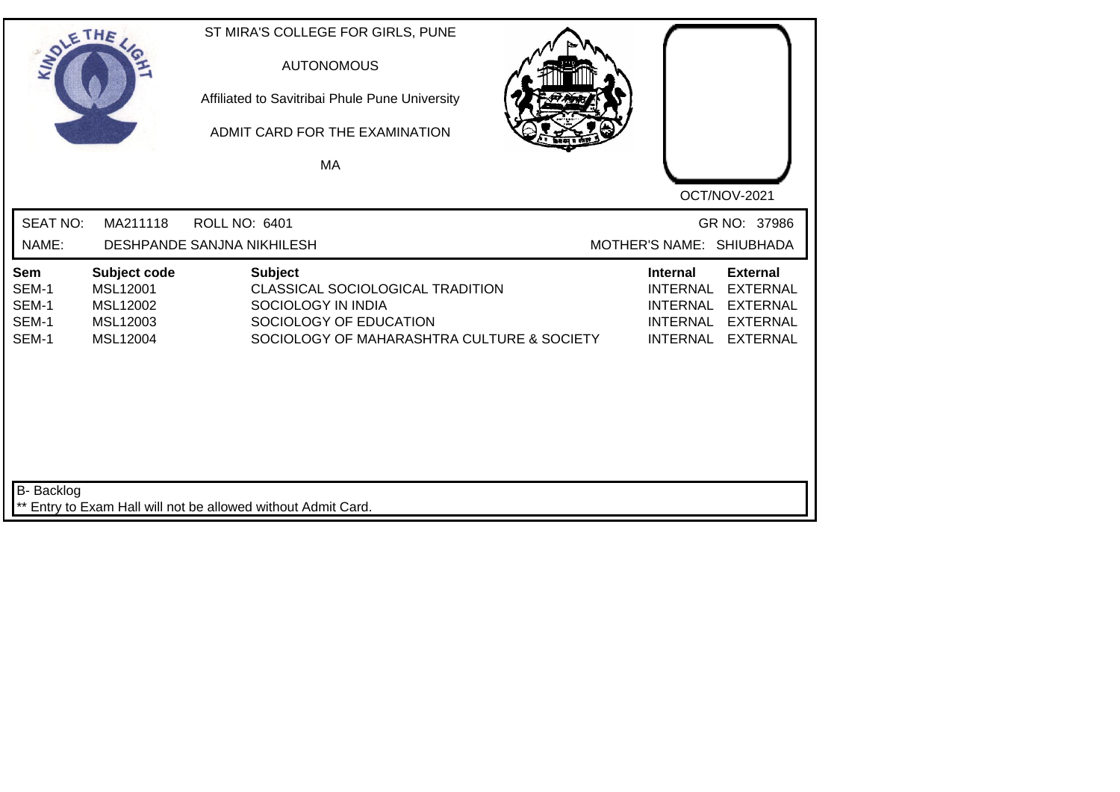| SOLETHE ,                               |                                                              | ST MIRA'S COLLEGE FOR GIRLS, PUNE<br><b>AUTONOMOUS</b><br>Affiliated to Savitribai Phule Pune University<br>ADMIT CARD FOR THE EXAMINATION<br>MA | OCT/NOV-2021                                                                                                                                                                               |
|-----------------------------------------|--------------------------------------------------------------|--------------------------------------------------------------------------------------------------------------------------------------------------|--------------------------------------------------------------------------------------------------------------------------------------------------------------------------------------------|
| <b>SEAT NO:</b><br>NAME:                | MA211118                                                     | <b>ROLL NO: 6401</b><br>DESHPANDE SANJNA NIKHILESH                                                                                               | GR NO: 37986<br>MOTHER'S NAME: SHIUBHADA                                                                                                                                                   |
| Sem<br>SEM-1<br>SEM-1<br>SEM-1<br>SEM-1 | Subject code<br>MSL12001<br>MSL12002<br>MSL12003<br>MSL12004 | <b>Subject</b><br>CLASSICAL SOCIOLOGICAL TRADITION<br>SOCIOLOGY IN INDIA<br>SOCIOLOGY OF EDUCATION<br>SOCIOLOGY OF MAHARASHTRA CULTURE & SOCIETY | <b>External</b><br><b>Internal</b><br><b>INTERNAL</b><br><b>EXTERNAL</b><br><b>EXTERNAL</b><br><b>INTERNAL</b><br><b>INTERNAL</b><br><b>EXTERNAL</b><br><b>INTERNAL</b><br><b>EXTERNAL</b> |
| B- Backlog                              |                                                              | ** Entry to Exam Hall will not be allowed without Admit Card.                                                                                    |                                                                                                                                                                                            |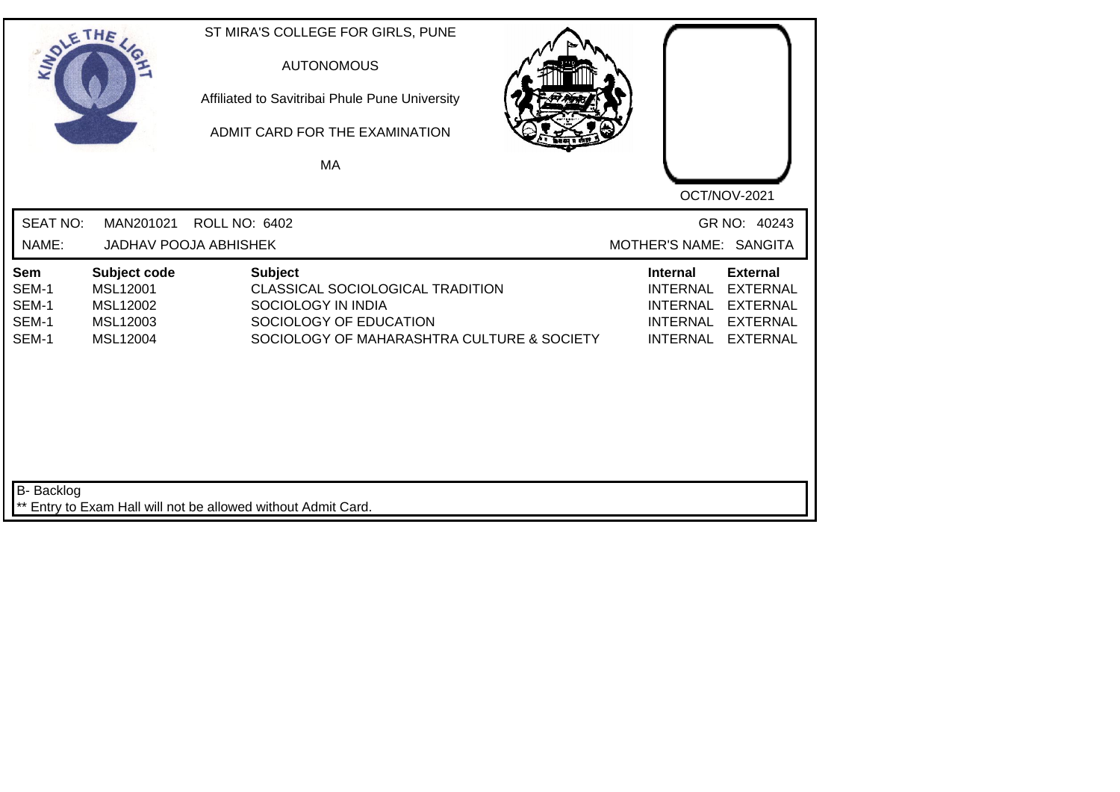| SOLETHE .                               |                                                              | ST MIRA'S COLLEGE FOR GIRLS, PUNE<br><b>AUTONOMOUS</b><br>Affiliated to Savitribai Phule Pune University<br>ADMIT CARD FOR THE EXAMINATION<br><b>MA</b> | OCT/NOV-2021                                                                                                                                                                               |
|-----------------------------------------|--------------------------------------------------------------|---------------------------------------------------------------------------------------------------------------------------------------------------------|--------------------------------------------------------------------------------------------------------------------------------------------------------------------------------------------|
| <b>SEAT NO:</b><br>NAME:                | MAN201021                                                    | <b>ROLL NO: 6402</b><br><b>JADHAV POOJA ABHISHEK</b>                                                                                                    | GR NO: 40243<br>MOTHER'S NAME: SANGITA                                                                                                                                                     |
| Sem<br>SEM-1<br>SEM-1<br>SEM-1<br>SEM-1 | Subject code<br>MSL12001<br>MSL12002<br>MSL12003<br>MSL12004 | <b>Subject</b><br>CLASSICAL SOCIOLOGICAL TRADITION<br>SOCIOLOGY IN INDIA<br>SOCIOLOGY OF EDUCATION<br>SOCIOLOGY OF MAHARASHTRA CULTURE & SOCIETY        | <b>External</b><br><b>Internal</b><br><b>INTERNAL</b><br><b>EXTERNAL</b><br><b>INTERNAL</b><br><b>EXTERNAL</b><br><b>INTERNAL</b><br><b>EXTERNAL</b><br><b>INTERNAL</b><br><b>EXTERNAL</b> |
| <b>B-</b> Backlog                       |                                                              | ** Entry to Exam Hall will not be allowed without Admit Card.                                                                                           |                                                                                                                                                                                            |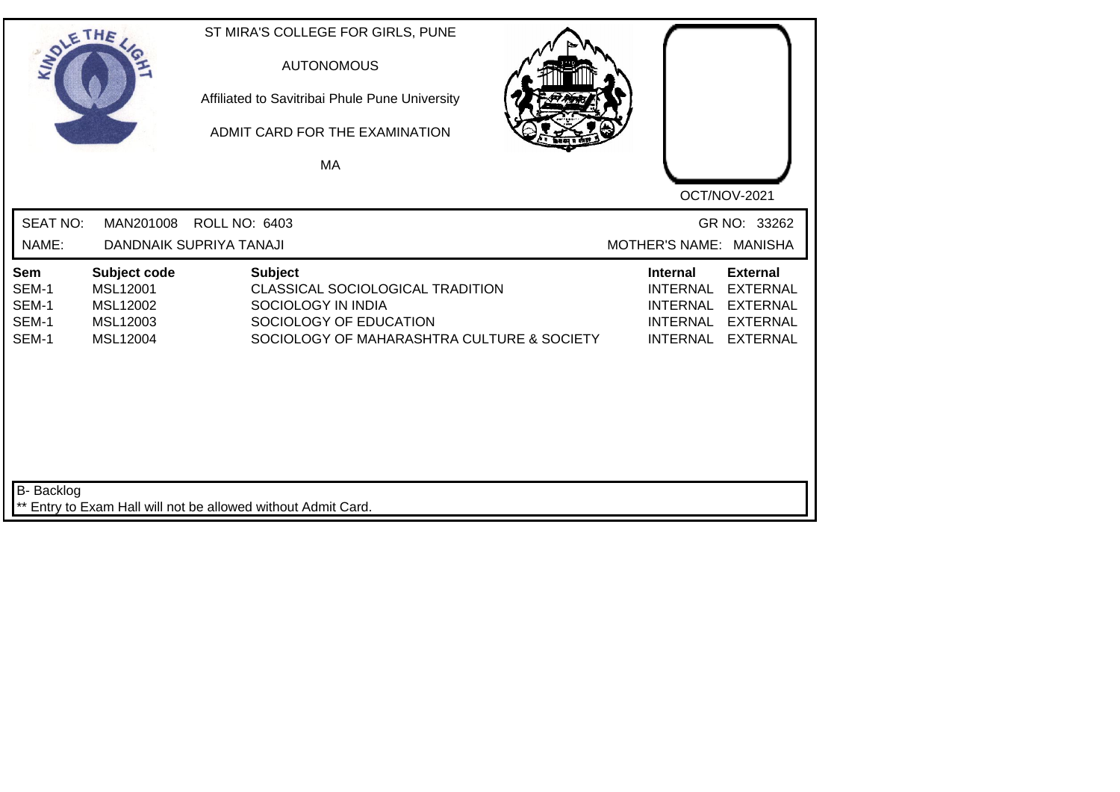| SOLETHE                                 |                                                              | ST MIRA'S COLLEGE FOR GIRLS, PUNE<br><b>AUTONOMOUS</b><br>Affiliated to Savitribai Phule Pune University<br>ADMIT CARD FOR THE EXAMINATION<br>MA |                                                                                                                                                                                            |
|-----------------------------------------|--------------------------------------------------------------|--------------------------------------------------------------------------------------------------------------------------------------------------|--------------------------------------------------------------------------------------------------------------------------------------------------------------------------------------------|
| <b>SEAT NO:</b><br>NAME:                | MAN201008                                                    | <b>ROLL NO: 6403</b><br>DANDNAIK SUPRIYA TANAJI                                                                                                  | OCT/NOV-2021<br>GR NO: 33262<br>MOTHER'S NAME: MANISHA                                                                                                                                     |
| Sem<br>SEM-1<br>SEM-1<br>SEM-1<br>SEM-1 | Subject code<br>MSL12001<br>MSL12002<br>MSL12003<br>MSL12004 | <b>Subject</b><br>CLASSICAL SOCIOLOGICAL TRADITION<br>SOCIOLOGY IN INDIA<br>SOCIOLOGY OF EDUCATION<br>SOCIOLOGY OF MAHARASHTRA CULTURE & SOCIETY | <b>External</b><br><b>Internal</b><br><b>EXTERNAL</b><br><b>INTERNAL</b><br><b>INTERNAL</b><br><b>EXTERNAL</b><br><b>INTERNAL</b><br><b>EXTERNAL</b><br><b>INTERNAL</b><br><b>EXTERNAL</b> |
| <b>B-</b> Backlog                       |                                                              | ** Entry to Exam Hall will not be allowed without Admit Card.                                                                                    |                                                                                                                                                                                            |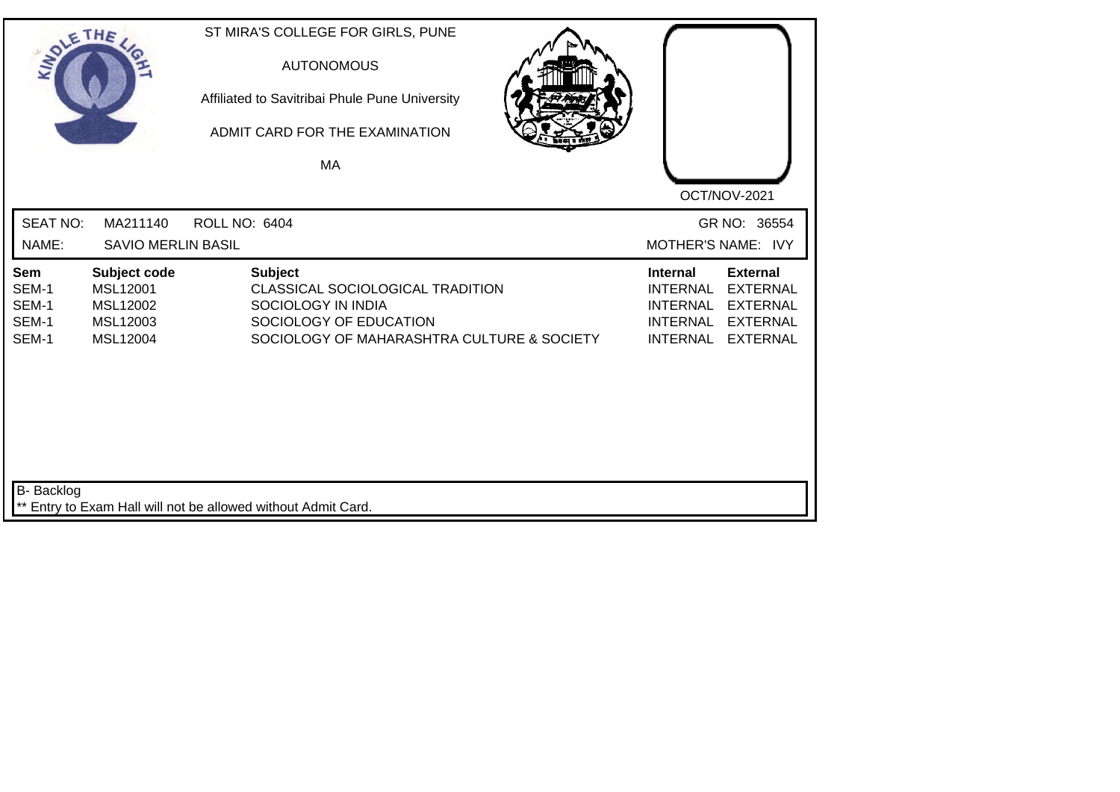| SOLE THE                                |                                                              | ST MIRA'S COLLEGE FOR GIRLS, PUNE<br><b>AUTONOMOUS</b><br>Affiliated to Savitribai Phule Pune University<br>ADMIT CARD FOR THE EXAMINATION<br><b>MA</b> |                                                                                                                                                                                            |
|-----------------------------------------|--------------------------------------------------------------|---------------------------------------------------------------------------------------------------------------------------------------------------------|--------------------------------------------------------------------------------------------------------------------------------------------------------------------------------------------|
| <b>SEAT NO:</b><br>NAME:                | MA211140<br><b>SAVIO MERLIN BASIL</b>                        | <b>ROLL NO: 6404</b>                                                                                                                                    | OCT/NOV-2021<br>GR NO: 36554<br>MOTHER'S NAME: IVY                                                                                                                                         |
| Sem<br>SEM-1<br>SEM-1<br>SEM-1<br>SEM-1 | Subject code<br>MSL12001<br>MSL12002<br>MSL12003<br>MSL12004 | <b>Subject</b><br>CLASSICAL SOCIOLOGICAL TRADITION<br>SOCIOLOGY IN INDIA<br>SOCIOLOGY OF EDUCATION<br>SOCIOLOGY OF MAHARASHTRA CULTURE & SOCIETY        | <b>External</b><br><b>Internal</b><br><b>INTERNAL</b><br><b>EXTERNAL</b><br><b>INTERNAL</b><br><b>EXTERNAL</b><br><b>INTERNAL</b><br><b>EXTERNAL</b><br><b>INTERNAL</b><br><b>EXTERNAL</b> |
| B- Backlog                              |                                                              | Entry to Exam Hall will not be allowed without Admit Card.                                                                                              |                                                                                                                                                                                            |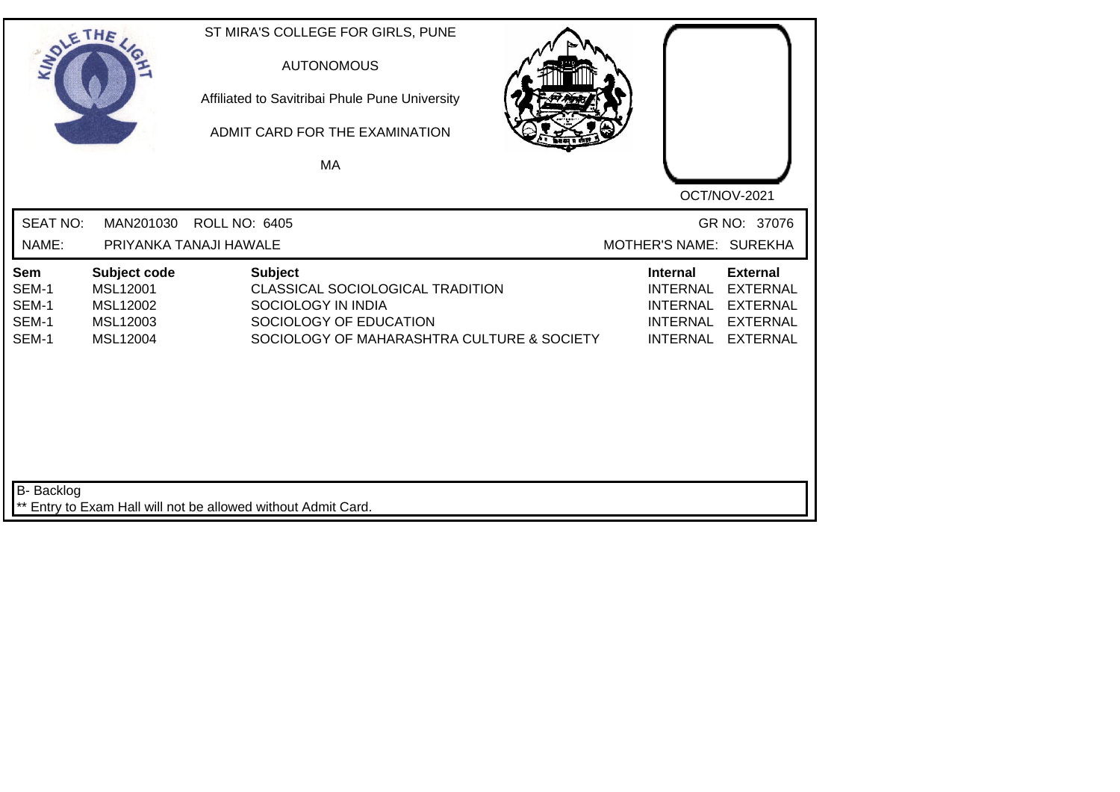| SOLE THE                                |                                                              |                                                               | ST MIRA'S COLLEGE FOR GIRLS, PUNE<br><b>AUTONOMOUS</b><br>Affiliated to Savitribai Phule Pune University<br>ADMIT CARD FOR THE EXAMINATION<br>MA |                                                                                             | OCT/NOV-2021                                                                                |
|-----------------------------------------|--------------------------------------------------------------|---------------------------------------------------------------|--------------------------------------------------------------------------------------------------------------------------------------------------|---------------------------------------------------------------------------------------------|---------------------------------------------------------------------------------------------|
| <b>SEAT NO:</b><br>NAME:                | MAN201030                                                    | <b>ROLL NO: 6405</b><br>PRIYANKA TANAJI HAWALE                |                                                                                                                                                  |                                                                                             | GR NO: 37076<br>MOTHER'S NAME: SUREKHA                                                      |
| Sem<br>SEM-1<br>SEM-1<br>SEM-1<br>SEM-1 | Subject code<br>MSL12001<br>MSL12002<br>MSL12003<br>MSL12004 | <b>Subject</b>                                                | CLASSICAL SOCIOLOGICAL TRADITION<br>SOCIOLOGY IN INDIA<br>SOCIOLOGY OF EDUCATION<br>SOCIOLOGY OF MAHARASHTRA CULTURE & SOCIETY                   | <b>Internal</b><br><b>INTERNAL</b><br><b>INTERNAL</b><br><b>INTERNAL</b><br><b>INTERNAL</b> | <b>External</b><br><b>EXTERNAL</b><br><b>EXTERNAL</b><br><b>EXTERNAL</b><br><b>EXTERNAL</b> |
| B- Backlog                              |                                                              | ** Entry to Exam Hall will not be allowed without Admit Card. |                                                                                                                                                  |                                                                                             |                                                                                             |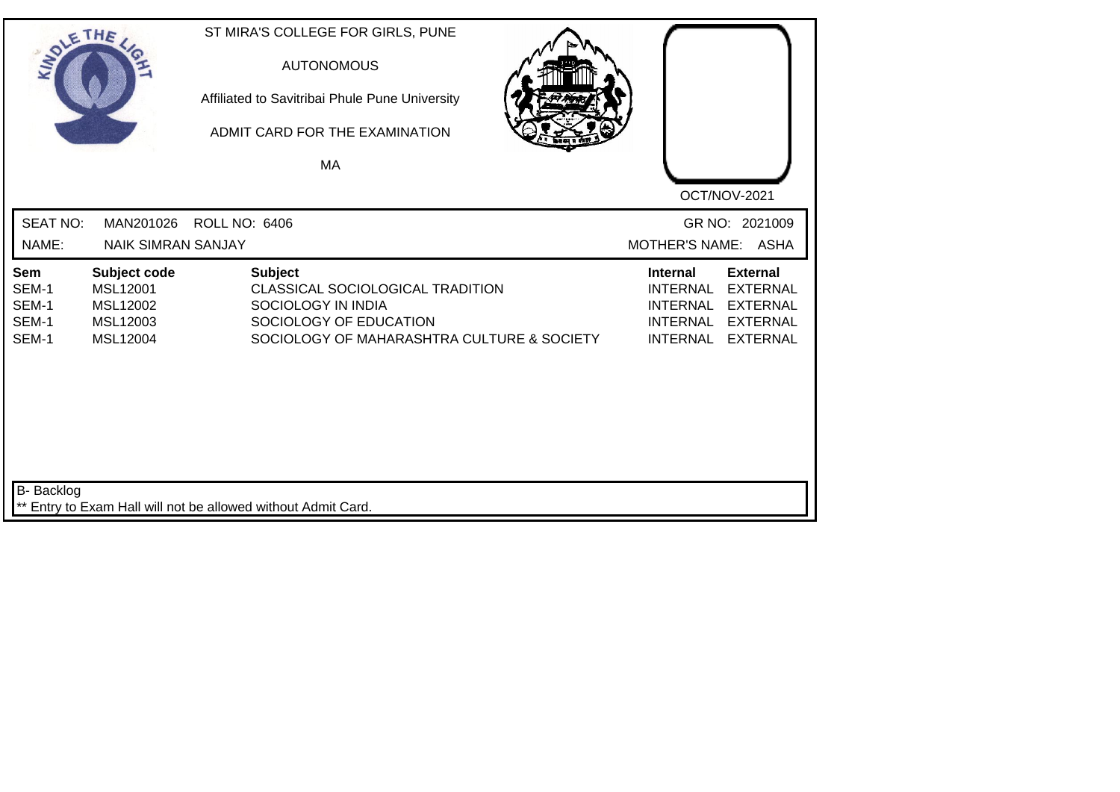| SOLE THE                                |                                                              | ST MIRA'S COLLEGE FOR GIRLS, PUNE<br><b>AUTONOMOUS</b><br>Affiliated to Savitribai Phule Pune University<br>ADMIT CARD FOR THE EXAMINATION<br>MA |  |                                                                                             | OCT/NOV-2021                                                                                |
|-----------------------------------------|--------------------------------------------------------------|--------------------------------------------------------------------------------------------------------------------------------------------------|--|---------------------------------------------------------------------------------------------|---------------------------------------------------------------------------------------------|
| <b>SEAT NO:</b><br>NAME:                | MAN201026<br><b>NAIK SIMRAN SANJAY</b>                       | <b>ROLL NO: 6406</b>                                                                                                                             |  | MOTHER'S NAME: ASHA                                                                         | GR NO: 2021009                                                                              |
| Sem<br>SEM-1<br>SEM-1<br>SEM-1<br>SEM-1 | Subject code<br>MSL12001<br>MSL12002<br>MSL12003<br>MSL12004 | <b>Subject</b><br>CLASSICAL SOCIOLOGICAL TRADITION<br>SOCIOLOGY IN INDIA<br>SOCIOLOGY OF EDUCATION<br>SOCIOLOGY OF MAHARASHTRA CULTURE & SOCIETY |  | <b>Internal</b><br><b>INTERNAL</b><br><b>INTERNAL</b><br><b>INTERNAL</b><br><b>INTERNAL</b> | <b>External</b><br><b>EXTERNAL</b><br><b>EXTERNAL</b><br><b>EXTERNAL</b><br><b>EXTERNAL</b> |
| B- Backlog                              |                                                              | ** Entry to Exam Hall will not be allowed without Admit Card.                                                                                    |  |                                                                                             |                                                                                             |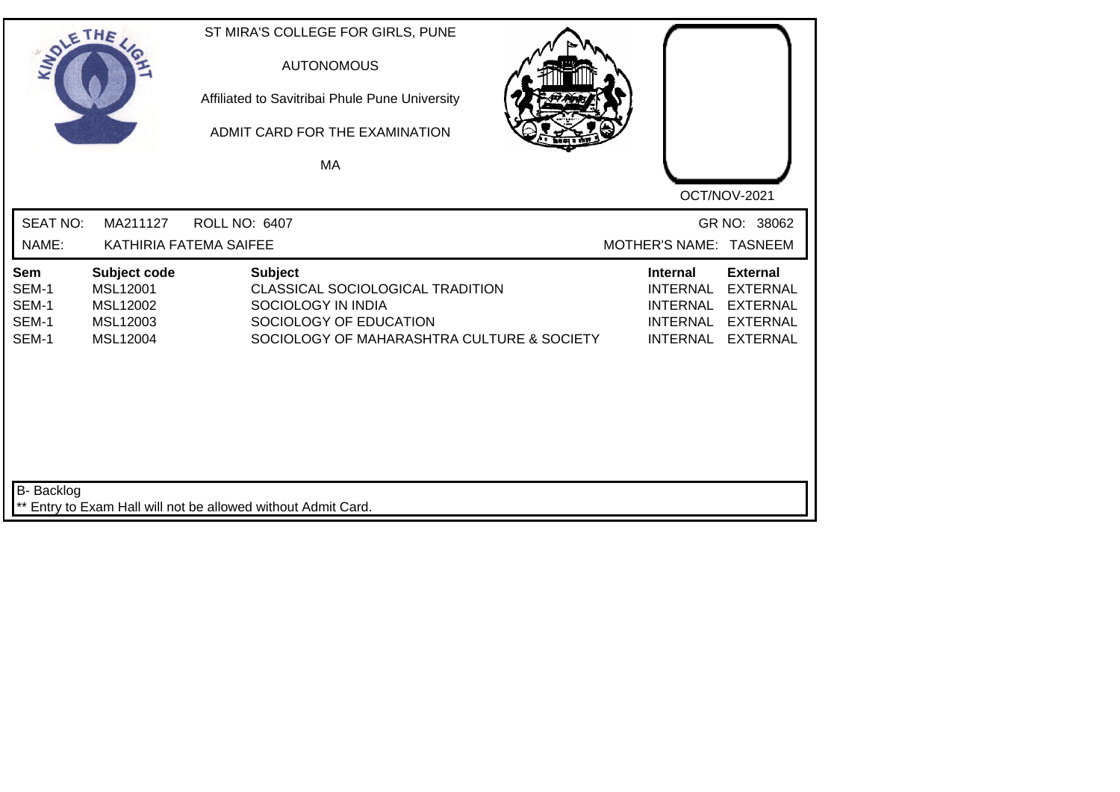| SOLETHE,                                                                                                | ST MIRA'S COLLEGE FOR GIRLS, PUNE<br><b>AUTONOMOUS</b><br>Affiliated to Savitribai Phule Pune University<br>ADMIT CARD FOR THE EXAMINATION<br>MA | OCT/NOV-2021                                                                                                                                             |
|---------------------------------------------------------------------------------------------------------|--------------------------------------------------------------------------------------------------------------------------------------------------|----------------------------------------------------------------------------------------------------------------------------------------------------------|
| <b>SEAT NO:</b><br>MA211127                                                                             | <b>ROLL NO: 6407</b>                                                                                                                             | GR NO: 38062                                                                                                                                             |
| NAME:                                                                                                   | KATHIRIA FATEMA SAIFEE                                                                                                                           | MOTHER'S NAME: TASNEEM                                                                                                                                   |
| Subject code<br>Sem<br>SEM-1<br>MSL12001<br>SEM-1<br>MSL12002<br>SEM-1<br>MSL12003<br>SEM-1<br>MSL12004 | <b>Subject</b><br>CLASSICAL SOCIOLOGICAL TRADITION<br>SOCIOLOGY IN INDIA<br>SOCIOLOGY OF EDUCATION<br>SOCIOLOGY OF MAHARASHTRA CULTURE & SOCIETY | <b>External</b><br><b>Internal</b><br><b>INTERNAL</b><br><b>EXTERNAL</b><br>INTERNAL EXTERNAL<br>INTERNAL EXTERNAL<br><b>INTERNAL</b><br><b>EXTERNAL</b> |
| B- Backlog                                                                                              | ** Entry to Exam Hall will not be allowed without Admit Card.                                                                                    |                                                                                                                                                          |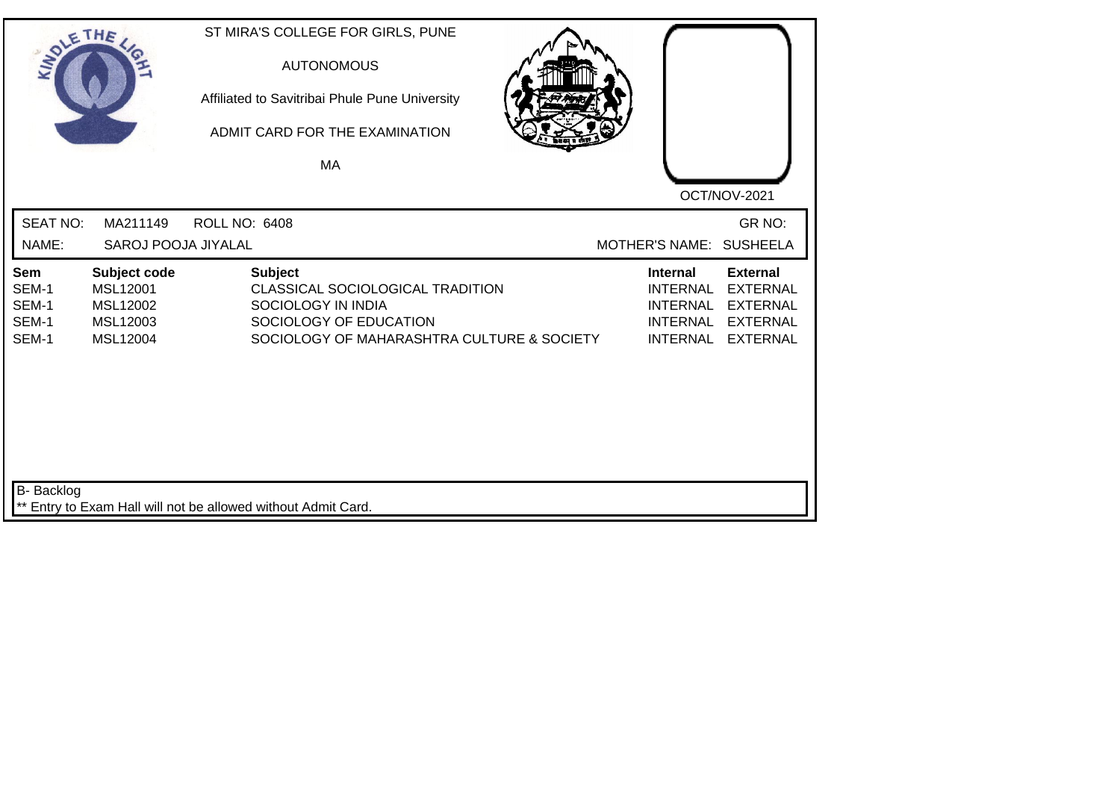| SOLE THE                                |                                                              | ST MIRA'S COLLEGE FOR GIRLS, PUNE<br><b>AUTONOMOUS</b><br>Affiliated to Savitribai Phule Pune University<br>ADMIT CARD FOR THE EXAMINATION<br>MA |                                                                                             |                                                                                             |
|-----------------------------------------|--------------------------------------------------------------|--------------------------------------------------------------------------------------------------------------------------------------------------|---------------------------------------------------------------------------------------------|---------------------------------------------------------------------------------------------|
| <b>SEAT NO:</b>                         | MA211149                                                     | <b>ROLL NO: 6408</b>                                                                                                                             |                                                                                             | OCT/NOV-2021<br>GR NO:                                                                      |
| NAME:                                   | SAROJ POOJA JIYALAL                                          |                                                                                                                                                  | MOTHER'S NAME: SUSHEELA                                                                     |                                                                                             |
| Sem<br>SEM-1<br>SEM-1<br>SEM-1<br>SEM-1 | Subject code<br>MSL12001<br>MSL12002<br>MSL12003<br>MSL12004 | <b>Subject</b><br>CLASSICAL SOCIOLOGICAL TRADITION<br>SOCIOLOGY IN INDIA<br>SOCIOLOGY OF EDUCATION<br>SOCIOLOGY OF MAHARASHTRA CULTURE & SOCIETY | <b>Internal</b><br><b>INTERNAL</b><br><b>INTERNAL</b><br><b>INTERNAL</b><br><b>INTERNAL</b> | <b>External</b><br><b>EXTERNAL</b><br><b>EXTERNAL</b><br><b>EXTERNAL</b><br><b>EXTERNAL</b> |
| B- Backlog                              |                                                              | ** Entry to Exam Hall will not be allowed without Admit Card.                                                                                    |                                                                                             |                                                                                             |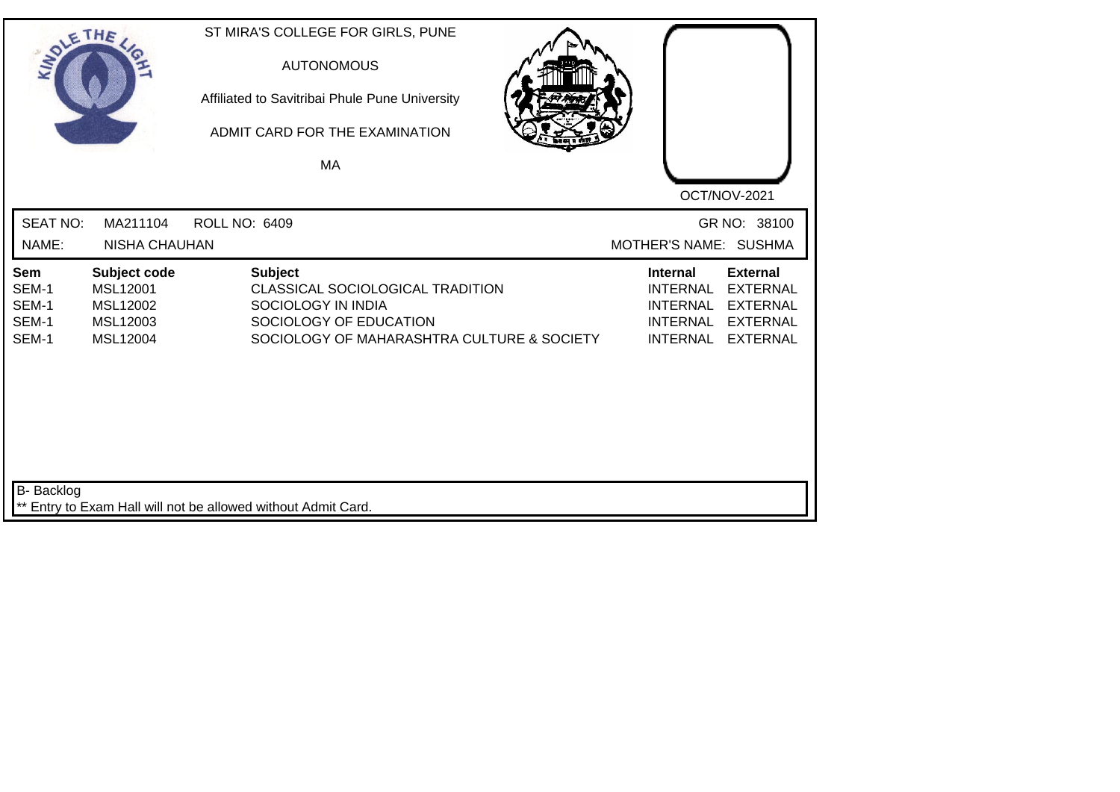| SOLE THE                                |                                                              | ST MIRA'S COLLEGE FOR GIRLS, PUNE<br><b>AUTONOMOUS</b><br>Affiliated to Savitribai Phule Pune University<br>ADMIT CARD FOR THE EXAMINATION<br>MA | OCT/NOV-2021                                                                                                                                                              |
|-----------------------------------------|--------------------------------------------------------------|--------------------------------------------------------------------------------------------------------------------------------------------------|---------------------------------------------------------------------------------------------------------------------------------------------------------------------------|
| <b>SEAT NO:</b><br>NAME:                | MA211104<br><b>NISHA CHAUHAN</b>                             | <b>ROLL NO: 6409</b>                                                                                                                             | GR NO: 38100<br>MOTHER'S NAME: SUSHMA                                                                                                                                     |
| Sem<br>SEM-1<br>SEM-1<br>SEM-1<br>SEM-1 | Subject code<br>MSL12001<br>MSL12002<br>MSL12003<br>MSL12004 | <b>Subject</b><br>CLASSICAL SOCIOLOGICAL TRADITION<br>SOCIOLOGY IN INDIA<br>SOCIOLOGY OF EDUCATION<br>SOCIOLOGY OF MAHARASHTRA CULTURE & SOCIETY | <b>Internal</b><br><b>External</b><br><b>INTERNAL</b><br><b>EXTERNAL</b><br>INTERNAL EXTERNAL<br><b>INTERNAL</b><br><b>EXTERNAL</b><br><b>INTERNAL</b><br><b>EXTERNAL</b> |
| <b>B-</b> Backlog                       |                                                              | ** Entry to Exam Hall will not be allowed without Admit Card.                                                                                    |                                                                                                                                                                           |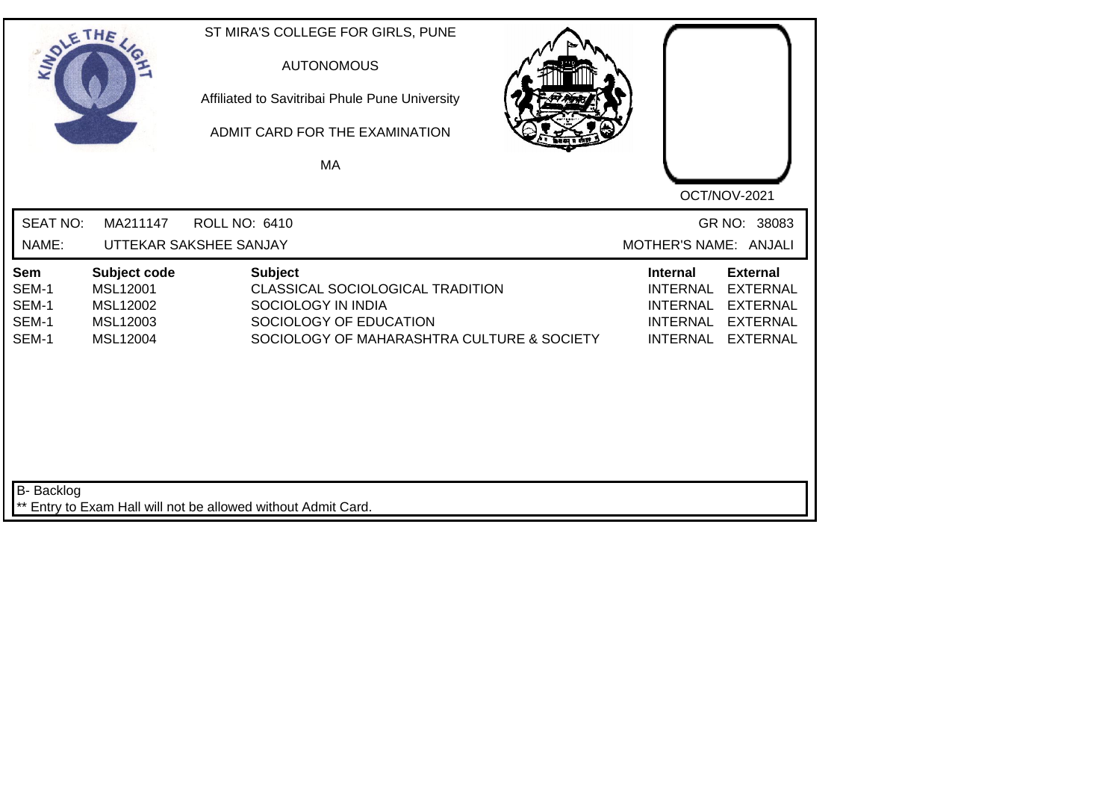| SOLETHE                                 |                                                              | ST MIRA'S COLLEGE FOR GIRLS, PUNE<br><b>AUTONOMOUS</b><br>Affiliated to Savitribai Phule Pune University<br>ADMIT CARD FOR THE EXAMINATION<br>MA |                                                                                                                                                                                            |
|-----------------------------------------|--------------------------------------------------------------|--------------------------------------------------------------------------------------------------------------------------------------------------|--------------------------------------------------------------------------------------------------------------------------------------------------------------------------------------------|
| <b>SEAT NO:</b><br>NAME:                | MA211147                                                     | <b>ROLL NO: 6410</b><br>UTTEKAR SAKSHEE SANJAY                                                                                                   | OCT/NOV-2021<br>GR NO: 38083<br>MOTHER'S NAME: ANJALI                                                                                                                                      |
| Sem<br>SEM-1<br>SEM-1<br>SEM-1<br>SEM-1 | Subject code<br>MSL12001<br>MSL12002<br>MSL12003<br>MSL12004 | <b>Subject</b><br>CLASSICAL SOCIOLOGICAL TRADITION<br>SOCIOLOGY IN INDIA<br>SOCIOLOGY OF EDUCATION<br>SOCIOLOGY OF MAHARASHTRA CULTURE & SOCIETY | <b>External</b><br><b>Internal</b><br><b>INTERNAL</b><br><b>EXTERNAL</b><br><b>INTERNAL</b><br><b>EXTERNAL</b><br><b>INTERNAL</b><br><b>EXTERNAL</b><br><b>INTERNAL</b><br><b>EXTERNAL</b> |
| <b>B-</b> Backlog                       |                                                              | ** Entry to Exam Hall will not be allowed without Admit Card.                                                                                    |                                                                                                                                                                                            |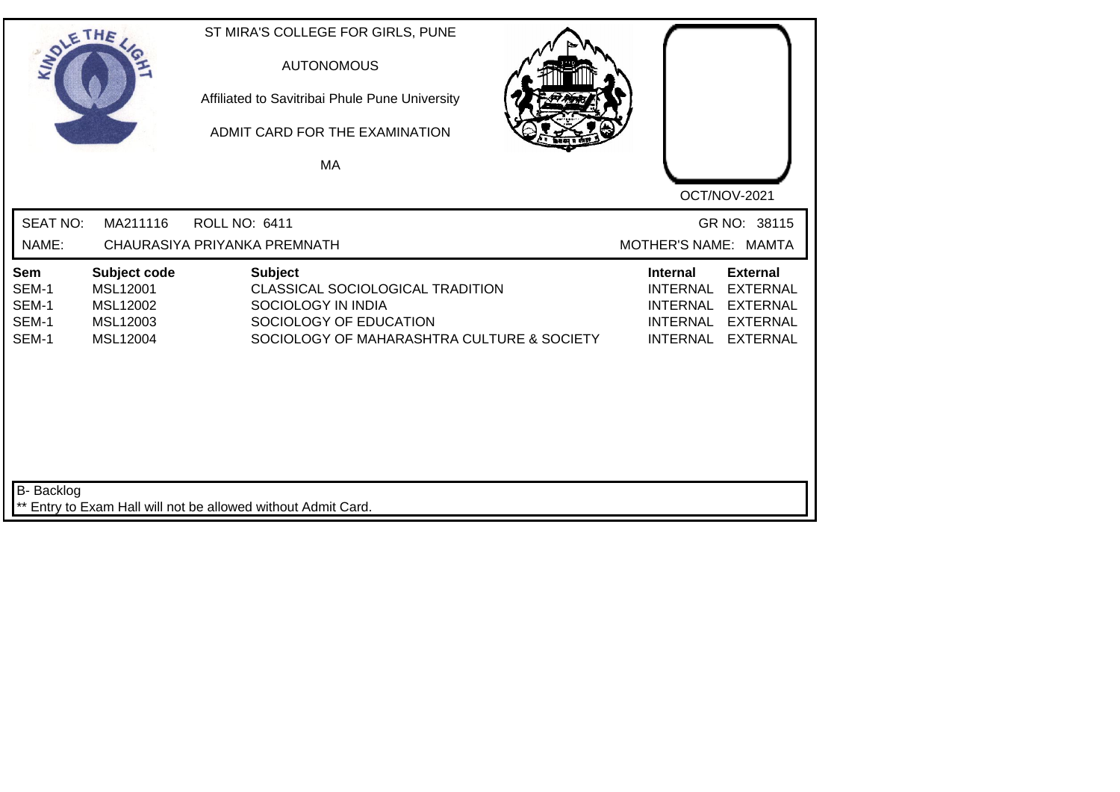| SOLE THE                                |                                                              | ST MIRA'S COLLEGE FOR GIRLS, PUNE<br><b>AUTONOMOUS</b><br>Affiliated to Savitribai Phule Pune University<br>ADMIT CARD FOR THE EXAMINATION<br>MA |                                                                                                                                                                                            |
|-----------------------------------------|--------------------------------------------------------------|--------------------------------------------------------------------------------------------------------------------------------------------------|--------------------------------------------------------------------------------------------------------------------------------------------------------------------------------------------|
|                                         |                                                              |                                                                                                                                                  | OCT/NOV-2021                                                                                                                                                                               |
| <b>SEAT NO:</b><br>NAME:                | MA211116                                                     | <b>ROLL NO: 6411</b><br>CHAURASIYA PRIYANKA PREMNATH                                                                                             | GR NO: 38115<br>MOTHER'S NAME: MAMTA                                                                                                                                                       |
|                                         |                                                              |                                                                                                                                                  |                                                                                                                                                                                            |
| Sem<br>SEM-1<br>SEM-1<br>SEM-1<br>SEM-1 | Subject code<br>MSL12001<br>MSL12002<br>MSL12003<br>MSL12004 | <b>Subject</b><br>CLASSICAL SOCIOLOGICAL TRADITION<br>SOCIOLOGY IN INDIA<br>SOCIOLOGY OF EDUCATION<br>SOCIOLOGY OF MAHARASHTRA CULTURE & SOCIETY | <b>External</b><br><b>Internal</b><br><b>INTERNAL</b><br><b>EXTERNAL</b><br><b>INTERNAL</b><br><b>EXTERNAL</b><br><b>INTERNAL</b><br><b>EXTERNAL</b><br><b>INTERNAL</b><br><b>EXTERNAL</b> |
| <b>B-</b> Backlog                       |                                                              | ** Entry to Exam Hall will not be allowed without Admit Card.                                                                                    |                                                                                                                                                                                            |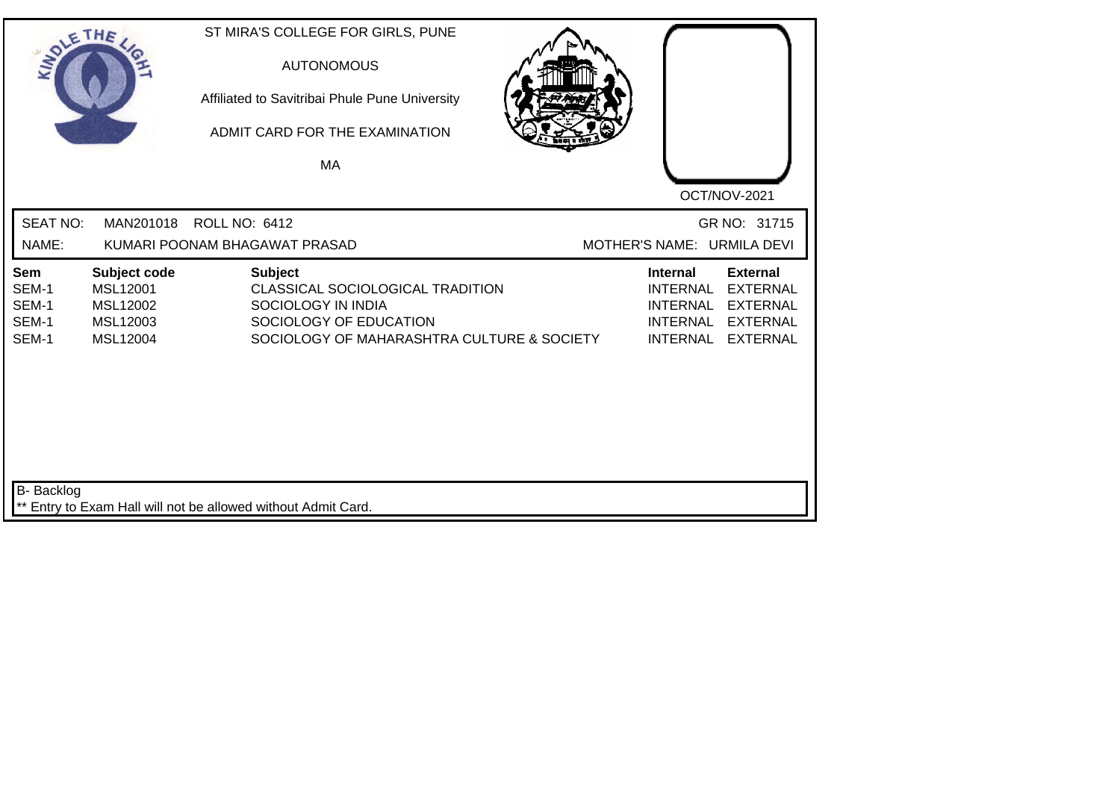| SOLETHE .                               |                                                              | ST MIRA'S COLLEGE FOR GIRLS, PUNE<br><b>AUTONOMOUS</b><br>Affiliated to Savitribai Phule Pune University<br>ADMIT CARD FOR THE EXAMINATION<br>MA |                                                                                                                                                                           |
|-----------------------------------------|--------------------------------------------------------------|--------------------------------------------------------------------------------------------------------------------------------------------------|---------------------------------------------------------------------------------------------------------------------------------------------------------------------------|
| <b>SEAT NO:</b><br>NAME:                | MAN201018                                                    | <b>ROLL NO: 6412</b><br>KUMARI POONAM BHAGAWAT PRASAD                                                                                            | OCT/NOV-2021<br>GR NO: 31715<br>MOTHER'S NAME: URMILA DEVI                                                                                                                |
| Sem<br>SEM-1<br>SEM-1<br>SEM-1<br>SEM-1 | Subject code<br>MSL12001<br>MSL12002<br>MSL12003<br>MSL12004 | <b>Subject</b><br>CLASSICAL SOCIOLOGICAL TRADITION<br>SOCIOLOGY IN INDIA<br>SOCIOLOGY OF EDUCATION<br>SOCIOLOGY OF MAHARASHTRA CULTURE & SOCIETY | <b>External</b><br><b>Internal</b><br><b>INTERNAL</b><br><b>EXTERNAL</b><br>INTERNAL EXTERNAL<br><b>INTERNAL</b><br><b>EXTERNAL</b><br><b>INTERNAL</b><br><b>EXTERNAL</b> |
| B- Backlog                              |                                                              | ** Entry to Exam Hall will not be allowed without Admit Card.                                                                                    |                                                                                                                                                                           |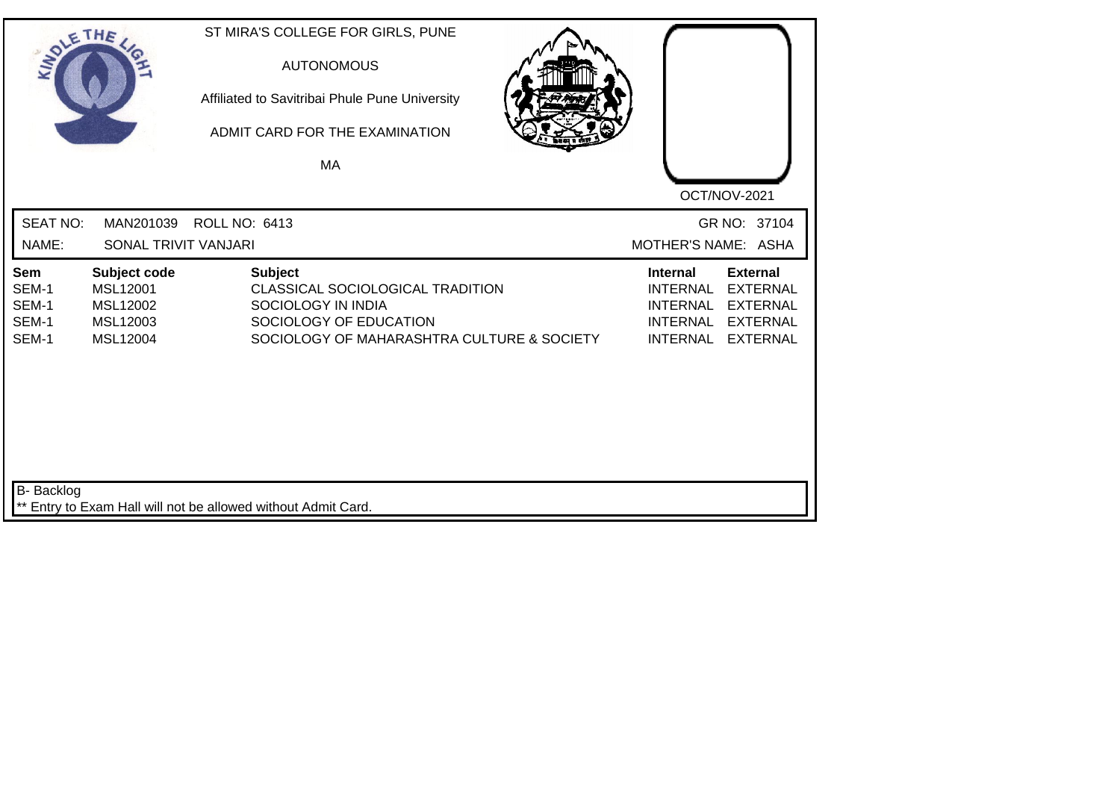| SOLE THE                                |                                                              | ST MIRA'S COLLEGE FOR GIRLS, PUNE<br><b>AUTONOMOUS</b><br>Affiliated to Savitribai Phule Pune University<br>ADMIT CARD FOR THE EXAMINATION<br><b>MA</b> |                                                                                                                                                                                            |
|-----------------------------------------|--------------------------------------------------------------|---------------------------------------------------------------------------------------------------------------------------------------------------------|--------------------------------------------------------------------------------------------------------------------------------------------------------------------------------------------|
| <b>SEAT NO:</b><br>NAME:                | MAN201039<br>SONAL TRIVIT VANJARI                            | <b>ROLL NO: 6413</b>                                                                                                                                    | OCT/NOV-2021<br>GR NO: 37104<br>MOTHER'S NAME: ASHA                                                                                                                                        |
| Sem<br>SEM-1<br>SEM-1<br>SEM-1<br>SEM-1 | Subject code<br>MSL12001<br>MSL12002<br>MSL12003<br>MSL12004 | <b>Subject</b><br>CLASSICAL SOCIOLOGICAL TRADITION<br>SOCIOLOGY IN INDIA<br>SOCIOLOGY OF EDUCATION<br>SOCIOLOGY OF MAHARASHTRA CULTURE & SOCIETY        | <b>External</b><br><b>Internal</b><br><b>INTERNAL</b><br><b>EXTERNAL</b><br><b>INTERNAL</b><br><b>EXTERNAL</b><br><b>INTERNAL</b><br><b>EXTERNAL</b><br><b>INTERNAL</b><br><b>EXTERNAL</b> |
| B- Backlog                              |                                                              | Entry to Exam Hall will not be allowed without Admit Card.                                                                                              |                                                                                                                                                                                            |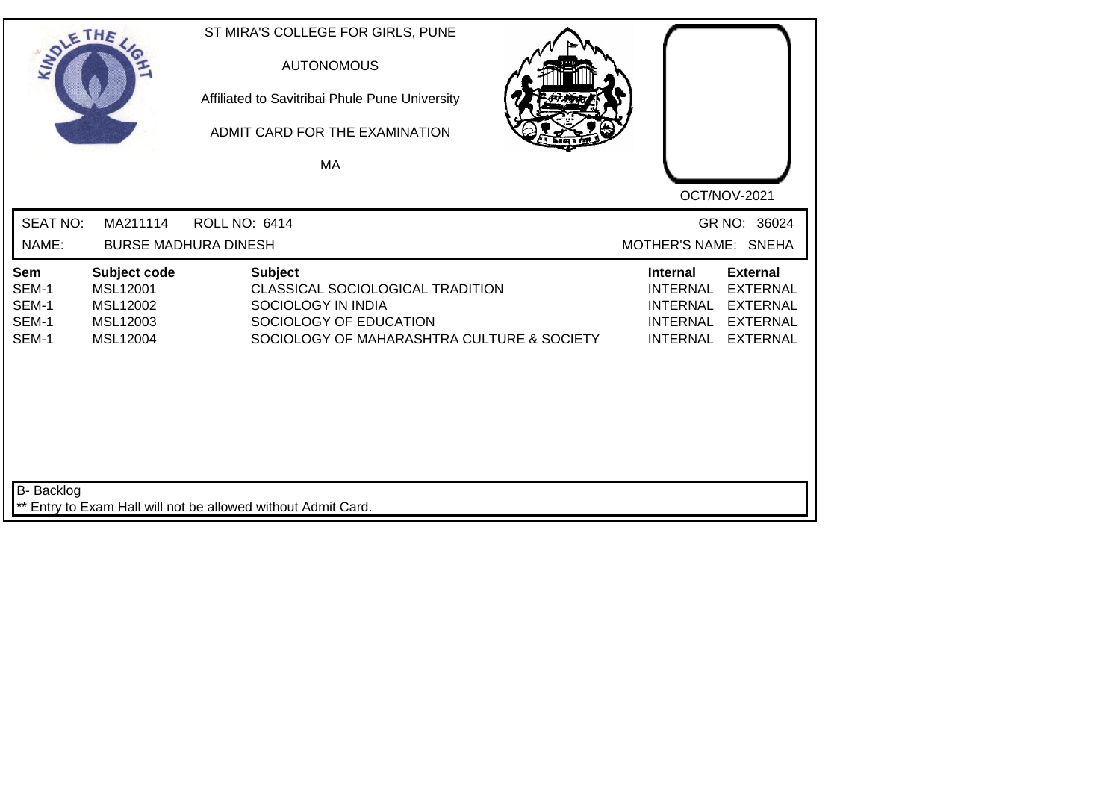| SOLETHE .                               |                                                              | ST MIRA'S COLLEGE FOR GIRLS, PUNE<br><b>AUTONOMOUS</b><br>Affiliated to Savitribai Phule Pune University<br>ADMIT CARD FOR THE EXAMINATION<br><b>MA</b> | OCT/NOV-2021                                                                                                                                                                               |
|-----------------------------------------|--------------------------------------------------------------|---------------------------------------------------------------------------------------------------------------------------------------------------------|--------------------------------------------------------------------------------------------------------------------------------------------------------------------------------------------|
| <b>SEAT NO:</b><br>NAME:                | MA211114                                                     | <b>ROLL NO: 6414</b><br><b>BURSE MADHURA DINESH</b>                                                                                                     | GR NO: 36024<br>MOTHER'S NAME: SNEHA                                                                                                                                                       |
| Sem<br>SEM-1<br>SEM-1<br>SEM-1<br>SEM-1 | Subject code<br>MSL12001<br>MSL12002<br>MSL12003<br>MSL12004 | <b>Subject</b><br>CLASSICAL SOCIOLOGICAL TRADITION<br>SOCIOLOGY IN INDIA<br>SOCIOLOGY OF EDUCATION<br>SOCIOLOGY OF MAHARASHTRA CULTURE & SOCIETY        | <b>External</b><br><b>Internal</b><br><b>INTERNAL</b><br><b>EXTERNAL</b><br><b>INTERNAL</b><br><b>EXTERNAL</b><br><b>INTERNAL</b><br><b>EXTERNAL</b><br><b>INTERNAL</b><br><b>EXTERNAL</b> |
| <b>B-</b> Backlog                       |                                                              | ** Entry to Exam Hall will not be allowed without Admit Card.                                                                                           |                                                                                                                                                                                            |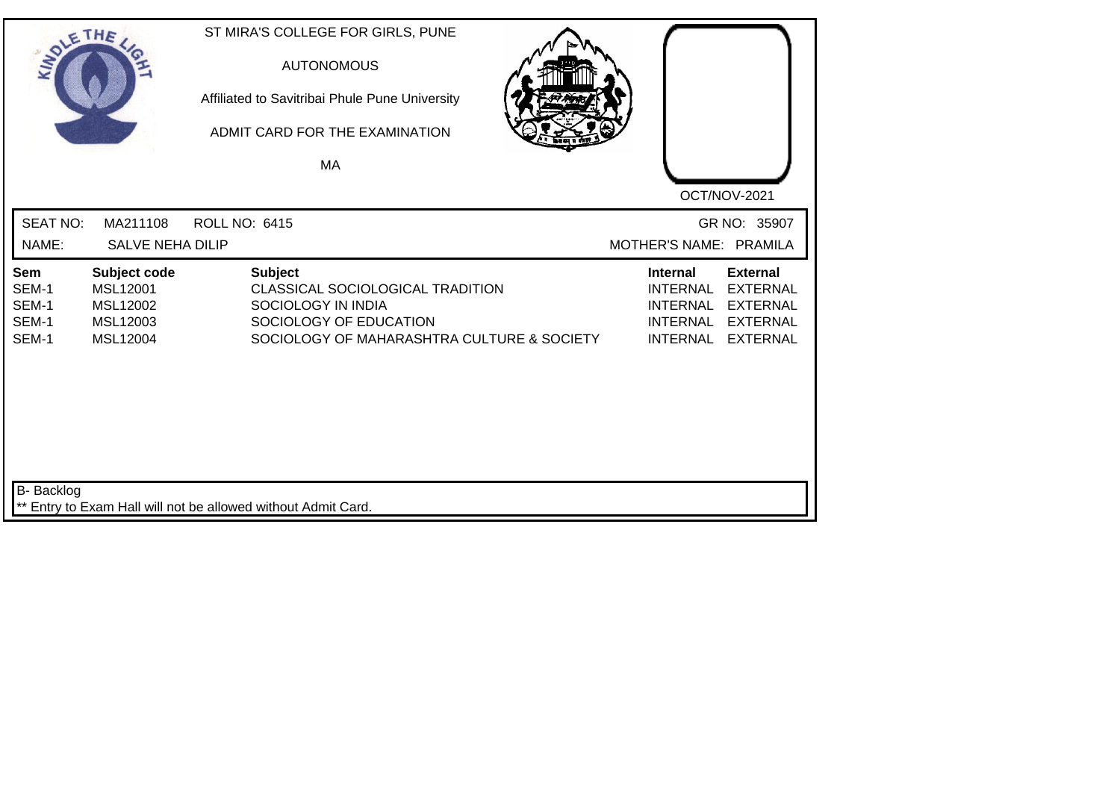| SOLE THE                                |                                                               |                      | <b>AUTONOMOUS</b><br>MA              | ST MIRA'S COLLEGE FOR GIRLS, PUNE<br>Affiliated to Savitribai Phule Pune University<br>ADMIT CARD FOR THE EXAMINATION |                                            |                                                | OCT/NOV-2021                                                                                    |
|-----------------------------------------|---------------------------------------------------------------|----------------------|--------------------------------------|-----------------------------------------------------------------------------------------------------------------------|--------------------------------------------|------------------------------------------------|-------------------------------------------------------------------------------------------------|
| <b>SEAT NO:</b><br>NAME:                | MA211108<br><b>SALVE NEHA DILIP</b>                           | <b>ROLL NO: 6415</b> |                                      |                                                                                                                       |                                            |                                                | GR NO: 35907<br>MOTHER'S NAME: PRAMILA                                                          |
| Sem<br>SEM-1<br>SEM-1<br>SEM-1<br>SEM-1 | Subject code<br>MSL12001<br>MSL12002<br>MSL12003<br>MSL12004  |                      | <b>Subject</b><br>SOCIOLOGY IN INDIA | CLASSICAL SOCIOLOGICAL TRADITION<br>SOCIOLOGY OF EDUCATION                                                            | SOCIOLOGY OF MAHARASHTRA CULTURE & SOCIETY | Internal<br><b>INTERNAL</b><br><b>INTERNAL</b> | <b>External</b><br><b>EXTERNAL</b><br>INTERNAL EXTERNAL<br>INTERNAL EXTERNAL<br><b>EXTERNAL</b> |
| B- Backlog                              | ** Entry to Exam Hall will not be allowed without Admit Card. |                      |                                      |                                                                                                                       |                                            |                                                |                                                                                                 |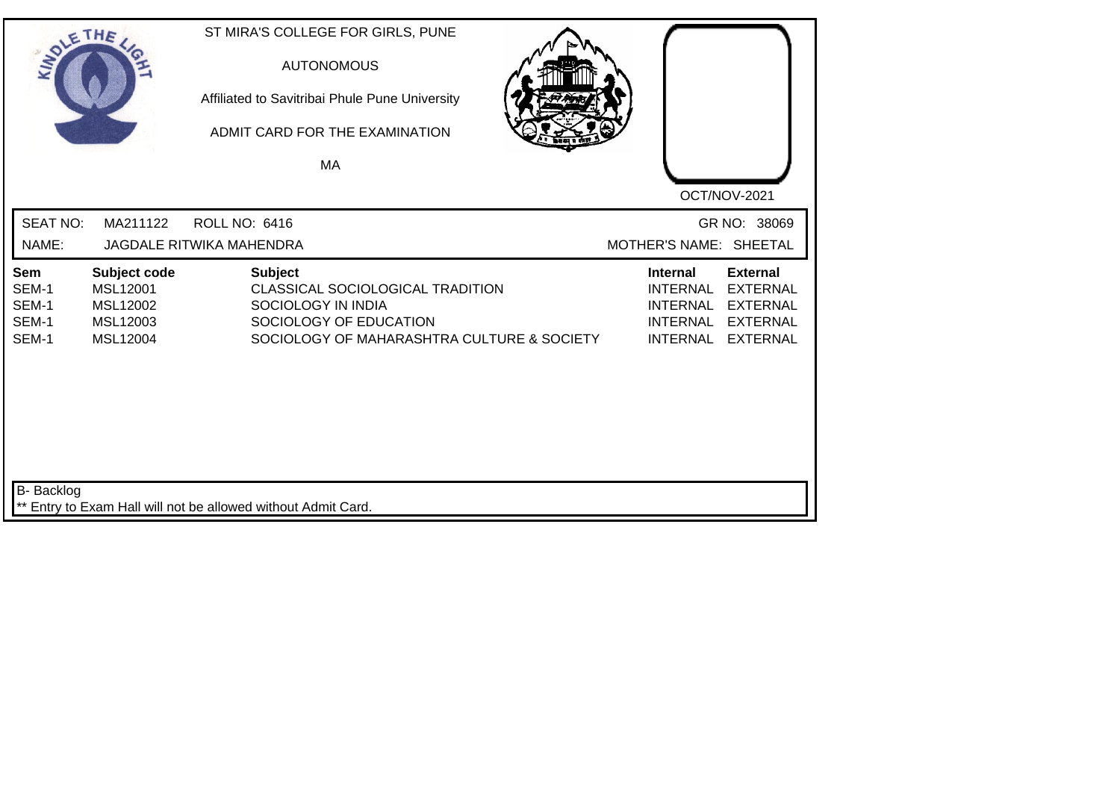| SOLETHE.                                |                                                                     | ST MIRA'S COLLEGE FOR GIRLS, PUNE<br><b>AUTONOMOUS</b><br>Affiliated to Savitribai Phule Pune University<br>ADMIT CARD FOR THE EXAMINATION<br>MA |                                                                                                                                                                                            |
|-----------------------------------------|---------------------------------------------------------------------|--------------------------------------------------------------------------------------------------------------------------------------------------|--------------------------------------------------------------------------------------------------------------------------------------------------------------------------------------------|
| <b>SEAT NO:</b><br>NAME:                | MA211122                                                            | <b>ROLL NO: 6416</b><br><b>JAGDALE RITWIKA MAHENDRA</b>                                                                                          | OCT/NOV-2021<br>GR NO: 38069<br>MOTHER'S NAME: SHEETAL                                                                                                                                     |
| Sem<br>SEM-1<br>SEM-1<br>SEM-1<br>SEM-1 | Subject code<br><b>MSL12001</b><br>MSL12002<br>MSL12003<br>MSL12004 | <b>Subject</b><br>CLASSICAL SOCIOLOGICAL TRADITION<br>SOCIOLOGY IN INDIA<br>SOCIOLOGY OF EDUCATION<br>SOCIOLOGY OF MAHARASHTRA CULTURE & SOCIETY | <b>External</b><br><b>Internal</b><br><b>INTERNAL</b><br><b>EXTERNAL</b><br><b>INTERNAL</b><br><b>EXTERNAL</b><br><b>INTERNAL</b><br><b>EXTERNAL</b><br><b>INTERNAL</b><br><b>EXTERNAL</b> |
| <b>B-</b> Backlog                       |                                                                     | ** Entry to Exam Hall will not be allowed without Admit Card.                                                                                    |                                                                                                                                                                                            |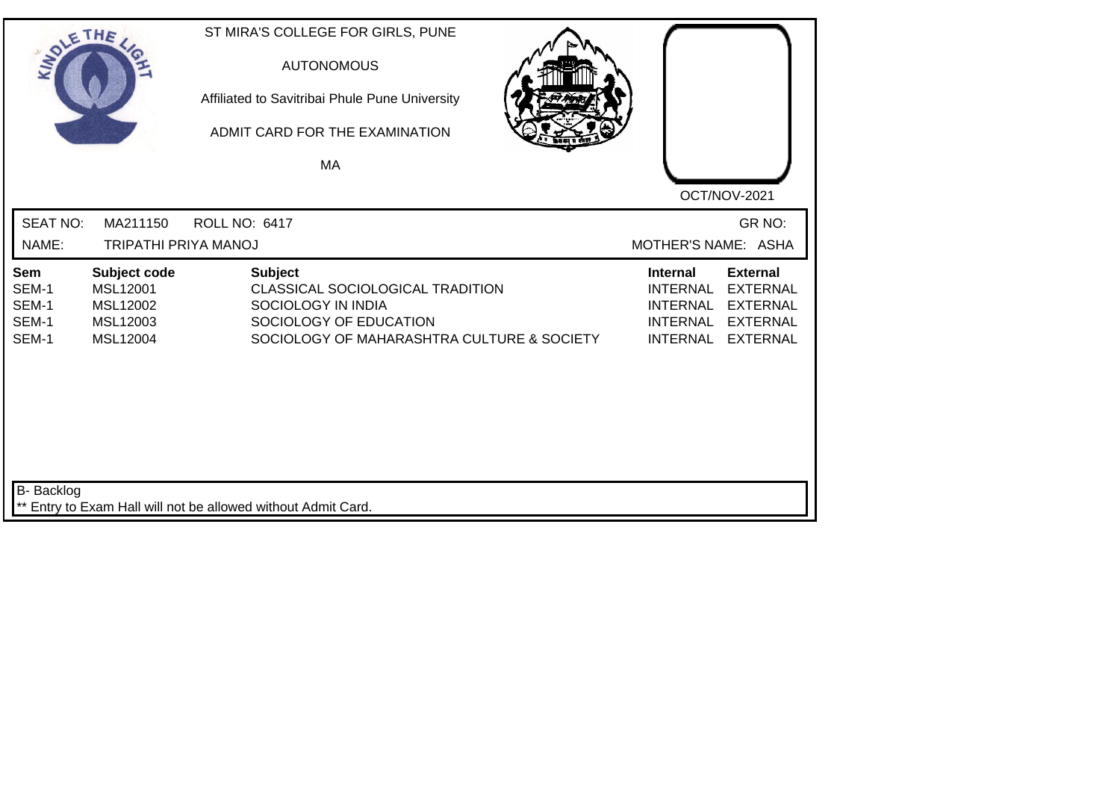| SOLE THE                                |                                                              | ST MIRA'S COLLEGE FOR GIRLS, PUNE<br><b>AUTONOMOUS</b><br>Affiliated to Savitribai Phule Pune University<br>ADMIT CARD FOR THE EXAMINATION<br><b>MA</b> | OCT/NOV-2021                                                                                                                                                                               |
|-----------------------------------------|--------------------------------------------------------------|---------------------------------------------------------------------------------------------------------------------------------------------------------|--------------------------------------------------------------------------------------------------------------------------------------------------------------------------------------------|
| <b>SEAT NO:</b><br>NAME:                | MA211150<br><b>TRIPATHI PRIYA MANOJ</b>                      | <b>ROLL NO: 6417</b>                                                                                                                                    | GR NO:<br>MOTHER'S NAME: ASHA                                                                                                                                                              |
| Sem<br>SEM-1<br>SEM-1<br>SEM-1<br>SEM-1 | Subject code<br>MSL12001<br>MSL12002<br>MSL12003<br>MSL12004 | <b>Subject</b><br>CLASSICAL SOCIOLOGICAL TRADITION<br>SOCIOLOGY IN INDIA<br>SOCIOLOGY OF EDUCATION<br>SOCIOLOGY OF MAHARASHTRA CULTURE & SOCIETY        | <b>External</b><br><b>Internal</b><br><b>INTERNAL</b><br><b>EXTERNAL</b><br><b>INTERNAL</b><br><b>EXTERNAL</b><br><b>INTERNAL</b><br><b>EXTERNAL</b><br><b>EXTERNAL</b><br><b>INTERNAL</b> |
| <b>B-</b> Backlog                       |                                                              | ** Entry to Exam Hall will not be allowed without Admit Card.                                                                                           |                                                                                                                                                                                            |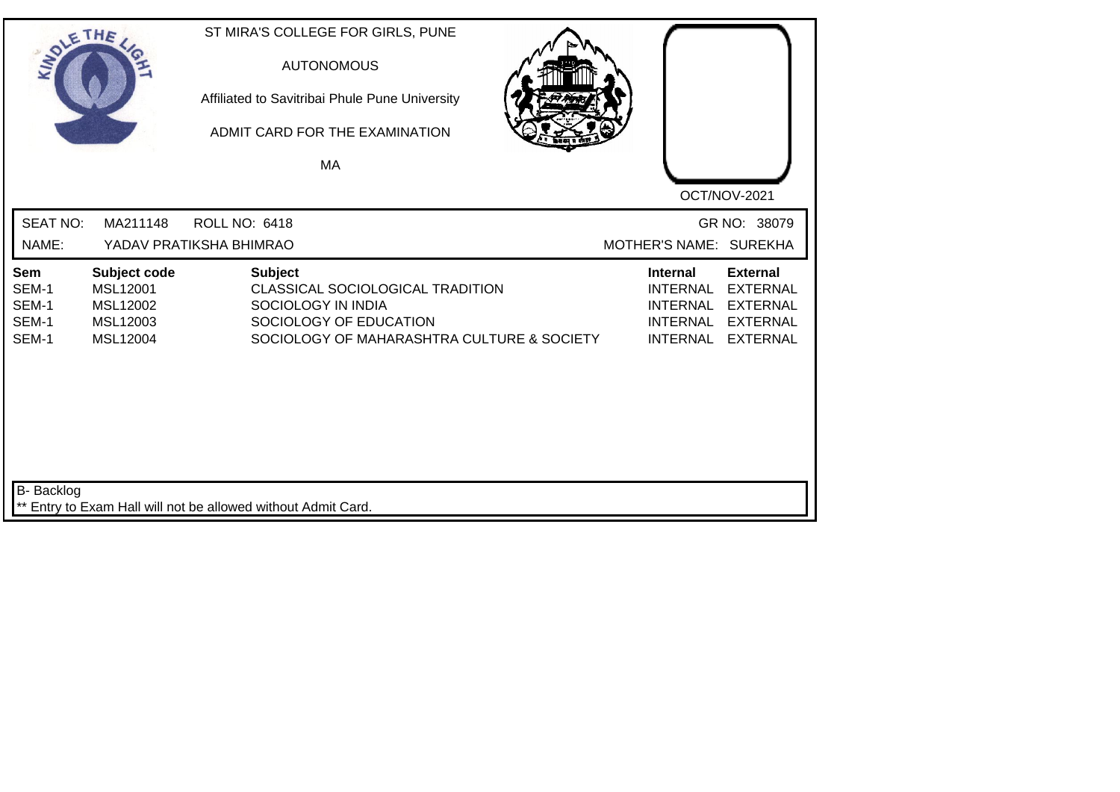| SOLETHE                                 |                                                              | ST MIRA'S COLLEGE FOR GIRLS, PUNE<br><b>AUTONOMOUS</b><br>Affiliated to Savitribai Phule Pune University<br>ADMIT CARD FOR THE EXAMINATION<br>MA | OCT/NOV-2021                                                                                                                                                                               |
|-----------------------------------------|--------------------------------------------------------------|--------------------------------------------------------------------------------------------------------------------------------------------------|--------------------------------------------------------------------------------------------------------------------------------------------------------------------------------------------|
| <b>SEAT NO:</b><br>NAME:                | MA211148                                                     | <b>ROLL NO: 6418</b><br>YADAV PRATIKSHA BHIMRAO                                                                                                  | GR NO: 38079<br>MOTHER'S NAME: SUREKHA                                                                                                                                                     |
| Sem<br>SEM-1<br>SEM-1<br>SEM-1<br>SEM-1 | Subject code<br>MSL12001<br>MSL12002<br>MSL12003<br>MSL12004 | <b>Subject</b><br>CLASSICAL SOCIOLOGICAL TRADITION<br>SOCIOLOGY IN INDIA<br>SOCIOLOGY OF EDUCATION<br>SOCIOLOGY OF MAHARASHTRA CULTURE & SOCIETY | <b>Internal</b><br><b>External</b><br><b>INTERNAL</b><br><b>EXTERNAL</b><br><b>INTERNAL</b><br><b>EXTERNAL</b><br><b>INTERNAL</b><br><b>EXTERNAL</b><br><b>INTERNAL</b><br><b>EXTERNAL</b> |
| B- Backlog                              |                                                              | ** Entry to Exam Hall will not be allowed without Admit Card.                                                                                    |                                                                                                                                                                                            |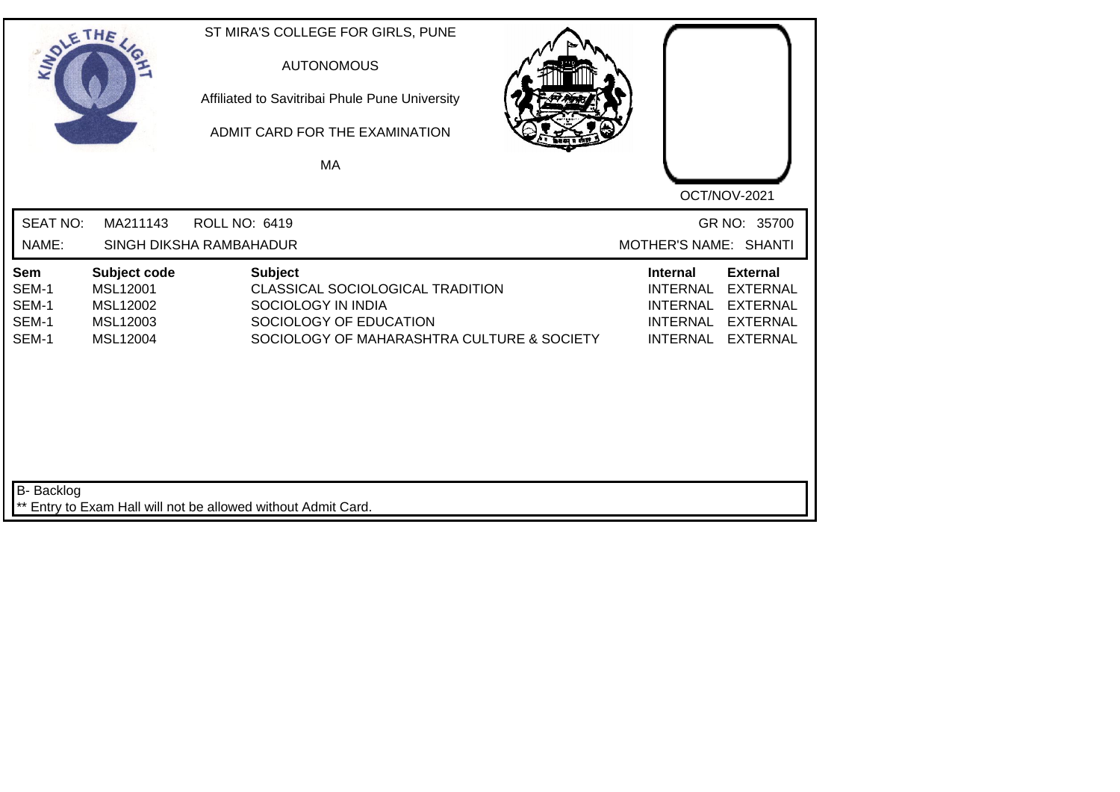| SOLETHE                                 |                                                              | ST MIRA'S COLLEGE FOR GIRLS, PUNE<br><b>AUTONOMOUS</b><br>Affiliated to Savitribai Phule Pune University<br>ADMIT CARD FOR THE EXAMINATION<br>MA |                                                                                                                                                                                            |
|-----------------------------------------|--------------------------------------------------------------|--------------------------------------------------------------------------------------------------------------------------------------------------|--------------------------------------------------------------------------------------------------------------------------------------------------------------------------------------------|
| <b>SEAT NO:</b><br>NAME:                | MA211143                                                     | <b>ROLL NO: 6419</b><br>SINGH DIKSHA RAMBAHADUR                                                                                                  | OCT/NOV-2021<br>GR NO: 35700<br>MOTHER'S NAME: SHANTI                                                                                                                                      |
| Sem<br>SEM-1<br>SEM-1<br>SEM-1<br>SEM-1 | Subject code<br>MSL12001<br>MSL12002<br>MSL12003<br>MSL12004 | <b>Subject</b><br>CLASSICAL SOCIOLOGICAL TRADITION<br>SOCIOLOGY IN INDIA<br>SOCIOLOGY OF EDUCATION<br>SOCIOLOGY OF MAHARASHTRA CULTURE & SOCIETY | <b>External</b><br><b>Internal</b><br><b>EXTERNAL</b><br><b>INTERNAL</b><br><b>INTERNAL</b><br><b>EXTERNAL</b><br><b>INTERNAL</b><br><b>EXTERNAL</b><br><b>INTERNAL</b><br><b>EXTERNAL</b> |
| <b>B-</b> Backlog                       |                                                              | ** Entry to Exam Hall will not be allowed without Admit Card.                                                                                    |                                                                                                                                                                                            |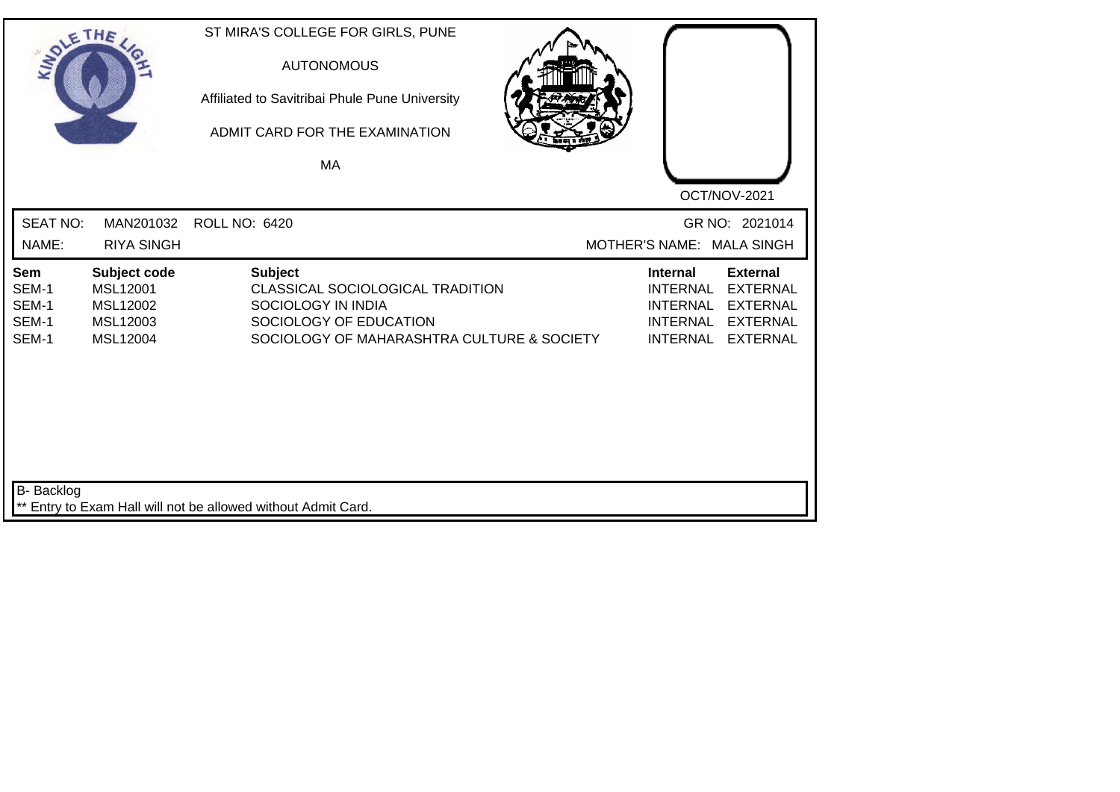| SOLE THE                                |                                                              | ST MIRA'S COLLEGE FOR GIRLS, PUNE<br><b>AUTONOMOUS</b><br>Affiliated to Savitribai Phule Pune University<br>ADMIT CARD FOR THE EXAMINATION<br><b>MA</b> | OCT/NOV-2021                                                                                                                                                                               |
|-----------------------------------------|--------------------------------------------------------------|---------------------------------------------------------------------------------------------------------------------------------------------------------|--------------------------------------------------------------------------------------------------------------------------------------------------------------------------------------------|
| <b>SEAT NO:</b><br>NAME:                | MAN201032<br><b>RIYA SINGH</b>                               | <b>ROLL NO: 6420</b>                                                                                                                                    | GR NO: 2021014<br>MOTHER'S NAME: MALA SINGH                                                                                                                                                |
| Sem<br>SEM-1<br>SEM-1<br>SEM-1<br>SEM-1 | Subject code<br>MSL12001<br>MSL12002<br>MSL12003<br>MSL12004 | <b>Subject</b><br>CLASSICAL SOCIOLOGICAL TRADITION<br>SOCIOLOGY IN INDIA<br>SOCIOLOGY OF EDUCATION<br>SOCIOLOGY OF MAHARASHTRA CULTURE & SOCIETY        | <b>External</b><br><b>Internal</b><br><b>EXTERNAL</b><br><b>INTERNAL</b><br><b>INTERNAL</b><br><b>EXTERNAL</b><br><b>INTERNAL</b><br><b>EXTERNAL</b><br><b>INTERNAL</b><br><b>EXTERNAL</b> |
| <b>B-</b> Backlog                       |                                                              | ** Entry to Exam Hall will not be allowed without Admit Card.                                                                                           |                                                                                                                                                                                            |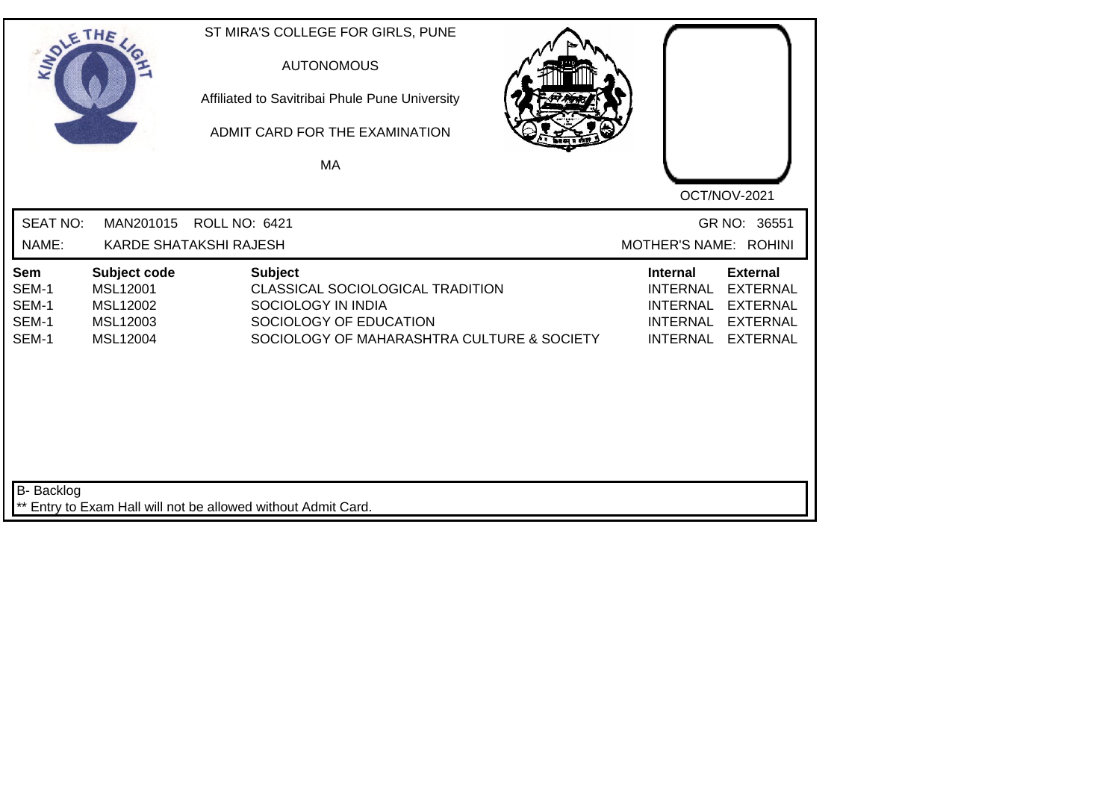| SOLETHE.                                |                                                                     | ST MIRA'S COLLEGE FOR GIRLS, PUNE<br><b>AUTONOMOUS</b><br>Affiliated to Savitribai Phule Pune University<br>ADMIT CARD FOR THE EXAMINATION<br>MA |                                                                                                                                                                                            |
|-----------------------------------------|---------------------------------------------------------------------|--------------------------------------------------------------------------------------------------------------------------------------------------|--------------------------------------------------------------------------------------------------------------------------------------------------------------------------------------------|
| <b>SEAT NO:</b><br>NAME:                | MAN201015                                                           | <b>ROLL NO: 6421</b><br><b>KARDE SHATAKSHI RAJESH</b>                                                                                            | OCT/NOV-2021<br>GR NO: 36551<br>MOTHER'S NAME: ROHINI                                                                                                                                      |
| Sem<br>SEM-1<br>SEM-1<br>SEM-1<br>SEM-1 | Subject code<br><b>MSL12001</b><br>MSL12002<br>MSL12003<br>MSL12004 | <b>Subject</b><br>CLASSICAL SOCIOLOGICAL TRADITION<br>SOCIOLOGY IN INDIA<br>SOCIOLOGY OF EDUCATION<br>SOCIOLOGY OF MAHARASHTRA CULTURE & SOCIETY | <b>External</b><br><b>Internal</b><br><b>INTERNAL</b><br><b>EXTERNAL</b><br><b>INTERNAL</b><br><b>EXTERNAL</b><br><b>INTERNAL</b><br><b>EXTERNAL</b><br><b>INTERNAL</b><br><b>EXTERNAL</b> |
| <b>B-</b> Backlog                       |                                                                     | ** Entry to Exam Hall will not be allowed without Admit Card.                                                                                    |                                                                                                                                                                                            |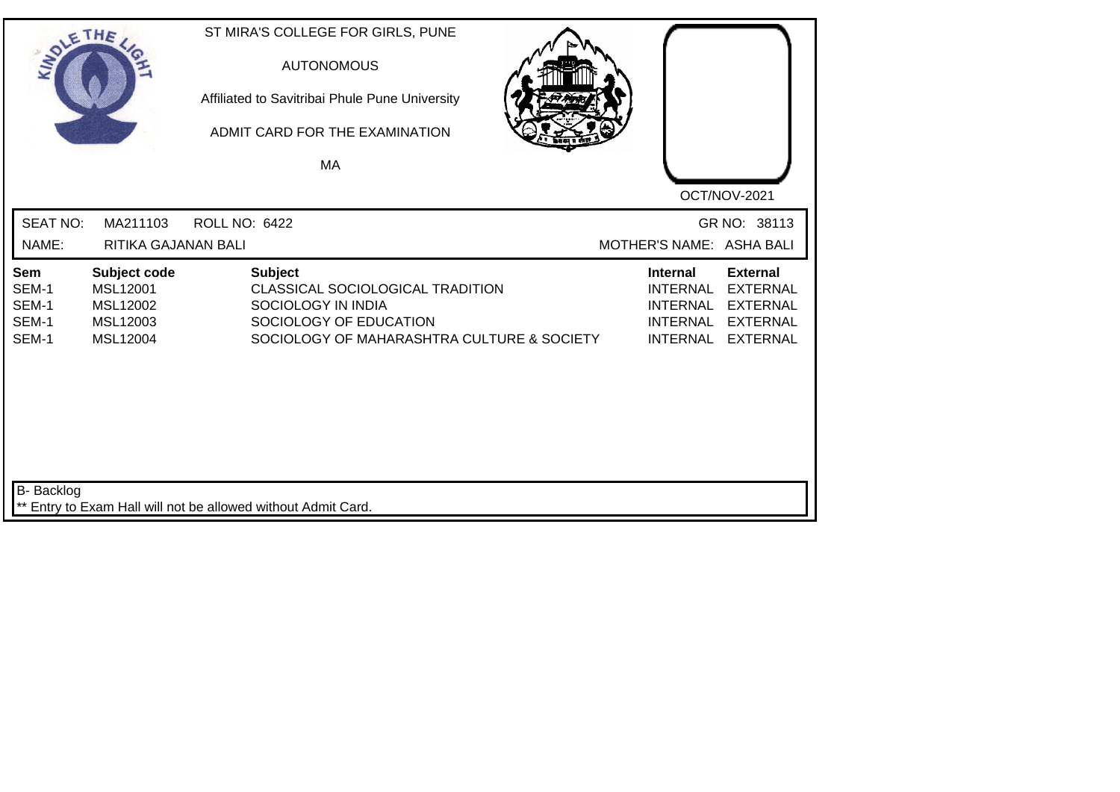| SOLETHE .                               |                                                              | ST MIRA'S COLLEGE FOR GIRLS, PUNE<br><b>AUTONOMOUS</b><br>Affiliated to Savitribai Phule Pune University<br>ADMIT CARD FOR THE EXAMINATION<br>MA |                                                                                             |                                                                                             |
|-----------------------------------------|--------------------------------------------------------------|--------------------------------------------------------------------------------------------------------------------------------------------------|---------------------------------------------------------------------------------------------|---------------------------------------------------------------------------------------------|
| <b>SEAT NO:</b><br>NAME:                | MA211103<br>RITIKA GAJANAN BALI                              | <b>ROLL NO: 6422</b>                                                                                                                             | MOTHER'S NAME: ASHA BALI                                                                    | OCT/NOV-2021<br>GR NO: 38113                                                                |
| Sem<br>SEM-1<br>SEM-1<br>SEM-1<br>SEM-1 | Subject code<br>MSL12001<br>MSL12002<br>MSL12003<br>MSL12004 | <b>Subject</b><br>CLASSICAL SOCIOLOGICAL TRADITION<br>SOCIOLOGY IN INDIA<br>SOCIOLOGY OF EDUCATION<br>SOCIOLOGY OF MAHARASHTRA CULTURE & SOCIETY | <b>Internal</b><br><b>INTERNAL</b><br><b>INTERNAL</b><br><b>INTERNAL</b><br><b>INTERNAL</b> | <b>External</b><br><b>EXTERNAL</b><br><b>EXTERNAL</b><br><b>EXTERNAL</b><br><b>EXTERNAL</b> |
| B- Backlog                              |                                                              | ** Entry to Exam Hall will not be allowed without Admit Card.                                                                                    |                                                                                             |                                                                                             |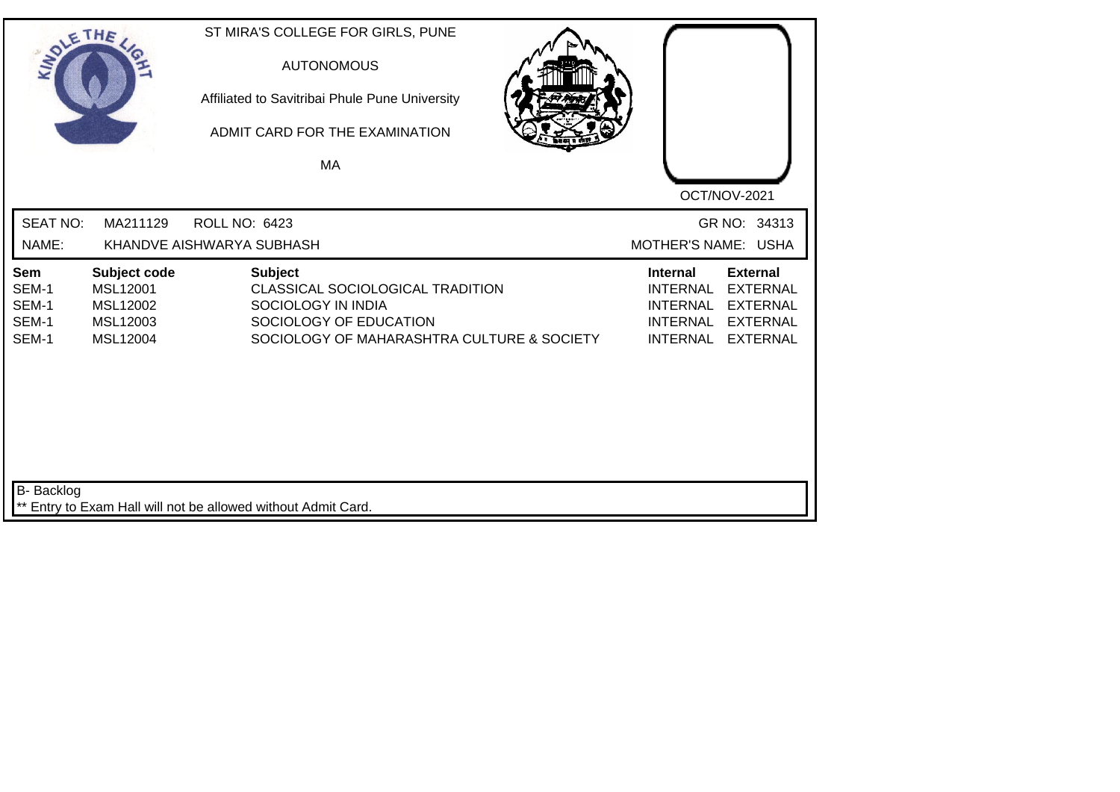| SOLE THE                                |                                                              | ST MIRA'S COLLEGE FOR GIRLS, PUNE<br><b>AUTONOMOUS</b><br>Affiliated to Savitribai Phule Pune University<br>ADMIT CARD FOR THE EXAMINATION<br>MA |                                                                                                                                                                                            |
|-----------------------------------------|--------------------------------------------------------------|--------------------------------------------------------------------------------------------------------------------------------------------------|--------------------------------------------------------------------------------------------------------------------------------------------------------------------------------------------|
|                                         |                                                              |                                                                                                                                                  | OCT/NOV-2021                                                                                                                                                                               |
| <b>SEAT NO:</b>                         | MA211129                                                     | <b>ROLL NO: 6423</b>                                                                                                                             | GR NO: 34313                                                                                                                                                                               |
| NAME:                                   |                                                              | KHANDVE AISHWARYA SUBHASH                                                                                                                        | MOTHER'S NAME: USHA                                                                                                                                                                        |
| Sem<br>SEM-1<br>SEM-1<br>SEM-1<br>SEM-1 | Subject code<br>MSL12001<br>MSL12002<br>MSL12003<br>MSL12004 | <b>Subject</b><br>CLASSICAL SOCIOLOGICAL TRADITION<br>SOCIOLOGY IN INDIA<br>SOCIOLOGY OF EDUCATION<br>SOCIOLOGY OF MAHARASHTRA CULTURE & SOCIETY | <b>External</b><br><b>Internal</b><br><b>INTERNAL</b><br><b>EXTERNAL</b><br><b>INTERNAL</b><br><b>EXTERNAL</b><br><b>INTERNAL</b><br><b>EXTERNAL</b><br><b>INTERNAL</b><br><b>EXTERNAL</b> |
| B- Backlog                              |                                                              | Entry to Exam Hall will not be allowed without Admit Card.                                                                                       |                                                                                                                                                                                            |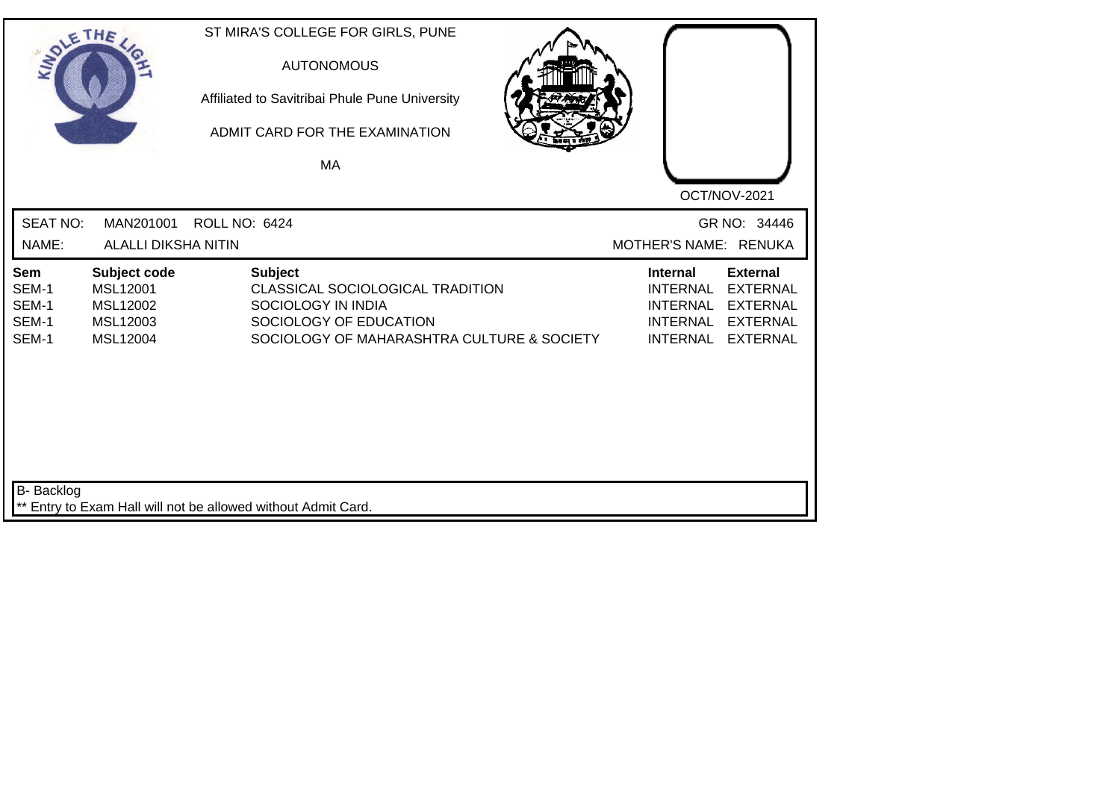| SOLE THE                                |                                                              | ST MIRA'S COLLEGE FOR GIRLS, PUNE<br><b>AUTONOMOUS</b><br>Affiliated to Savitribai Phule Pune University<br>ADMIT CARD FOR THE EXAMINATION<br>MA |                                                                                                                                                                                     |
|-----------------------------------------|--------------------------------------------------------------|--------------------------------------------------------------------------------------------------------------------------------------------------|-------------------------------------------------------------------------------------------------------------------------------------------------------------------------------------|
| <b>SEAT NO:</b>                         | MAN201001                                                    | <b>ROLL NO: 6424</b>                                                                                                                             | OCT/NOV-2021<br>GR NO: 34446                                                                                                                                                        |
| NAME:                                   | <b>ALALLI DIKSHA NITIN</b>                                   |                                                                                                                                                  | MOTHER'S NAME: RENUKA                                                                                                                                                               |
| Sem<br>SEM-1<br>SEM-1<br>SEM-1<br>SEM-1 | Subject code<br>MSL12001<br>MSL12002<br>MSL12003<br>MSL12004 | <b>Subject</b><br>CLASSICAL SOCIOLOGICAL TRADITION<br>SOCIOLOGY IN INDIA<br>SOCIOLOGY OF EDUCATION<br>SOCIOLOGY OF MAHARASHTRA CULTURE & SOCIETY | <b>External</b><br>Internal<br><b>EXTERNAL</b><br><b>INTERNAL</b><br><b>INTERNAL</b><br><b>EXTERNAL</b><br><b>INTERNAL</b><br><b>EXTERNAL</b><br><b>INTERNAL</b><br><b>EXTERNAL</b> |
| B- Backlog                              |                                                              | ** Entry to Exam Hall will not be allowed without Admit Card.                                                                                    |                                                                                                                                                                                     |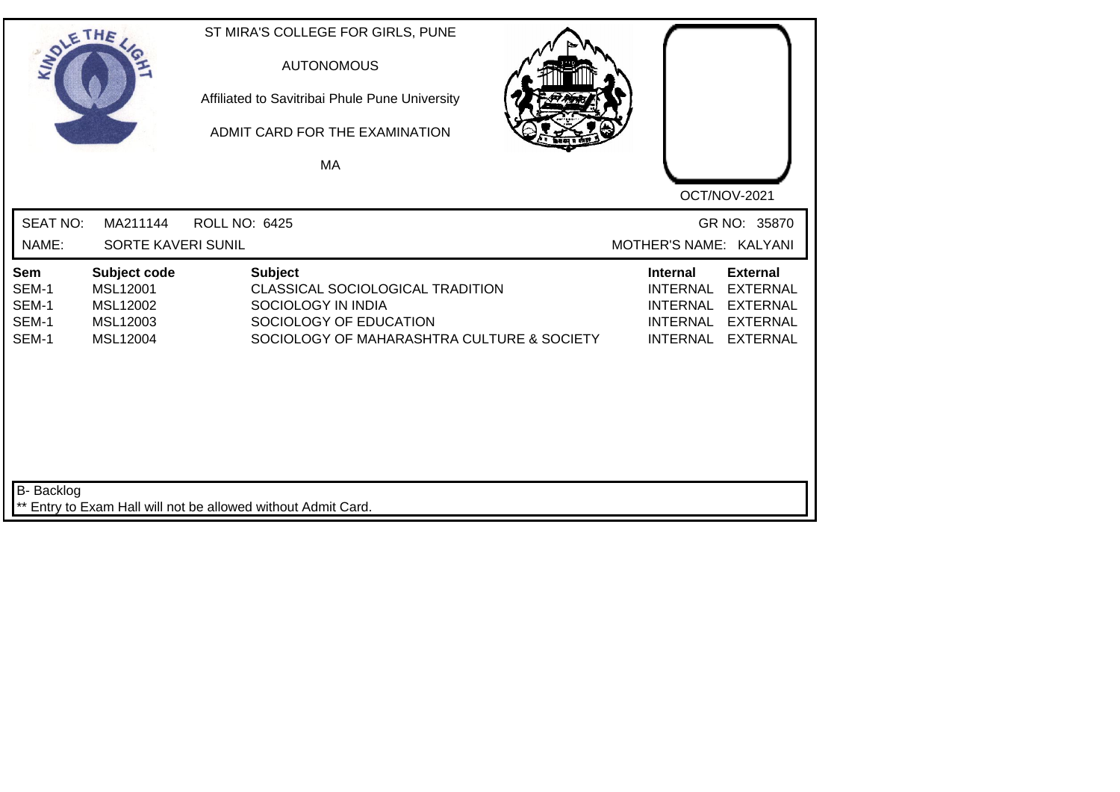| SOLE THE                                |                                                              | ST MIRA'S COLLEGE FOR GIRLS, PUNE<br><b>AUTONOMOUS</b><br>Affiliated to Savitribai Phule Pune University<br>ADMIT CARD FOR THE EXAMINATION<br>MA | OCT/NOV-2021                                                                                                                                                                               |
|-----------------------------------------|--------------------------------------------------------------|--------------------------------------------------------------------------------------------------------------------------------------------------|--------------------------------------------------------------------------------------------------------------------------------------------------------------------------------------------|
| <b>SEAT NO:</b><br>NAME:                | MA211144<br>SORTE KAVERI SUNIL                               | <b>ROLL NO: 6425</b>                                                                                                                             | GR NO: 35870<br>MOTHER'S NAME: KALYANI                                                                                                                                                     |
| Sem<br>SEM-1<br>SEM-1<br>SEM-1<br>SEM-1 | Subject code<br>MSL12001<br>MSL12002<br>MSL12003<br>MSL12004 | <b>Subject</b><br>CLASSICAL SOCIOLOGICAL TRADITION<br>SOCIOLOGY IN INDIA<br>SOCIOLOGY OF EDUCATION<br>SOCIOLOGY OF MAHARASHTRA CULTURE & SOCIETY | <b>External</b><br><b>Internal</b><br><b>INTERNAL</b><br><b>EXTERNAL</b><br><b>INTERNAL</b><br><b>EXTERNAL</b><br><b>INTERNAL</b><br><b>EXTERNAL</b><br><b>INTERNAL</b><br><b>EXTERNAL</b> |
| <b>B-</b> Backlog                       |                                                              | ** Entry to Exam Hall will not be allowed without Admit Card.                                                                                    |                                                                                                                                                                                            |